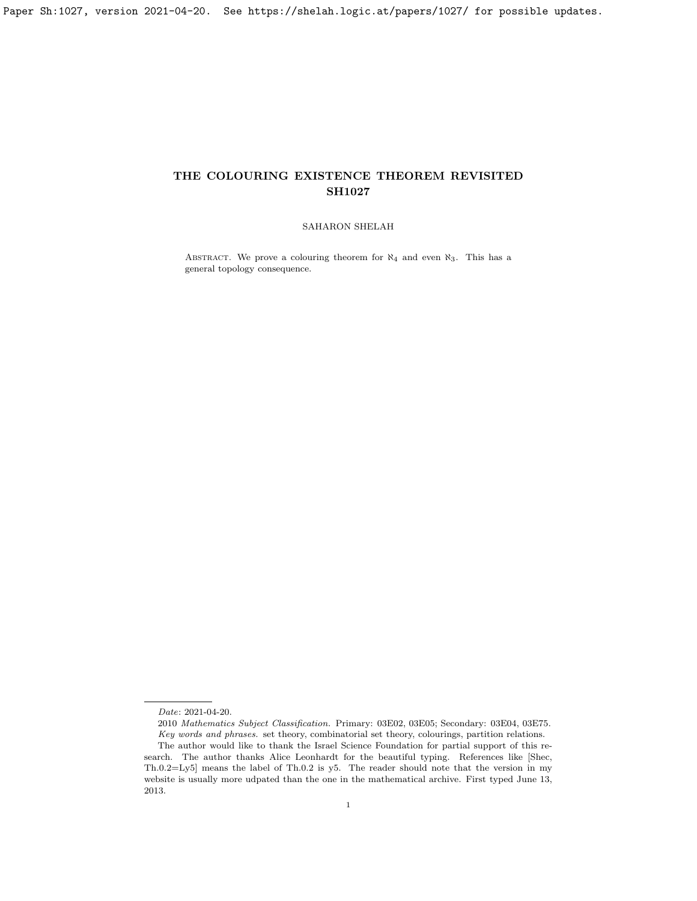## SAHARON SHELAH

ABSTRACT. We prove a colouring theorem for  $\aleph_4$  and even  $\aleph_3$ . This has a general topology consequence.

Date: 2021-04-20.

<sup>2010</sup> Mathematics Subject Classification. Primary: 03E02, 03E05; Secondary: 03E04, 03E75. Key words and phrases. set theory, combinatorial set theory, colourings, partition relations. The author would like to thank the Israel Science Foundation for partial support of this re-

search. The author thanks Alice Leonhardt for the beautiful typing. References like [\[Shec,](#page-26-0) Th.0.2=Ly5] means the label of Th.0.2 is y5. The reader should note that the version in my website is usually more udpated than the one in the mathematical archive. First typed June 13, 2013.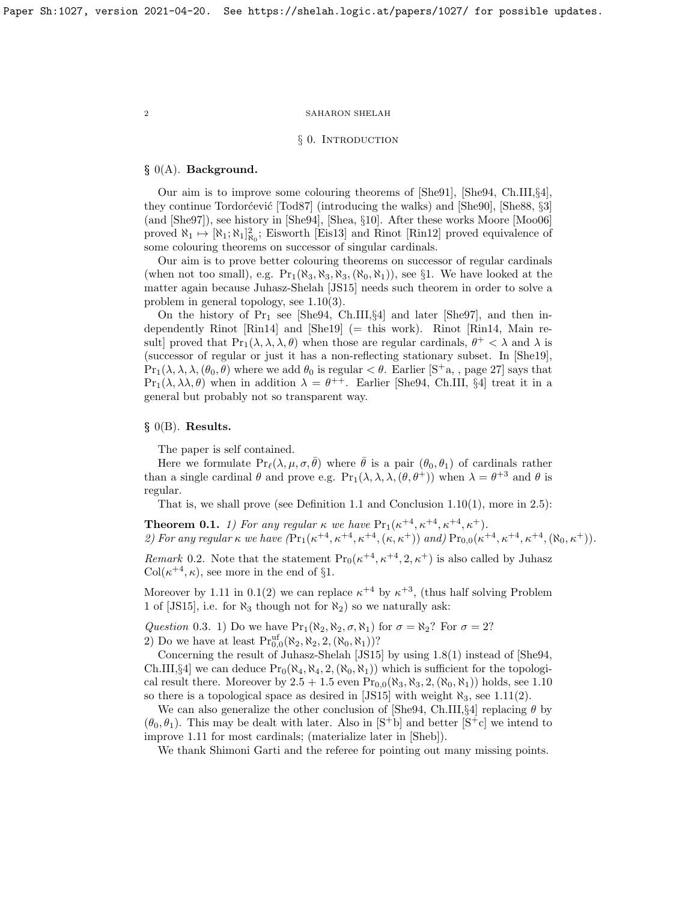## § 0. INTRODUCTION

# § 0(A). Background.

Our aim is to improve some colouring theorems of [\[She91\]](#page-26-1), [\[She94,](#page-26-2) Ch.III,§4], they continue Tordorćević [\[Tod87\]](#page-26-3) (introducing the walks) and [\[She90\]](#page-26-4), [\[She88,](#page-26-5) §3] (and [\[She97\]](#page-26-6)), see history in [\[She94\]](#page-26-2), [\[Shea,](#page-26-7) §10]. After these works Moore [\[Moo06\]](#page-26-8) proved  $\aleph_1 \mapsto [\aleph_1; \aleph_1]_{\aleph_0}^2$ ; Eisworth [\[Eis13\]](#page-26-9) and Rinot [\[Rin12\]](#page-26-10) proved equivalence of some colouring theorems on successor of singular cardinals.

Our aim is to prove better colouring theorems on successor of regular cardinals (when not too small), e.g.  $Pr_1(\aleph_3, \aleph_3, \aleph_3, (\aleph_0, \aleph_1))$ , see §1. We have looked at the matter again because Juhasz-Shelah [\[JS15\]](#page-26-11) needs such theorem in order to solve a problem in general topology, see [1.10\(](#page-5-0)3).

On the history of  $Pr_1$  see [\[She94,](#page-26-2) Ch.III, §4] and later [\[She97\]](#page-26-6), and then independently Rinot [\[Rin14\]](#page-26-12) and [\[She19\]](#page-26-13) (= this work). Rinot [\[Rin14,](#page-26-12) Main result] proved that  $Pr_1(\lambda, \lambda, \lambda, \theta)$  when those are regular cardinals,  $\theta^+ < \lambda$  and  $\lambda$  is (successor of regular or just it has a non-reflecting stationary subset. In [\[She19\]](#page-26-13),  $Pr_1(\lambda, \lambda, \lambda, (\theta_0, \theta)$  where we add  $\theta_0$  is regular  $\lt \theta$ . Earlier [\[S](#page-26-14)<sup>+</sup>a,, page 27] says that  $\Pr_1(\lambda, \lambda \lambda, \theta)$  when in addition  $\lambda = \theta^{++}$ . Earlier [\[She94,](#page-26-2) Ch.III, §4] treat it in a general but probably not so transparent way.

# $§$  0(B). Results.

The paper is self contained.

Here we formulate  $Pr_{\ell}(\lambda, \mu, \sigma, \bar{\theta})$  where  $\bar{\theta}$  is a pair  $(\theta_0, \theta_1)$  of cardinals rather than a single cardinal  $\theta$  and prove e.g.  $Pr_1(\lambda, \lambda, \lambda, (\theta, \theta^+))$  when  $\lambda = \theta^{+3}$  and  $\theta$  is regular.

That is, we shall prove (see Definition [1.1](#page-2-0) and Conclusion  $1.10(1)$ , more in [2.5\)](#page-15-0):

<span id="page-1-0"></span>**Theorem 0.1.** 1) For any regular  $\kappa$  we have  $Pr_1(\kappa^{+4}, \kappa^{+4}, \kappa^{+4}, \kappa^{+})$ . 2) For any regular  $\kappa$  we have  $(Pr_1(\kappa^{+4}, \kappa^{+4}, \kappa^{+4}, (\kappa, \kappa^+))$  and)  $Pr_{0,0}(\kappa^{+4}, \kappa^{+4}, \kappa^{+4}, (\aleph_0, \kappa^+))$ .

*Remark* 0.2. Note that the statement  $Pr_0(\kappa^{+4}, \kappa^{+4}, 2, \kappa^+)$  is also called by Juhasz  $Col(\kappa^{+4}, \kappa)$ , see more in the end of §1.

Moreover by [1.11](#page-6-0) in [0.1\(](#page-1-0)2) we can replace  $\kappa^{+4}$  by  $\kappa^{+3}$ , (thus half solving Problem 1 of [\[JS15\]](#page-26-11), i.e. for  $\aleph_3$  though not for  $\aleph_2$ ) so we naturally ask:

Question 0.3. 1) Do we have  $Pr_1(\aleph_2, \aleph_2, \sigma, \aleph_1)$  for  $\sigma = \aleph_2$ ? For  $\sigma = 2$ ? 2) Do we have at least  $\Pr_{0,0}^{uf}(\aleph_2, \aleph_2, 2, (\aleph_0, \aleph_1))$ ?

Concerning the result of Juhasz-Shelah [\[JS15\]](#page-26-11) by using [1.8\(](#page-3-0)1) instead of [\[She94,](#page-26-2) Ch.III,§4] we can deduce  $\Pr_0(\aleph_4, \aleph_4, 2, (\aleph_0, \aleph_1))$  which is sufficient for the topological result there. Moreover by  $2.5 + 1.5$  $2.5 + 1.5$  even  $Pr_{0.0}(\aleph_3, \aleph_3, 2, (\aleph_0, \aleph_1))$  holds, see [1.10](#page-5-0) so there is a topological space as desired in [\[JS15\]](#page-26-11) with weight  $\aleph_3$ , see [1.11\(](#page-6-0)2).

We can also generalize the other conclusion of [\[She94,](#page-26-2) Ch.III, §4] replacing  $\theta$  by  $(\theta_0, \theta_1)$ . This may be dealt with later. Also in  $|S^{\dagger}b|$  and better  $|S^{\dagger}c|$  we intend to improve [1.11](#page-6-0) for most cardinals; (materialize later in [\[Sheb\]](#page-26-17)).

We thank Shimoni Garti and the referee for pointing out many missing points.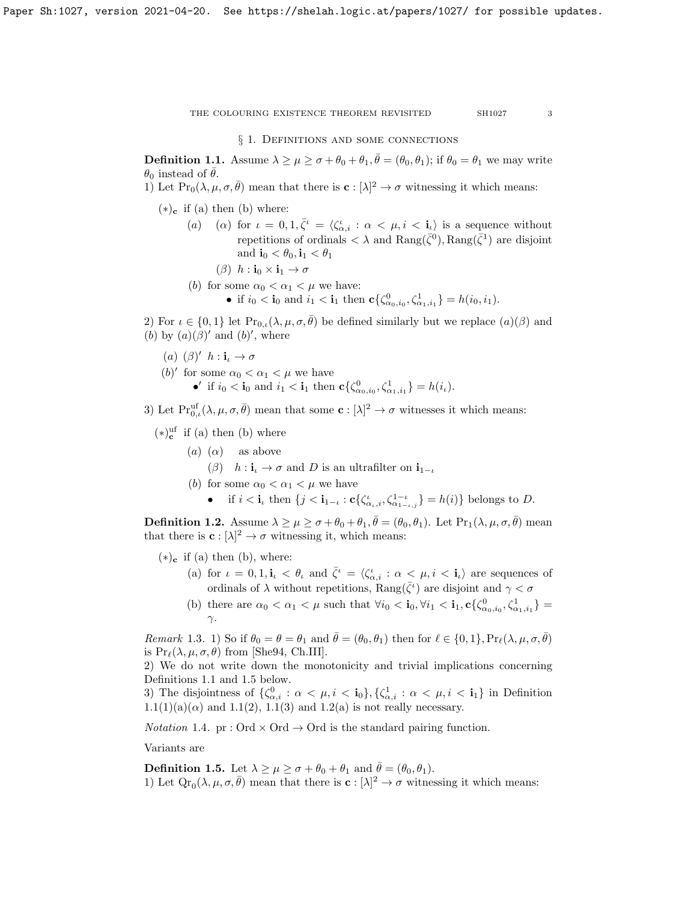§ 1. DEFINITIONS AND SOME CONNECTIONS

<span id="page-2-0"></span>**Definition 1.1.** Assume  $\lambda \geq \mu \geq \sigma + \theta_0 + \theta_1$ ,  $\bar{\theta} = (\theta_0, \theta_1)$ ; if  $\theta_0 = \theta_1$  we may write  $\theta_0$  instead of  $\bar{\theta}$ .

1) Let  $\Pr_0(\lambda, \mu, \sigma, \bar{\theta})$  mean that there is  $\mathbf{c} : [\lambda]^2 \to \sigma$  witnessing it which means:

- $(*)_c$  if (a) then (b) where:
	- (a) (a) for  $\iota = 0, 1, \bar{\zeta}^{\iota} = \langle \zeta^{\iota}_{\alpha,i} : \alpha \langle \mu, i \rangle \rangle$  is a sequence without repetitions of ordinals  $\langle \lambda \rangle$  and  $\text{Rang}(\bar{\zeta}^0)$ ,  $\text{Rang}(\bar{\zeta}^1)$  are disjoint and  $\mathbf{i}_0 < \theta_0, \mathbf{i}_1 < \theta_1$ 
		- ( $\beta$ )  $h : \mathbf{i}_0 \times \mathbf{i}_1 \to \sigma$
	- (*b*) for some  $\alpha_0 < \alpha_1 < \mu$  we have: • if  $i_0 < \mathbf{i}_0$  and  $i_1 < \mathbf{i}_1$  then  $c\{\zeta_{\alpha_0,i_0}^0, \zeta_{\alpha_1,i_1}^1\} = h(i_0, i_1)$ .

2) For  $\iota \in \{0,1\}$  let  $\text{Pr}_{0,\iota}(\lambda,\mu,\sigma,\bar{\theta})$  be defined similarly but we replace  $(a)(\beta)$  and (b) by  $(a)(\beta)'$  and  $(b)'$ , where

- (a)  $(\beta)'$   $h : \mathbf{i}_{\iota} \to \sigma$
- (*b*)' for some  $\alpha_0 < \alpha_1 < \mu$  we have
	- •' if  $i_0 < \mathbf{i}_0$  and  $i_1 < \mathbf{i}_1$  then  $c\{\zeta_{\alpha_0,i_0}^0, \zeta_{\alpha_1,i_1}^1\} = h(i_\iota)$ .

3) Let  $\mathrm{Pr}_{0,\iota}^{\mathrm{uf}}(\lambda,\mu,\sigma,\bar{\theta})$  mean that some  $\mathbf{c}: [\lambda]^2 \to \sigma$  witnesses it which means:

- $(*)$ <sup>uf</sup> if (a) then (b) where
	- (a) ( $\alpha$ ) as above
		- $(\beta)$  h :  $\mathbf{i}_\iota \to \sigma$  and D is an ultrafilter on  $\mathbf{i}_{1-\iota}$
	- (b) for some  $\alpha_0 < \alpha_1 < \mu$  we have
		- if  $i < \mathbf{i}_\iota$  then  $\{j < \mathbf{i}_{1-\iota} : \mathbf{c}\{\zeta_{\alpha_\iota,i}^{\iota}, \zeta_{\alpha_{1-\iota,j}}^{1-\iota}\} = h(i)\}\$  belongs to D.

<span id="page-2-2"></span>**Definition 1.2.** Assume  $\lambda \geq \mu \geq \sigma + \theta_0 + \theta_1$ ,  $\bar{\theta} = (\theta_0, \theta_1)$ . Let  $Pr_1(\lambda, \mu, \sigma, \bar{\theta})$  mean that there is  $\mathbf{c}: [\lambda]^2 \to \sigma$  witnessing it, which means:

- $(*)_c$  if (a) then (b), where:
	- (a) for  $\iota = 0, 1, i_{\iota} < \theta_{\iota}$  and  $\bar{\zeta}^{\iota} = \langle \zeta^{\iota}_{\alpha,i} : \alpha < \mu, i < i_{\iota} \rangle$  are sequences of ordinals of  $\lambda$  without repetitions,  $\text{Rang}(\bar{\zeta}^i)$  are disjoint and  $\gamma < \sigma$
	- (b) there are  $\alpha_0 < \alpha_1 < \mu$  such that  $\forall i_0 < \mathbf{i}_0, \forall i_1 < \mathbf{i}_1, \mathbf{c} {\{\zeta^0_{\alpha_0, i_0}, \zeta^1_{\alpha_1, i_1}\}} =$ γ.

*Remark* 1.3. 1) So if  $\theta_0 = \theta = \theta_1$  and  $\bar{\theta} = (\theta_0, \theta_1)$  then for  $\ell \in \{0, 1\}$ ,  $Pr_\ell(\lambda, \mu, \sigma, \bar{\theta})$ is  $Pr_{\ell}(\lambda, \mu, \sigma, \theta)$  from [\[She94,](#page-26-2) Ch.III].

2) We do not write down the monotonicity and trivial implications concerning Definitions [1.1](#page-2-0) and [1.5](#page-2-1) below.

3) The disjointness of  $\{\zeta_{\alpha,i}^0 : \alpha < \mu, i < \mathbf{i}_0\}, \{\zeta_{\alpha,i}^1 : \alpha < \mu, i < \mathbf{i}_1\}$  in Definition  $1.1(1)(a)(\alpha)$  $1.1(1)(a)(\alpha)$  and  $1.1(2)$ ,  $1.1(3)$  and  $1.2(a)$  is not really necessary.

*Notation* 1.4. pr : Ord  $\times$  Ord  $\rightarrow$  Ord is the standard pairing function.

Variants are

<span id="page-2-1"></span>**Definition 1.5.** Let  $\lambda \geq \mu \geq \sigma + \theta_0 + \theta_1$  and  $\bar{\theta} = (\theta_0, \theta_1)$ . 1) Let  $\mathbb{Q}r_0(\lambda,\mu,\sigma,\bar{\theta})$  mean that there is  $\mathbf{c}: [\lambda]^2 \to \sigma$  witnessing it which means: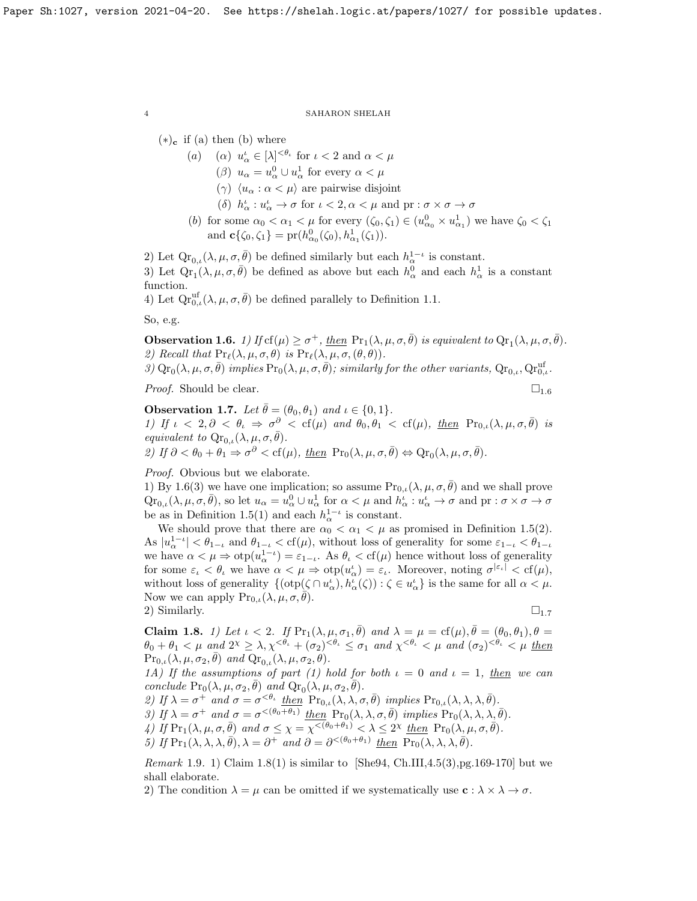$(*)_c$  if (a) then (b) where

- (a) (a)  $u^{\iota}_{\alpha} \in [\lambda]^{<\theta_{\iota}}$  for  $\iota < 2$  and  $\alpha < \mu$ 
	- ( $\beta$ )  $u_{\alpha} = u_{\alpha}^0 \cup u_{\alpha}^1$  for every  $\alpha < \mu$
	- (γ)  $\langle u_{\alpha} : \alpha < \mu \rangle$  are pairwise disjoint
	- (δ)  $h^{\iota}_{\alpha}: u^{\iota}_{\alpha} \to \sigma$  for  $\iota < 2, \alpha < \mu$  and  $\mathrm{pr}: \sigma \times \sigma \to \sigma$
- (b) for some  $\alpha_0 < \alpha_1 < \mu$  for every  $(\zeta_0, \zeta_1) \in (u_{\alpha_0}^0 \times u_{\alpha_1}^1)$  we have  $\zeta_0 < \zeta_1$ and  $\mathbf{c}\{\zeta_0, \zeta_1\} = \text{pr}(h_{\alpha_0}^0(\zeta_0), h_{\alpha_1}^1(\zeta_1)).$

2) Let  $\mathrm{Qr}_{0,\iota}(\lambda,\mu,\sigma,\bar{\theta})$  be defined similarly but each  $h_{\alpha}^{1-\iota}$  is constant. 3) Let  $\mathbb{Q}r_1(\lambda,\mu,\sigma,\bar{\theta})$  be defined as above but each  $h^0_\alpha$  and each  $h^1_\alpha$  is a constant function.

4) Let  $\mathrm{Qr}_{0,\iota}^{\mathrm{uf}}(\lambda,\mu,\sigma,\bar{\theta})$  be defined parallely to Definition [1.1.](#page-2-0)

So, e.g.

<span id="page-3-1"></span>**Observation 1.6.** 1) If  $cf(\mu) \ge \sigma^+$ , then  $Pr_1(\lambda, \mu, \sigma, \bar{\theta})$  is equivalent to  $Qr_1(\lambda, \mu, \sigma, \bar{\theta})$ . 2) Recall that  $\Pr_{\ell}(\lambda, \mu, \sigma, \theta)$  is  $\Pr_{\ell}(\lambda, \mu, \sigma, (\theta, \theta)).$ 

3)  $\text{Qr}_0(\lambda, \mu, \sigma, \bar{\theta})$  implies  $\text{Pr}_0(\lambda, \mu, \sigma, \bar{\theta})$ ; similarly for the other variants,  $\text{Qr}_{0,\iota}$ ,  $\text{Qr}_{0,\iota}^{\text{uf}}$ .

*Proof.* Should be clear.  $\Box_{1.6}$  $\Box_{1.6}$  $\Box_{1.6}$ 

<span id="page-3-2"></span>**Observation 1.7.** Let  $\bar{\theta} = (\theta_0, \theta_1)$  and  $\iota \in \{0, 1\}$ . 1) If  $\iota$  < 2,  $\partial$  <  $\theta_{\iota} \Rightarrow \sigma^{\partial}$  < cf( $\mu$ ) and  $\theta_0, \theta_1$  < cf( $\mu$ ), then  $Pr_{0,\iota}(\lambda, \mu, \sigma, \bar{\theta})$  is equivalent to  $\mathbf{Qr}_{0,\iota}(\lambda,\mu,\sigma,\bar{\theta}).$ 2) If  $\partial < \theta_0 + \theta_1 \Rightarrow \sigma^{\partial} < \text{cf}(\mu)$ , <u>then</u>  $\text{Pr}_0(\lambda, \mu, \sigma, \overline{\theta}) \Leftrightarrow \text{Qr}_0(\lambda, \mu, \sigma, \overline{\theta})$ .

Proof. Obvious but we elaborate.

1) By [1.6\(](#page-3-1)3) we have one implication; so assume  $Pr_{0,\iota}(\lambda,\mu,\sigma,\theta)$  and we shall prove  $\mathop{\rm Qr}\nolimits_{0,\iota}(\lambda,\mu,\sigma,\bar{\theta}),$  so let  $u_\alpha=u_\alpha^0\cup u_\alpha^1$  for  $\alpha<\mu$  and  $h_\alpha^{\iota}:u_\alpha^{\iota}\to\sigma$  and  $\operatorname{pr}:\sigma\times\sigma\to\sigma$ be as in Definition [1.5\(](#page-2-1)1) and each  $h_{\alpha}^{1-\iota}$  is constant.

We should prove that there are  $\alpha_0 < \alpha_1 < \mu$  as promised in Definition [1.5\(](#page-2-1)2). As  $|u_{\alpha}^{1-\iota}| < \theta_{1-\iota}$  and  $\theta_{1-\iota} < \text{cf}(\mu)$ , without loss of generality for some  $\varepsilon_{1-\iota} < \theta_{1-\iota}$ we have  $\alpha < \mu \Rightarrow \text{otp}(u_{\alpha}^{1-\iota}) = \varepsilon_{1-\iota}$ . As  $\theta_{\iota} < \text{cf}(\mu)$  hence without loss of generality for some  $\varepsilon_{\iota} < \theta_{\iota}$  we have  $\alpha < \mu \Rightarrow \text{otp}(u_{\alpha}^{\iota}) = \varepsilon_{\iota}$ . Moreover, noting  $\sigma^{|\varepsilon_{\iota}|} < \text{cf}(\mu)$ , without loss of generality  $\{(\text{otp}(\zeta \cap u_\alpha^{\iota}), h_\alpha^{\iota}(\zeta)) : \zeta \in u_\alpha^{\iota}\}\)$  is the same for all  $\alpha < \mu$ . Now we can apply  $Pr_{0,\iota}(\lambda,\mu,\sigma,\theta)$ .

2) Similarly.  $\square_{1.7}$  $\square_{1.7}$  $\square_{1.7}$ 

<span id="page-3-0"></span>**Claim 1.8.** 1) Let  $\iota < 2$ . If  $\Pr_1(\lambda, \mu, \sigma_1, \bar{\theta})$  and  $\lambda = \mu = \text{cf}(\mu), \bar{\theta} = (\theta_0, \theta_1), \theta =$  $\theta_0 + \theta_1 < \mu$  and  $2^{\chi} \geq \lambda, \chi^{<\theta_{\iota}} + (\sigma_2)^{<\theta_{\iota}} \leq \sigma_1$  and  $\chi^{<\theta_{\iota}} < \mu$  and  $(\sigma_2)^{<\theta_{\iota}} < \mu$  then  $\Pr_{0,\iota}(\lambda,\mu,\sigma_2,\bar{\theta})$  and  $\operatorname{Qr}_{0,\iota}(\lambda,\mu,\sigma_2,\theta)$ .

1A) If the assumptions of part (1) hold for both  $\iota = 0$  and  $\iota = 1$ , then we can conclude  $\Pr_0(\lambda, \mu, \sigma_2, \overline{\theta})$  and  $\operatorname{Qr}_0(\lambda, \mu, \sigma_2, \overline{\theta})$ .

2) If  $\lambda = \sigma^+$  and  $\sigma = \sigma^{<\theta_t}$  then  $\Pr_{0,\iota}(\lambda,\lambda,\sigma,\bar{\theta})$  implies  $\Pr_{0,\iota}(\lambda,\lambda,\lambda,\bar{\theta})$ .

3) If  $\lambda = \sigma^+$  and  $\sigma = \sigma^{<(\theta_0 + \theta_1)}$  then  $\Pr_0(\lambda, \lambda, \sigma, \bar{\theta})$  implies  $\Pr_0(\lambda, \lambda, \lambda, \bar{\theta})$ .

 $\mathcal{A}$ ) If  $\Pr_1(\lambda, \mu, \sigma, \bar{\theta})$  and  $\sigma \leq \chi = \chi^{<(\theta_0 + \theta_1)} < \lambda \leq 2^{\chi}$  then  $\Pr_0(\lambda, \mu, \sigma, \bar{\theta})$ .

5) If 
$$
Pr_1(\lambda, \lambda, \lambda, \overline{\theta}), \lambda = \partial^+ \text{ and } \partial = \partial^{<(\theta_0 + \theta_1)} \text{ then } Pr_0(\lambda, \lambda, \lambda, \overline{\theta}).
$$

*Remark* 1.9. 1) Claim [1.8\(](#page-3-0)1) is similar to [\[She94,](#page-26-2) Ch.III,4.5(3),pg.169-170] but we shall elaborate.

2) The condition  $\lambda = \mu$  can be omitted if we systematically use  $\mathbf{c} : \lambda \times \lambda \to \sigma$ .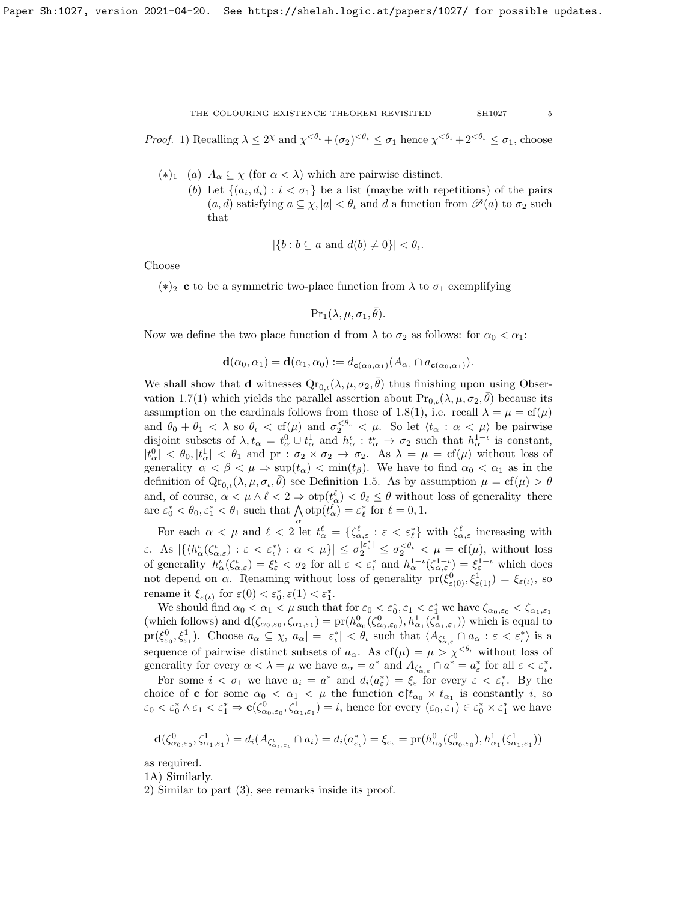*Proof.* 1) Recalling  $\lambda \leq 2^{\chi}$  and  $\chi^{<\theta_{\iota}} + (\sigma_2)^{<\theta_{\iota}} \leq \sigma_1$  hence  $\chi^{<\theta_{\iota}} + 2^{<\theta_{\iota}} \leq \sigma_1$ , choose

- (\*)<sub>1</sub> (a)  $A_{\alpha} \subseteq \chi$  (for  $\alpha < \lambda$ ) which are pairwise distinct.
	- (b) Let  $\{(a_i, d_i) : i < \sigma_1\}$  be a list (maybe with repetitions) of the pairs  $(a, d)$  satisfying  $a \subseteq \chi, |a| < \theta$  and d a function from  $\mathscr{P}(a)$  to  $\sigma_2$  such that

$$
|\{b : b \subseteq a \text{ and } d(b) \neq 0\}| < \theta_{\iota}.
$$

Choose

(\*)<sub>2</sub> c to be a symmetric two-place function from  $\lambda$  to  $\sigma_1$  exemplifying

$$
\Pr\nolimits_1(\lambda, \mu, \sigma_1, \overline{\theta}).
$$

Now we define the two place function d from  $\lambda$  to  $\sigma_2$  as follows: for  $\alpha_0 < \alpha_1$ :

$$
\mathbf{d}(\alpha_0,\alpha_1)=\mathbf{d}(\alpha_1,\alpha_0):=d_{\mathbf{c}(\alpha_0,\alpha_1)}(A_{\alpha_\iota}\cap a_{\mathbf{c}(\alpha_0,\alpha_1)}).
$$

We shall show that **d** witnesses  $Q_{r_{0,t}}(\lambda, \mu, \sigma_2, \bar{\theta})$  thus finishing upon using Obser-vation [1.7\(](#page-3-2)1) which yields the parallel assertion about  $Pr_{0,\iota}(\lambda,\mu,\sigma_2,\bar{\theta})$  because its assumption on the cardinals follows from those of [1.8\(](#page-3-0)1), i.e. recall  $\lambda = \mu = cf(\mu)$ and  $\theta_0 + \theta_1 < \lambda$  so  $\theta_{\iota} < \text{cf}(\mu)$  and  $\sigma_2^{< \theta_{\iota}} < \mu$ . So let  $\langle t_{\alpha} : \alpha < \mu \rangle$  be pairwise disjoint subsets of  $\lambda, t_\alpha = t_\alpha^0 \cup t_\alpha^1$  and  $h_\alpha^i : t_\alpha^i \to \sigma_2$  such that  $h_\alpha^{1-i}$  is constant,  $|t_{\alpha}^{0}| < \theta_{0}$ ,  $|t_{\alpha}^{1}| < \theta_{1}$  and pr :  $\sigma_{2} \times \sigma_{2} \rightarrow \sigma_{2}$ . As  $\lambda = \mu = \text{cf}(\mu)$  without loss of generality  $\alpha < \beta < \mu \Rightarrow \sup(t_\alpha) < \min(t_\beta)$ . We have to find  $\alpha_0 < \alpha_1$  as in the definition of  $\mathrm{Qr}_{0,\iota}(\lambda,\mu,\sigma_{\iota},\bar{\theta})$  see Definition [1.5.](#page-2-1) As by assumption  $\mu = \mathrm{cf}(\mu) > \theta$ and, of course,  $\alpha < \mu \wedge \ell < 2 \Rightarrow \text{otp}(t_{\alpha}^{\ell}) < \theta_{\ell} \leq \theta$  without loss of generality there are  $\varepsilon_0^* < \theta_0$ ,  $\varepsilon_1^* < \theta_1$  such that  $\bigwedge_{\alpha} \text{otp}(t_{\alpha}^{\ell}) = \varepsilon_{\ell}^*$  for  $\ell = 0, 1$ .

For each  $\alpha < \mu$  and  $\ell < 2$  let  $t_{\alpha}^{\ell} = {\{\zeta_{\alpha,\varepsilon}^{\ell} : \varepsilon < \varepsilon_{\ell}^*\}}$  with  $\zeta_{\alpha,\varepsilon}^{\ell}$  increasing with  $\varepsilon$ . As  $|\{\langle h_\alpha^{\iota}(\zeta_{\alpha,\varepsilon}^{\iota}) : \varepsilon < \varepsilon_{\iota}^{*}\rangle : \alpha < \mu\}| \leq \sigma_2^{|\varepsilon_{\iota}^{*}|} \leq \sigma_2^{<\theta_{\iota}} < \mu = \text{cf}(\mu)$ , without loss of generality  $h^i_\alpha(\zeta^\iota_{\alpha,\varepsilon}) = \xi^\iota_{\varepsilon} < \sigma_2$  for all  $\varepsilon < \varepsilon^*_\iota$  and  $h^{1-\iota}_\alpha(\zeta^{1-\iota}_{\alpha,\varepsilon}) = \xi^{1-\iota}_{\varepsilon}$  which does not depend on  $\alpha$ . Renaming without loss of generality  $pr(\xi^0_{\varepsilon(0)}, \xi^1_{\varepsilon(1)}) = \xi_{\varepsilon(\iota)},$  so rename it  $\xi_{\varepsilon(\iota)}$  for  $\varepsilon(0) < \varepsilon_0^*, \varepsilon(1) < \varepsilon_1^*$ .

We should find  $\alpha_0 < \alpha_1 < \mu$  such that for  $\varepsilon_0 < \varepsilon_0^*$ ,  $\varepsilon_1 < \varepsilon_1^*$  we have  $\zeta_{\alpha_0, \varepsilon_0} < \zeta_{\alpha_1, \varepsilon_1}$ (which follows) and  $\mathbf{d}(\zeta_{\alpha_0,\varepsilon_0},\zeta_{\alpha_1,\varepsilon_1}) = \mathrm{pr}(h_{\alpha_0}^0(\zeta_{\alpha_0,\varepsilon_0}^0),h_{\alpha_1}^1(\zeta_{\alpha_1,\varepsilon_1}^1))$  which is equal to  $pr(\xi_{\varepsilon_0}^0, \xi_{\varepsilon_1}^1)$ . Choose  $a_\alpha \subseteq \chi$ ,  $|a_\alpha| = |\varepsilon_t^*| < \theta$ , such that  $\langle A_{\zeta_{\alpha,\varepsilon}^i} \cap a_\alpha : \varepsilon < \varepsilon_t^* \rangle$  is a sequence of pairwise distinct subsets of  $a_{\alpha}$ . As  $cf(\mu) = \mu > \chi^{<\theta_{\iota}}$  without loss of generality for every  $\alpha < \lambda = \mu$  we have  $a_{\alpha} = a^*$  and  $A_{\zeta^{\iota}_{\alpha}, \varepsilon} \cap a^* = a^*_{\varepsilon}$  for all  $\varepsilon < \varepsilon^*_{\iota}$ .

For some  $i < \sigma_1$  we have  $a_i = a^*$  and  $d_i(a^*_{\varepsilon}) = \xi_{\varepsilon}$  for every  $\varepsilon < \varepsilon^*_i$ . By the choice of **c** for some  $\alpha_0 < \alpha_1 < \mu$  the function  $c \nvert t_{\alpha_0} \times t_{\alpha_1}$  is constantly *i*, so  $\varepsilon_0 < \varepsilon_0^* \wedge \varepsilon_1 < \varepsilon_1^* \Rightarrow \mathbf{c}(\zeta_{\alpha_0,\varepsilon_0}^0, \zeta_{\alpha_1,\varepsilon_1}^1) = i$ , hence for every  $(\varepsilon_0, \varepsilon_1) \in \varepsilon_0^* \times \varepsilon_1^*$  we have

$$
\mathbf{d}(\zeta_{\alpha_0,\varepsilon_0}^0,\zeta_{\alpha_1,\varepsilon_1}^1) = d_i(A_{\zeta_{\alpha_\iota,\varepsilon_\iota}^{\iota}} \cap a_i) = d_i(a_{\varepsilon_\iota}^*) = \xi_{\varepsilon_\iota} = \text{pr}(h_{\alpha_0}^0(\zeta_{\alpha_0,\varepsilon_0}^0),h_{\alpha_1}^1(\zeta_{\alpha_1,\varepsilon_1}^1))
$$

as required.

1A) Similarly.

2) Similar to part (3), see remarks inside its proof.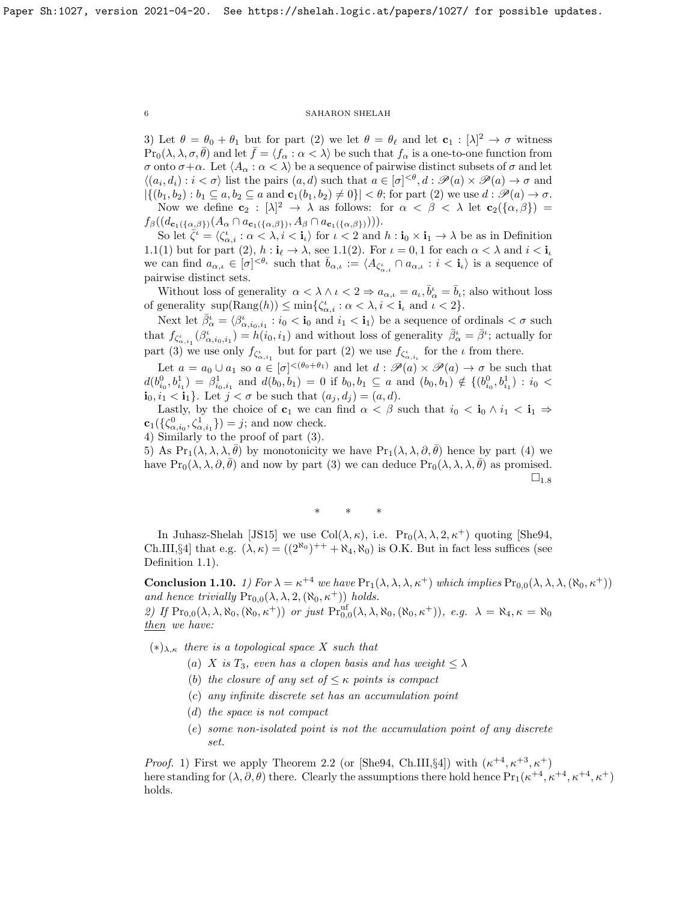3) Let  $\theta = \theta_0 + \theta_1$  but for part (2) we let  $\theta = \theta_\ell$  and let  $\mathbf{c}_1 : [\lambda]^2 \to \sigma$  witness  $\Pr_0(\lambda, \lambda, \sigma, \overline{\theta})$  and let  $\overline{f} = \langle f_\alpha : \alpha < \lambda \rangle$  be such that  $f_\alpha$  is a one-to-one function from σ onto  $\sigma + \alpha$ . Let  $\langle A_{\alpha} : \alpha < \lambda \rangle$  be a sequence of pairwise distinct subsets of σ and let  $\langle (a_i, d_i) : i < \sigma \rangle$  list the pairs  $(a, d)$  such that  $a \in [\sigma]^{< \theta}, d : \mathscr{P}(a) \times \mathscr{P}(a) \to \sigma$  and  $|\{(b_1, b_2) : b_1 \subseteq a, b_2 \subseteq a \text{ and } \mathbf{c}_1(b_1, b_2) \neq 0\}| < \theta$ ; for part (2) we use  $d : \mathscr{P}(a) \to \sigma$ . Now we define  $c_2 : [\lambda]^2 \to \lambda$  as follows: for  $\alpha < \beta < \lambda$  let  $c_2(\{\alpha, \beta\}) =$ 

 $f_\beta((d_{\mathbf{c}_1(\{\alpha,\beta\})}(A_\alpha \cap a_{\mathbf{c}_1(\{\alpha,\beta\})}, A_\beta \cap a_{\mathbf{c}_1(\{\alpha,\beta\})}))).$ 

So let  $\overline{\zeta}^i = \langle \zeta_{\alpha,i}^i : \alpha < \lambda, i < \mathbf{i}_\ell \rangle$  for  $i < 2$  and  $h : \mathbf{i}_0 \times \mathbf{i}_1 \to \lambda$  be as in Definition [1.1\(](#page-2-0)1) but for part (2),  $h: i_{\ell} \to \lambda$ , see [1.1\(](#page-2-0)2). For  $\iota = 0, 1$  for each  $\alpha < \lambda$  and  $i < i_{\iota}$ we can find  $a_{\alpha,\iota} \in [\sigma]^{<\theta_{\iota}}$  such that  $\bar{b}_{\alpha,\iota} := \langle A_{\zeta_{\alpha,i}^{\iota}} \cap a_{\alpha,\iota} : i < \mathbf{i}_{\iota} \rangle$  is a sequence of pairwise distinct sets.

Without loss of generality  $\alpha < \lambda \wedge \iota < 2 \Rightarrow a_{\alpha,\iota} = a_{\iota}, \bar{b}_{\alpha}^{\iota} = \bar{b}_{\iota}$ ; also without loss of generality  $\sup(\text{Rang}(h)) \le \min\{\zeta_{\alpha,i}^i : \alpha < \lambda, i < i_\iota \text{ and } \iota < 2\}.$ 

Next let  $\bar{\beta}^i_\alpha = \langle \beta^i_{\alpha, i_0, i_1} : i_0 < \mathbf{i}_0 \text{ and } i_1 < \mathbf{i}_1 \rangle$  be a sequence of ordinals  $\langle \sigma \text{ such} \rangle$ that  $f_{\zeta_{\alpha,i_1}^i}(\beta_{\alpha,i_0,i_1}^i) = h(i_0,i_1)$  and without loss of generality  $\bar{\beta}_{\alpha}^i = \bar{\beta}^i$ ; actually for part (3) we use only  $f_{\zeta^i_{\alpha,i_1}}$  but for part (2) we use  $f_{\zeta^i_{\alpha,i_i}}$  for the  $\iota$  from there.

Let  $a = a_0 \cup a_1$  so  $a \in [\sigma]^{<(\theta_0 + \theta_1)}$  and let  $d : \mathscr{P}(a) \times \mathscr{P}(a) \to \sigma$  be such that  $d(b_{i_0}^0, b_{i_1}^1) = \beta_{i_0, i_1}^1$  and  $d(b_0, b_1) = 0$  if  $b_0, b_1 \subseteq a$  and  $(b_0, b_1) \notin \{(b_{i_0}^0, b_{i_1}^1) : i_0$  $\mathbf{i}_0, i_1 < \mathbf{i}_1$ . Let  $j < \sigma$  be such that  $(a_j, d_j) = (a, d)$ .

Lastly, by the choice of  $c_1$  we can find  $\alpha < \beta$  such that  $i_0 < i_0 \wedge i_1 < i_1 \Rightarrow$  $\mathbf{c}_1(\{\zeta_{\alpha,i_0}^0,\zeta_{\alpha,i_1}^1\})=j;$  and now check.

4) Similarly to the proof of part (3).

5) As  $Pr_1(\lambda, \lambda, \lambda, \theta)$  by monotonicity we have  $Pr_1(\lambda, \lambda, \partial, \overline{\theta})$  hence by part (4) we have  $\Pr_0(\lambda, \lambda, \partial, \theta)$  and now by part (3) we can deduce  $\Pr_0(\lambda, \lambda, \lambda, \theta)$  as promised.  $\square_{1.8}$  $\square_{1.8}$  $\square_{1.8}$ 

∗ ∗ ∗

In Juhasz-Shelah [\[JS15\]](#page-26-11) we use Col $(\lambda, \kappa)$ , i.e.  $\Pr_0(\lambda, \lambda, 2, \kappa^+)$  quoting [\[She94,](#page-26-2) Ch.III,§4] that e.g.  $(\lambda, \kappa) = ((2^{\aleph_0})^{++} + \aleph_4, \aleph_0)$  is O.K. But in fact less suffices (see Definition [1.1\)](#page-2-0).

<span id="page-5-0"></span>**Conclusion 1.10.** 1) For  $\lambda = \kappa^{+4}$  we have  $\Pr_1(\lambda, \lambda, \lambda, \kappa^+)$  which implies  $\Pr_{0,0}(\lambda, \lambda, \lambda, (\aleph_0, \kappa^+))$ and hence trivially  $Pr_{0,0}(\lambda, \lambda, 2, (\aleph_0, \kappa^+))$  holds. 2) If  $\Pr_{0,0}(\lambda, \lambda, \aleph_0, (\aleph_0, \kappa^+))$  or just  $\Pr_{0,0}^{\text{uf}}(\lambda, \lambda, \aleph_0, (\aleph_0, \kappa^+)), e.g.$   $\lambda = \aleph_4, \kappa = \aleph_0$ 

then we have:

 $(*)_{\lambda,\kappa}$  there is a topological space X such that

- (a) X is  $T_3$ , even has a clopen basis and has weight  $\leq \lambda$
- (b) the closure of any set of  $\leq \kappa$  points is compact
- (c) any infinite discrete set has an accumulation point
- (d) the space is not compact
- (e) some non-isolated point is not the accumulation point of any discrete set.

*Proof.* 1) First we apply Theorem [2.2](#page-14-0) (or [\[She94,](#page-26-2) Ch.III, §4]) with  $(\kappa^{+4}, \kappa^{+3}, \kappa^{+})$ here standing for  $(\lambda, \partial, \theta)$  there. Clearly the assumptions there hold hence  $Pr_1(\kappa^{+4}, \kappa^{+4}, \kappa^{+4}, \kappa^+)$ holds.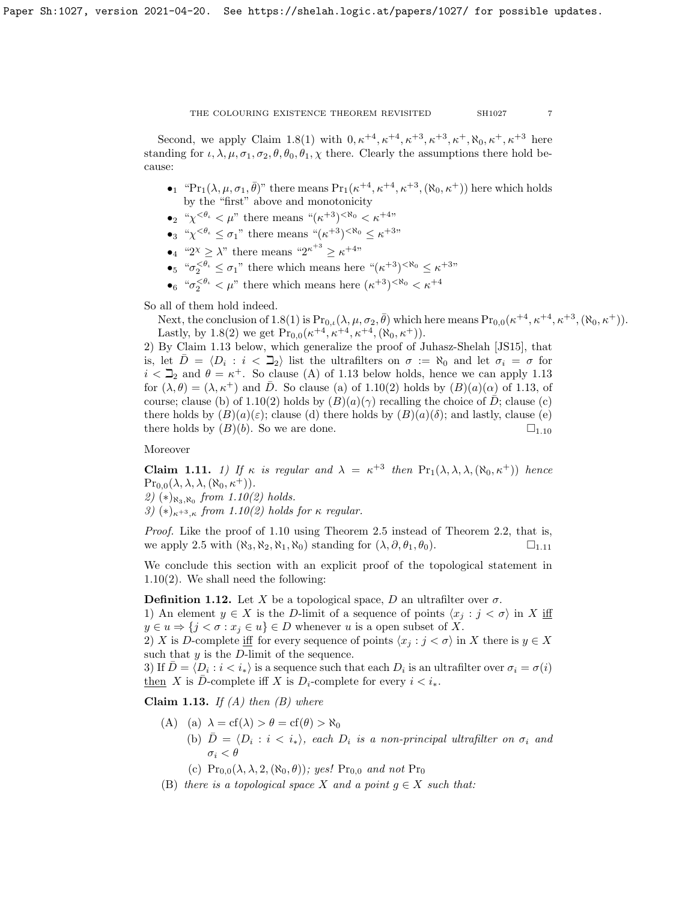Second, we apply Claim [1.8\(](#page-3-0)1) with  $0, \kappa^{+4}, \kappa^{+4}, \kappa^{+3}, \kappa^{+3}, \kappa^{+}, \aleph_0, \kappa^{+}, \kappa^{+3}$  here standing for  $\iota, \lambda, \mu, \sigma_1, \sigma_2, \theta, \theta_0, \theta_1, \chi$  there. Clearly the assumptions there hold because:

- •<sup>1</sup> "Pr<sub>1</sub>( $\lambda, \mu, \sigma_1, \bar{\theta}$ )" there means Pr<sub>1</sub>( $\kappa^{+4}, \kappa^{+4}, \kappa^{+3}, (\aleph_0, \kappa^+)$ ) here which holds by the "first" above and monotonicity
- •<sup>2</sup> " $\chi^{0} < \mu$ " there means " $(\kappa^{+3})$ <sup><R<sub>0</sub></sup> <  $\kappa^{+4}$ "
- •<sub>3</sub> " $\chi^{<\theta_\iota} \leq \sigma_1$ " there means " $(\kappa^{+3})^{<\aleph_0} \leq \kappa^{+3}$ "
- $\lambda^2 \geq \lambda^2$  there means " $2^{\kappa+3} \geq \kappa^{+4}$ "
- $\bullet_5$  " $\sigma_2^{<\theta_\iota} \leq \sigma_1$ " there which means here " $(\kappa^{+3})^{<\aleph_0} \leq \kappa^{+3}$ "
- $\bullet_6$  " $\sigma_2^{<\theta_\iota} < \mu$ " there which means here  $(\kappa^{+3})^{<\aleph_0} < \kappa^{+4}$

So all of them hold indeed.

Next, the conclusion of [1.8\(](#page-3-0)1) is  $Pr_{0,\iota}(\lambda,\mu,\sigma_2,\bar{\theta})$  which here means  $Pr_{0,0}(\kappa^{+4},\kappa^{+4},\kappa^{+3},(\aleph_0,\kappa^+)).$ Lastly, by [1.8\(](#page-3-0)2) we get  $Pr_{0,0}(\kappa^{+4}, \kappa^{+4}, \kappa^{+4}, (\aleph_0, \kappa^+)).$ 

2) By Claim [1.13](#page-6-1) below, which generalize the proof of Juhasz-Shelah [\[JS15\]](#page-26-11), that is, let  $\overline{D} = \langle D_i : i \langle \overline{\Delta}_2 \rangle$  list the ultrafilters on  $\sigma := \aleph_0$  and let  $\sigma_i = \sigma$  for  $i < \mathbb{Z}_2$  and  $\theta = \kappa^+$ . So clause (A) of [1.13](#page-6-1) below holds, hence we can apply 1.13 for  $(\lambda, \theta) = (\lambda, \kappa^+)$  and  $\overline{D}$ . So clause (a) of [1.10\(](#page-5-0)2) holds by  $(B)(a)(\alpha)$  of [1.13,](#page-6-1) of course; clause (b) of [1.10\(](#page-5-0)2) holds by  $(B)(a)(\gamma)$  recalling the choice of D; clause (c) there holds by  $(B)(a)(\varepsilon)$ ; clause (d) there holds by  $(B)(a)(\delta)$ ; and lastly, clause (e) there holds by  $(B)(b)$ . So we are done.  $\square_{1.10}$  $\square_{1.10}$  $\square_{1.10}$ 

# Moreover

<span id="page-6-0"></span>**Claim 1.11.** 1) If  $\kappa$  is regular and  $\lambda = \kappa^{+3}$  then  $Pr_1(\lambda, \lambda, \lambda, (\aleph_0, \kappa^+))$  hence  $\Pr_{0,0}(\lambda, \lambda, \lambda, (\aleph_0, \kappa^+)).$ 

2)  $(*)_{\aleph_3,\aleph_0}$  from [1.10\(](#page-5-0)2) holds.

3)  $(*)_{\kappa+3,\kappa}$  from [1.10\(](#page-5-0)2) holds for  $\kappa$  regular.

Proof. Like the proof of [1.10](#page-5-0) using Theorem [2.5](#page-15-0) instead of Theorem [2.2,](#page-14-0) that is, we apply [2.5](#page-15-0) with  $(\aleph_3, \aleph_2, \aleph_1, \aleph_0)$  standing for  $(\lambda, \partial, \theta_1, \theta_0)$ .  $\square_{1,11}$  $\square_{1,11}$  $\square_{1,11}$ 

We conclude this section with an explicit proof of the topological statement in [1.10\(](#page-5-0)2). We shall need the following:

**Definition 1.12.** Let X be a topological space, D an ultrafilter over  $\sigma$ .

1) An element  $y \in X$  is the D-limit of a sequence of points  $\langle x_j : j < \sigma \rangle$  in X iff  $y \in u \Rightarrow \{j < \sigma : x_j \in u\} \in D$  whenever u is a open subset of X.

2) X is D-complete iff for every sequence of points  $\langle x_i : j < \sigma \rangle$  in X there is  $y \in X$ such that  $y$  is the D-limit of the sequence.

3) If  $\bar{D} = \langle D_i : i \leq i_* \rangle$  is a sequence such that each  $D_i$  is an ultrafilter over  $\sigma_i = \sigma(i)$ then X is D-complete iff X is  $D_i$ -complete for every  $i < i_*$ .

<span id="page-6-1"></span>Claim 1.13. If  $(A)$  then  $(B)$  where

- (A) (a)  $\lambda = cf(\lambda) > \theta = cf(\theta) > \aleph_0$ 
	- (b)  $\bar{D} = \langle D_i : i \langle i_* \rangle$ , each  $D_i$  is a non-principal ultrafilter on  $\sigma_i$  and  $\sigma_i < \theta$ 
		- (c)  $\Pr_{0,0}(\lambda, \lambda, 2, (\aleph_0, \theta))$ ; yes!  $\Pr_{0,0}$  and not  $\Pr_0$
- (B) there is a topological space X and a point  $g \in X$  such that: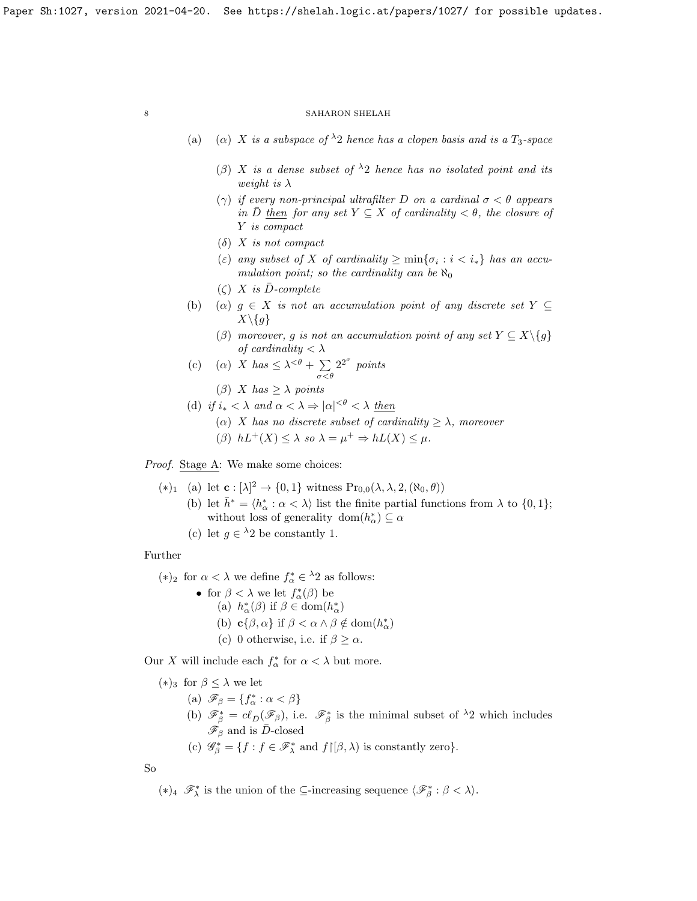- (a) (a) X is a subspace of  $\lambda_2$  hence has a clopen basis and is a  $T_3$ -space
	- (β) X is a dense subset of  $\lambda_2$  hence has no isolated point and its weight is  $\lambda$
	- ( $\gamma$ ) if every non-principal ultrafilter D on a cardinal  $\sigma < \theta$  appears in D then for any set  $Y \subseteq X$  of cardinality  $\lt \theta$ , the closure of Y is compact
	- $(\delta)$  X is not compact
	- (ε) any subset of X of cardinality  $\geq \min\{\sigma_i : i < i_*\}$  has an accumulation point; so the cardinality can be  $\aleph_0$
	- $(\zeta)$  X is D-complete
- (b) (a)  $g \in X$  is not an accumulation point of any discrete set  $Y \subseteq$  $X\backslash\{g\}$ 
	- (β) moreover, g is not an accumulation point of any set  $Y \subseteq X \setminus \{g\}$ of cardinality  $< \lambda$
- (c) ( $\alpha$ ) X has  $\leq \lambda^{<\theta} + \sum$  $\sigma<\theta$  $2^{2^{\sigma}}$  points
	- ( $\beta$ ) X has  $\geq \lambda$  points
- (d) if  $i_* < \lambda$  and  $\alpha < \lambda \Rightarrow |\alpha|^{<\theta} < \lambda$  then
	- ( $\alpha$ ) X has no discrete subset of cardinality  $> \lambda$ , moreover
	- $(\beta)$   $hL^+(X) \leq \lambda$  so  $\lambda = \mu^+ \Rightarrow hL(X) \leq \mu$ .

Proof. Stage A: We make some choices:

- $(*)_1$  (a) let  $\mathbf{c} : [\lambda]^2 \to \{0,1\}$  witness  $Pr_{0,0}(\lambda, \lambda, 2, (\aleph_0, \theta))$ 
	- (b) let  $\bar{h}^* = \langle h^*_{\alpha} : \alpha < \lambda \rangle$  list the finite partial functions from  $\lambda$  to  $\{0, 1\};$ without loss of generality  $dom(h^*_{\alpha}) \subseteq \alpha$ 
		- (c) let  $g \in {}^{\lambda}2$  be constantly 1.

Further

(\*)<sub>2</sub> for  $\alpha < \lambda$  we define  $f^*_{\alpha} \in \lambda$ <sup>2</sup> as follows:

• for  $\beta < \lambda$  we let  $f^*_{\alpha}(\beta)$  be (a)  $h^*_\alpha(\beta)$  if  $\beta \in \text{dom}(h^*_\alpha)$ (b)  $\mathbf{c}\{\beta, \alpha\}$  if  $\beta < \alpha \wedge \beta \notin \text{dom}(h^*_\alpha)$ (c) 0 otherwise, i.e. if  $\beta \geq \alpha$ .

Our X will include each  $f^*_{\alpha}$  for  $\alpha < \lambda$  but more.

 $(*)_3$  for  $\beta \leq \lambda$  we let

- (a)  $\mathscr{F}_{\beta} = \{f_{\alpha}^* : \alpha < \beta\}$
- (b)  $\mathscr{F}_{\beta}^* = cl_{\bar{D}}(\mathscr{F}_{\beta})$ , i.e.  $\mathscr{F}_{\beta}^*$  is the minimal subset of  $\lambda_2$  which includes  $\mathscr{F}_{\beta}$  and is  $\bar{D}$ -closed
- (c)  $\mathscr{G}_{\beta}^* = \{f : f \in \mathscr{F}_{\lambda}^* \text{ and } f \upharpoonright [\beta, \lambda) \text{ is constantly zero} \}.$

So

(\*)<sub>4</sub>  $\mathscr{F}_{\lambda}^*$  is the union of the ⊆-increasing sequence  $\langle \mathscr{F}_{\beta}^* : \beta < \lambda \rangle$ .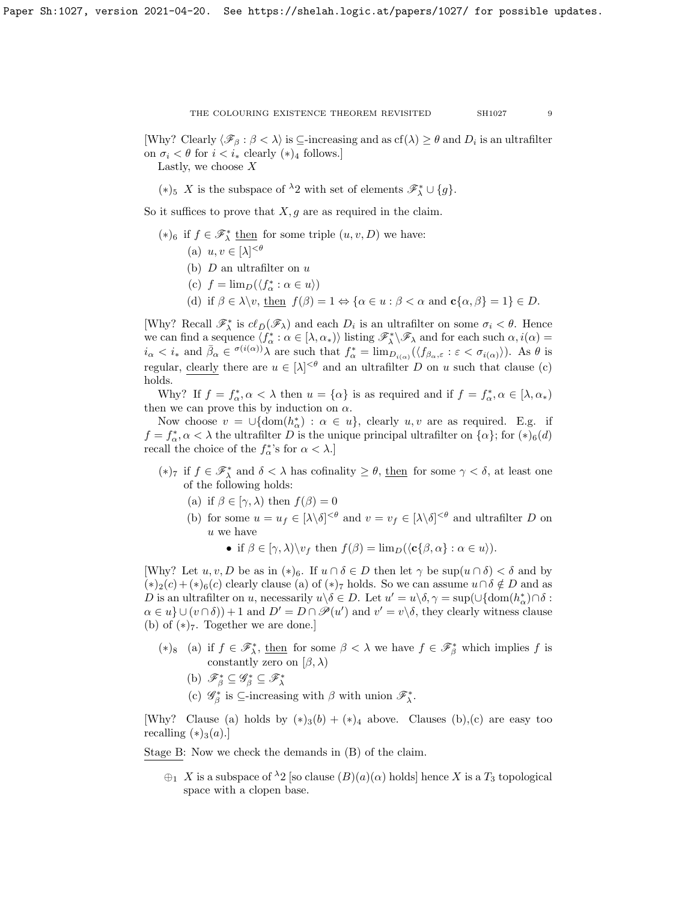[Why? Clearly  $\langle \mathcal{F}_{\beta} : \beta < \lambda \rangle$  is  $\subseteq$ -increasing and as  $cf(\lambda) \geq \theta$  and  $D_i$  is an ultrafilter on  $\sigma_i < \theta$  for  $i < i_*$  clearly  $(*)_4$  follows.] Lastly, we choose  $\boldsymbol{X}$ 

(\*)<sub>5</sub> X is the subspace of <sup> $\lambda$ </sup>2 with set of elements  $\mathscr{F}_{\lambda}^* \cup \{g\}.$ 

So it suffices to prove that  $X, g$  are as required in the claim.

- (\*)<sub>6</sub> if  $f \in \mathscr{F}^*_{\lambda}$  <u>then</u> for some triple  $(u, v, D)$  we have:
	- (a)  $u, v \in [\lambda]^{<\theta}$
	- (b)  $D$  an ultrafilter on  $u$
	- (c)  $f = \lim_D(\langle f^*_\alpha : \alpha \in u \rangle)$
	- (d) if  $\beta \in \lambda \backslash v$ , then  $f(\beta) = 1 \Leftrightarrow {\alpha \in u : \beta < \alpha \text{ and } \mathbf{c} {\alpha, \beta} = 1} \in D$ .

[Why? Recall  $\mathscr{F}_{\lambda}^*$  is  $c\ell_{\bar{D}}(\mathscr{F}_{\lambda})$  and each  $D_i$  is an ultrafilter on some  $\sigma_i < \theta$ . Hence we can find a sequence  $\langle f^*_{\alpha} : \alpha \in [\lambda, \alpha_*) \rangle$  listing  $\mathscr{F}^*_{\lambda} \setminus \mathscr{F}_{\lambda}$  and for each such  $\alpha, i(\alpha) =$  $i_{\alpha} < i_{*}$  and  $\bar{\beta}_{\alpha} \in \sigma(i(\alpha))\lambda$  are such that  $f_{\alpha}^{*} = \lim_{D_{i(\alpha)}} (\langle f_{\beta_{\alpha},\varepsilon} : \varepsilon < \sigma_{i(\alpha)} \rangle)$ . As  $\theta$  is regular, clearly there are  $u \in [\lambda]^{<\theta}$  and an ultrafilter D on u such that clause (c) holds.

Why? If  $f = f^*_{\alpha}, \alpha < \lambda$  then  $u = {\alpha}$  is as required and if  $f = f^*_{\alpha}, \alpha \in [\lambda, \alpha_*]$ then we can prove this by induction on  $\alpha$ .

Now choose  $v = \bigcup \{ \text{dom}(h^*_{\alpha}) : \alpha \in u \}$ , clearly  $u, v$  are as required. E.g. if  $f = f^*_{\alpha}, \alpha < \lambda$  the ultrafilter D is the unique principal ultrafilter on  $\{\alpha\}$ ; for  $(*)_6(d)$ recall the choice of the  $f_{\alpha}^*$ 's for  $\alpha < \lambda$ .]

- (\*)<sup>7</sup> if  $f \in \mathcal{F}^*_{\lambda}$  and  $\delta < \lambda$  has cofinality ≥  $\theta$ , then for some  $\gamma < \delta$ , at least one of the following holds:
	- (a) if  $\beta \in [\gamma, \lambda)$  then  $f(\beta) = 0$
	- (b) for some  $u = u_f \in [\lambda \setminus \delta]^{<\theta}$  and  $v = v_f \in [\lambda \setminus \delta]^{<\theta}$  and ultrafilter D on  $u$  we have
		- if  $\beta \in [\gamma, \lambda) \backslash v_f$  then  $f(\beta) = \lim_{D} (\langle \mathbf{c} \{\beta, \alpha \} : \alpha \in u \rangle).$

[Why? Let  $u, v, D$  be as in  $(*)_6$ . If  $u \cap \delta \in D$  then let  $\gamma$  be  $\sup(u \cap \delta) < \delta$  and by  $(*)_2(c) + (*)_6(c)$  clearly clause (a) of  $(*)_7$  holds. So we can assume  $u \cap \delta \notin D$  and as D is an ultrafilter on u, necessarily  $u \backslash \delta \in D$ . Let  $u' = u \backslash \delta$ ,  $\gamma = \sup(\cup \{ \text{dom}(h^*_{\alpha}) \cap \delta :$  $\alpha \in u$   $\cup$   $(v \cap \delta)$  + 1 and  $D' = D \cap \mathscr{P}(u')$  and  $v' = v \setminus \delta$ , they clearly witness clause (b) of  $(*)_7$ . Together we are done.]

- (\*)<sub>8</sub> (a) if  $f \in \mathscr{F}_{\lambda}^*$ , then for some  $\beta < \lambda$  we have  $f \in \mathscr{F}_{\beta}^*$  which implies f is constantly zero on  $(\beta, \lambda)$ 
	- (b)  $\mathscr{F}_{\beta}^* \subseteq \mathscr{G}_{\beta}^* \subseteq \mathscr{F}_{\lambda}^*$
	- (c)  $\mathscr{G}_{\beta}^*$  is  $\subseteq$ -increasing with  $\beta$  with union  $\mathscr{F}_{\lambda}^*$ .

[Why? Clause (a) holds by  $(*)_3(b) + (*)_4$  above. Clauses (b),(c) are easy too recalling  $(*)_3(a).$ ]

Stage B: Now we check the demands in (B) of the claim.

 $\oplus_1$  X is a subspace of  $\lambda_2$  [so clause  $(B)(a)(\alpha)$  holds] hence X is a  $T_3$  topological space with a clopen base.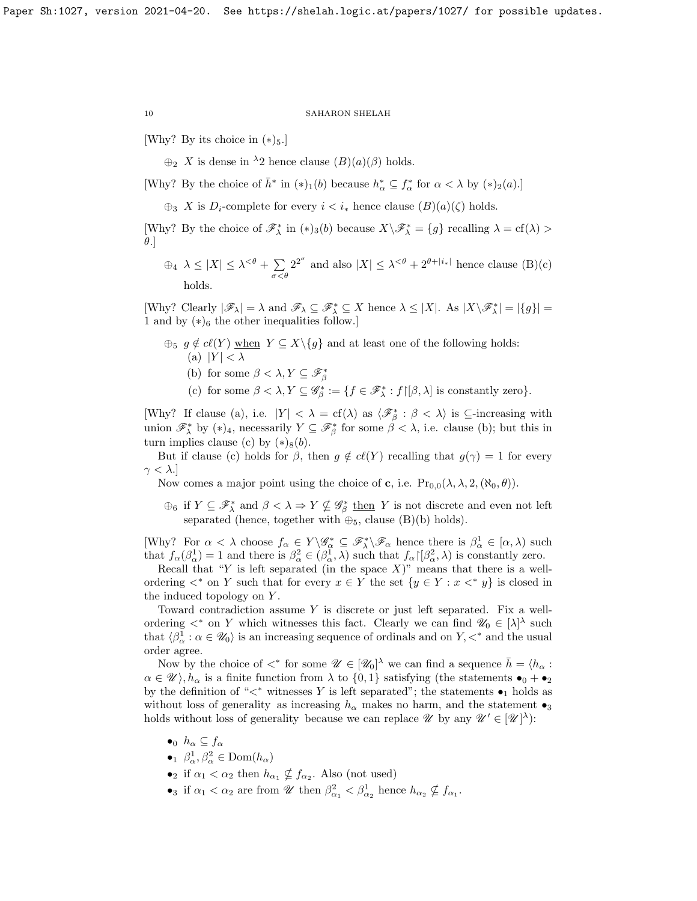[Why? By its choice in  $(*)_5$ .]

 $\oplus_2$  X is dense in <sup>λ</sup>2 hence clause  $(B)(a)(\beta)$  holds.

[Why? By the choice of  $\bar{h}^*$  in  $(*)_1(b)$  because  $h^*_{\alpha} \subseteq f^*_{\alpha}$  for  $\alpha < \lambda$  by  $(*)_2(a)$ .]

 $\bigoplus_3 X$  is  $D_i$ -complete for every  $i < i_*$  hence clause  $(B)(a)(\zeta)$  holds.

[Why? By the choice of  $\mathscr{F}_{\lambda}^*$  in  $(*)_3(b)$  because  $X\setminus \mathscr{F}_{\lambda}^* = \{g\}$  recalling  $\lambda = cf(\lambda) >$  $\theta$ .]

 $\oplus_4$   $\lambda \leq |X| \leq \lambda^{<\theta} + \sum$  $\sigma<\theta$  $2^{2^{\sigma}}$  and also  $|X| \leq \lambda^{<\theta} + 2^{\theta + |i_*|}$  hence clause (B)(c) holds.

[Why? Clearly  $|\mathscr{F}_\lambda| = \lambda$  and  $\mathscr{F}_\lambda \subseteq \mathscr{F}_\lambda^* \subseteq X$  hence  $\lambda \leq |X|$ . As  $|X \backslash \mathscr{F}_\lambda^*| = |\{g\}| =$ 1 and by  $(*)_6$  the other inequalities follow.]

- $\oplus_5$  g  $\notin c\ell(Y)$  when  $Y \subseteq X\backslash\{g\}$  and at least one of the following holds: (a)  $|Y| < \lambda$ 
	- (b) for some  $\beta < \lambda, Y \subseteq \mathscr{F}_{\beta}^*$
	- (c) for some  $\beta < \lambda, Y \subseteq \mathscr{G}_{\beta}^* := \{f \in \mathscr{F}_{\lambda}^* : f \upharpoonright [\beta, \lambda] \text{ is constantly zero}\}.$

[Why? If clause (a), i.e.  $|Y| < \lambda = cf(\lambda)$  as  $\langle \mathcal{F}_{\beta}^* : \beta < \lambda \rangle$  is  $\subseteq$ -increasing with union  $\mathscr{F}_{\lambda}^*$  by  $(*)_4$ , necessarily  $Y \subseteq \mathscr{F}_{\beta}^*$  for some  $\beta < \lambda$ , i.e. clause (b); but this in turn implies clause (c) by  $(*)_8(b)$ .

But if clause (c) holds for  $\beta$ , then  $g \notin cl(Y)$  recalling that  $g(\gamma) = 1$  for every  $\gamma < \lambda$ .

Now comes a major point using the choice of **c**, i.e.  $Pr_{0,0}(\lambda, \lambda, 2, (\aleph_0, \theta)).$ 

 $\oplus_6$  if  $Y \subseteq \mathscr{F}^*_\lambda$  and  $\beta < \lambda \Rightarrow Y \nsubseteq \mathscr{G}^*_\beta$  then Y is not discrete and even not left separated (hence, together with  $\oplus_5$ , clause (B)(b) holds).

[Why? For  $\alpha < \lambda$  choose  $f_{\alpha} \in Y \backslash \mathscr{G}_{\alpha}^* \subseteq \mathscr{F}_{\lambda}^* \backslash \mathscr{F}_{\alpha}$  hence there is  $\beta_{\alpha}^1 \in [\alpha, \lambda)$  such that  $f_{\alpha}(\beta_{\alpha}^1) = 1$  and there is  $\beta_{\alpha}^2 \in (\beta_{\alpha}^1, \lambda)$  such that  $f_{\alpha}[\beta_{\alpha}^2, \lambda)$  is constantly zero.

Recall that "Y is left separated (in the space  $X$ )" means that there is a wellordering  $\lt^*$  on Y such that for every  $x \in Y$  the set  $\{y \in Y : x \lt^* y\}$  is closed in the induced topology on Y .

Toward contradiction assume  $Y$  is discrete or just left separated. Fix a wellordering  $\lt^*$  on Y which witnesses this fact. Clearly we can find  $\mathscr{U}_0 \in [\lambda]^\lambda$  such that  $\langle \beta^1_\alpha : \alpha \in \mathcal{U}_0 \rangle$  is an increasing sequence of ordinals and on  $Y, \lt^*$  and the usual order agree.

Now by the choice of  $\lt^*$  for some  $\mathscr{U} \in [\mathscr{U}_0]^{\lambda}$  we can find a sequence  $\bar{h} = \langle h_{\alpha} :$  $\alpha \in \mathscr{U} \setminus h_{\alpha}$  is a finite function from  $\lambda$  to  $\{0,1\}$  satisfying (the statements  $\bullet_0 + \bullet_2$ by the definition of " $\lt^*$  witnesses Y is left separated"; the statements  $\bullet_1$  holds as without loss of generality as increasing  $h_{\alpha}$  makes no harm, and the statement  $\bullet_3$ holds without loss of generality because we can replace  $\mathscr U$  by any  $\mathscr U' \in [\mathscr U]^\lambda$ :

- $\bullet_0$   $h_\alpha \subseteq f_\alpha$
- $\theta_1$   $\beta_\alpha^1, \beta_\alpha^2 \in \text{Dom}(h_\alpha)$
- if  $\alpha_1 < \alpha_2$  then  $h_{\alpha_1} \nsubseteq f_{\alpha_2}$ . Also (not used)
- •<sup>3</sup> if  $\alpha_1 < \alpha_2$  are from  $\mathscr{U}$  then  $\beta_{\alpha_1}^2 < \beta_{\alpha_2}^1$  hence  $h_{\alpha_2} \nsubseteq f_{\alpha_1}$ .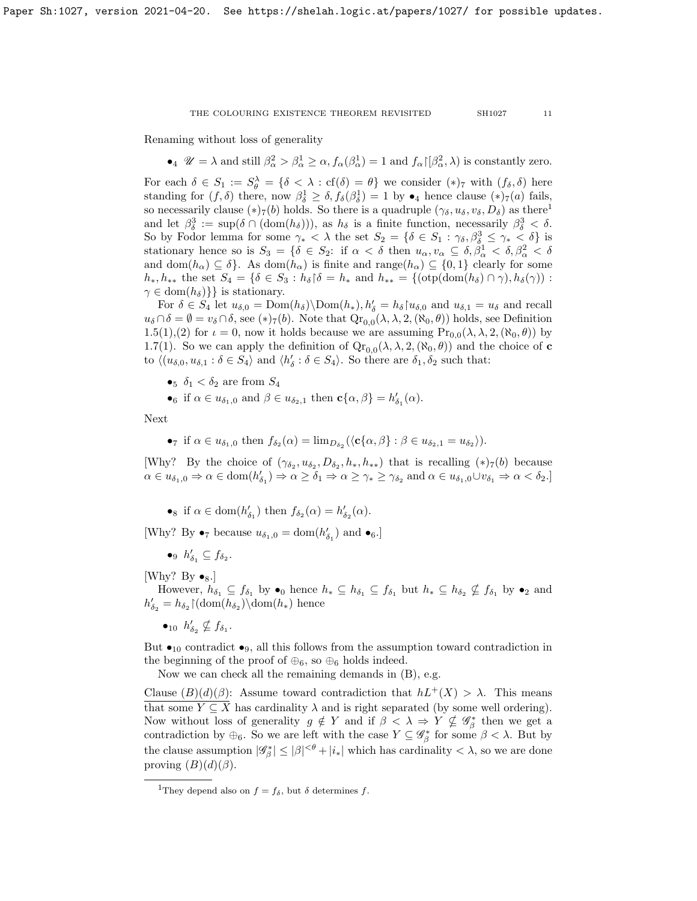Renaming without loss of generality

•  $\mathcal{U} = \lambda$  and still  $\beta_{\alpha}^2 > \beta_{\alpha}^1 \geq \alpha$ ,  $f_{\alpha}(\beta_{\alpha}^1) = 1$  and  $f_{\alpha} | \beta_{\alpha}^2, \lambda)$  is constantly zero.

For each  $\delta \in S_1 := S_\theta^\lambda = \{\delta < \lambda : \text{cf}(\delta) = \theta\}$  we consider  $(*)_7$  with  $(f_\delta, \delta)$  here standing for  $(f, \delta)$  there, now  $\beta_{\delta}^1 \geq \delta$ ,  $f_{\delta}(\beta_{\delta}^1) = 1$  by  $\bullet_4$  hence clause  $(*)_7(a)$  fails, so necessarily clause  $(*)_7(b)$  holds. So there is a quadruple  $(\gamma_\delta, u_\delta, v_\delta, D_\delta)$  as there<sup>[1](#page-10-0)</sup> and let  $\beta_{\delta}^3 := \sup(\delta \cap (\text{dom}(h_{\delta}))),$  as  $h_{\delta}$  is a finite function, necessarily  $\beta_{\delta}^3 < \delta$ . So by Fodor lemma for some  $\gamma_* < \lambda$  the set  $S_2 = \{ \delta \in S_1 : \gamma_{\delta}, \beta_{\delta}^3 \leq \gamma_* < \delta \}$  is stationary hence so is  $S_3 = \{\delta \in S_2: \text{ if } \alpha < \delta \text{ then } u_\alpha, v_\alpha \subseteq \delta, \beta^1_\alpha < \delta, \beta^2_\alpha < \delta \}$ and dom $(h_{\alpha}) \subseteq \delta$ . As dom $(h_{\alpha})$  is finite and range $(h_{\alpha}) \subseteq \{0,1\}$  clearly for some  $h_*, h_{**}$  the set  $S_4 = \{ \delta \in S_3 : h_\delta \, | \, \delta = h_* \text{ and } h_{**} = \{ (\text{otp}(dom(h_\delta) \cap \gamma), h_\delta(\gamma)) :$  $\gamma \in \text{dom}(h_\delta)$ } is stationary.

For  $\delta \in S_4$  let  $u_{\delta,0} = \text{Dom}(h_{\delta}) \setminus \text{Dom}(h_*)$ ,  $h'_{\delta} = h_{\delta} \setminus u_{\delta,0}$  and  $u_{\delta,1} = u_{\delta}$  and recall  $u_{\delta} \cap \delta = \emptyset = v_{\delta} \cap \delta$ , see (\*)<sub>7</sub>(b). Note that  $\mathrm{Qr}_{0,0}(\lambda, \lambda, 2, (\aleph_0, \theta))$  holds, see Definition [1.5\(](#page-2-1)1),(2) for  $\iota = 0$ , now it holds because we are assuming  $\Pr_{0,0}(\lambda, \lambda, 2, (\aleph_0, \theta))$  by [1.7\(](#page-3-2)1). So we can apply the definition of  $Qr_{0,0}(\lambda, \lambda, 2, (\aleph_0, \theta))$  and the choice of **c** to  $\langle (u_{\delta,0}, u_{\delta,1} : \delta \in S_4 \rangle$  and  $\langle h'_\delta : \delta \in S_4 \rangle$ . So there are  $\delta_1, \delta_2$  such that:

- •5  $\delta_1 < \delta_2$  are from  $S_4$
- •<sub>6</sub> if  $\alpha \in u_{\delta_1,0}$  and  $\beta \in u_{\delta_2,1}$  then  $\mathbf{c}\{\alpha,\beta\} = h'_{\delta_1}(\alpha)$ .

Next

•
$$
\tau
$$
 if  $\alpha \in u_{\delta_1,0}$  then  $f_{\delta_2}(\alpha) = \lim_{D_{\delta_2}} (\langle \mathbf{c}\{\alpha,\beta\} : \beta \in u_{\delta_2,1} = u_{\delta_2})$ ).

[Why? By the choice of  $(\gamma_{\delta_2}, u_{\delta_2}, D_{\delta_2}, h_*, h_{**})$  that is recalling  $(*)_7(b)$  because  $\alpha \in u_{\delta_1,0} \Rightarrow \alpha \in \text{dom}(h'_{\delta_1}) \Rightarrow \alpha \geq \delta_1 \Rightarrow \alpha \geq \gamma_* \geq \gamma_{\delta_2} \text{ and } \alpha \in u_{\delta_1,0} \cup v_{\delta_1} \Rightarrow \alpha < \delta_2.$ 

•<sup>8</sup> if  $\alpha \in \text{dom}(h'_{\delta_1})$  then  $f_{\delta_2}(\alpha) = h'_{\delta_2}(\alpha)$ .

[Why? By  $\bullet_7$  because  $u_{\delta_1,0} = \text{dom}(h'_{\delta_1})$  and  $\bullet_6$ .]

$$
\bullet_9 \ h'_{\delta_1} \subseteq f_{\delta_2}.
$$

[Why? By  $\bullet_8$ .]

However,  $h_{\delta_1} \subseteq f_{\delta_1}$  by  $\bullet_0$  hence  $h_* \subseteq h_{\delta_1} \subseteq f_{\delta_1}$  but  $h_* \subseteq h_{\delta_2} \nsubseteq f_{\delta_1}$  by  $\bullet_2$  and  $h'_{\delta_2} = h_{\delta_2} \lfloor (\text{dom}(h_{\delta_2})) \cdot \text{dom}(h_*) \text{ hence}$ 

 $\bullet_{10}$   $h'_{\delta_2} \nsubseteq f_{\delta_1}$ .

But  $\bullet_{10}$  contradict  $\bullet_{9}$ , all this follows from the assumption toward contradiction in the beginning of the proof of  $\oplus_6$ , so  $\oplus_6$  holds indeed.

Now we can check all the remaining demands in (B), e.g.

Clause  $(B)(d)(\beta)$ : Assume toward contradiction that  $hL^+(X) > \lambda$ . This means that some  $Y \subseteq X$  has cardinality  $\lambda$  and is right separated (by some well ordering). Now without loss of generality  $g \notin Y$  and if  $\beta < \lambda \Rightarrow Y \nsubseteq \mathscr{G}_{\beta}^*$  then we get a contradiction by  $\oplus_6$ . So we are left with the case  $Y \subseteq \mathscr{G}_\beta^*$  for some  $\beta < \lambda$ . But by the clause assumption  $|\mathscr{G}_{\beta}^*| \leq |\beta|^{<\theta} + |i_*|$  which has cardinality  $< \lambda$ , so we are done proving  $(B)(d)(\beta)$ .

<span id="page-10-0"></span><sup>&</sup>lt;sup>1</sup>They depend also on  $f = f_{\delta}$ , but  $\delta$  determines f.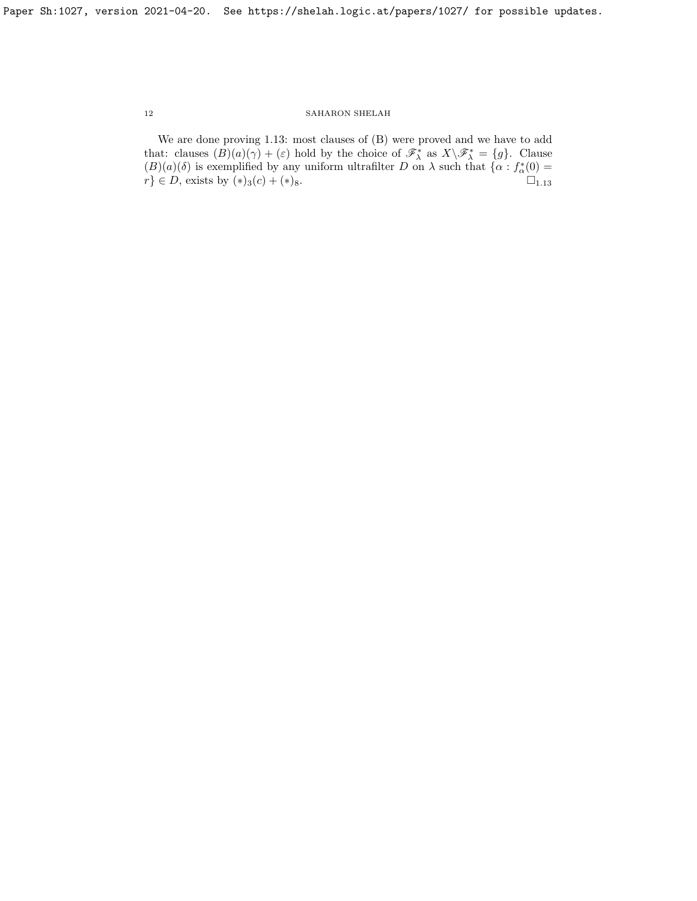We are done proving [1.13:](#page-6-1) most clauses of (B) were proved and we have to add that: clauses  $(B)(a)(\gamma) + (\varepsilon)$  hold by the choice of  $\mathscr{F}_{\lambda}^*$  as  $X\setminus \mathscr{F}_{\lambda}^* = \{g\}$ . Clause  $(B)(a)(\delta)$  is exemplified by any uniform ultrafilter D on  $\lambda$  such that  $\{\alpha : f^*_{\alpha}(0) =$  $r$ }  $\in$  *D*, exists by  $(*)_3(c) + (*)_8$ .  $\square_{1.13}$  $\square_{1.13}$  $\square_{1.13}$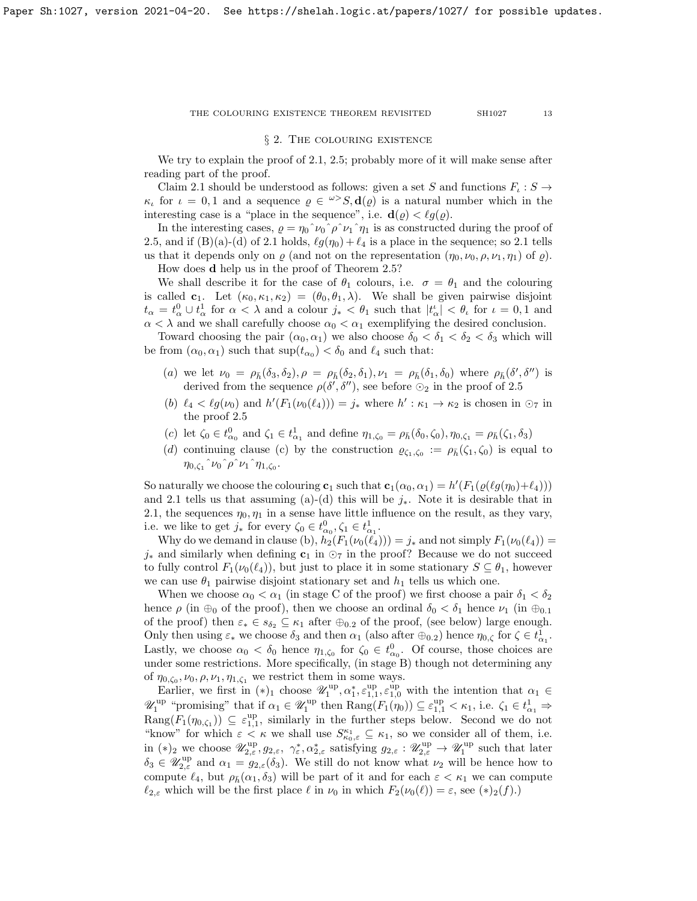## § 2. The colouring existence

We try to explain the proof of [2.1,](#page-13-0) [2.5;](#page-15-0) probably more of it will make sense after reading part of the proof.

Claim [2.1](#page-13-0) should be understood as follows: given a set S and functions  $F_{\iota}: S \to$  $\kappa_{\iota}$  for  $\iota = 0, 1$  and a sequence  $\rho \in \mathbb{R}^3$ ,  $\mathbf{d}(\rho)$  is a natural number which in the interesting case is a "place in the sequence", i.e.  $\mathbf{d}(\varrho) < \ell g(\varrho)$ .

In the interesting cases,  $\rho = \eta_0^{\hat{}}\nu_0^{\hat{}}\rho^{\hat{}}\nu_1^{\hat{}}\eta_1$  is as constructed during the proof of [2.5,](#page-15-0) and if (B)(a)-(d) of [2.1](#page-13-0) holds,  $\ell g(\eta_0) + \ell_4$  is a place in the sequence; so 2.1 tells us that it depends only on  $\varrho$  (and not on the representation  $(\eta_0, \nu_0, \rho, \nu_1, \eta_1)$  of  $\varrho$ ).

How does d help us in the proof of Theorem [2.5?](#page-15-0)

We shall describe it for the case of  $\theta_1$  colours, i.e.  $\sigma = \theta_1$  and the colouring is called  $c_1$ . Let  $(\kappa_0, \kappa_1, \kappa_2) = (\theta_0, \theta_1, \lambda)$ . We shall be given pairwise disjoint  $t_{\alpha} = t_{\alpha}^0 \cup t_{\alpha}^1$  for  $\alpha < \lambda$  and a colour  $j_* < \theta_1$  such that  $|t_{\alpha}| < \theta$  for  $\iota = 0, 1$  and  $\alpha<\lambda$  and we shall carefully choose  $\alpha_0<\alpha_1$  exemplifying the desired conclusion.

Toward choosing the pair  $(\alpha_0, \alpha_1)$  we also choose  $\delta_0 < \delta_1 < \delta_2 < \delta_3$  which will be from  $(\alpha_0, \alpha_1)$  such that  $\sup(t_{\alpha_0}) < \delta_0$  and  $\ell_4$  such that:

- (a) we let  $\nu_0 = \rho_{\bar{h}}(\delta_3, \delta_2), \rho = \rho_{\bar{h}}(\delta_2, \delta_1), \nu_1 = \rho_{\bar{h}}(\delta_1, \delta_0)$  where  $\rho_{\bar{h}}(\delta', \delta'')$  is derived from the sequence  $\rho(\delta', \delta'')$ , see before  $\odot_2$  in the proof of [2.5](#page-15-0)
- (b)  $\ell_4 < \ell_9(\nu_0)$  and  $h'(F_1(\nu_0(\ell_4))) = j_*$  where  $h' : \kappa_1 \to \kappa_2$  is chosen in  $\odot_7$  in the proof [2.5](#page-15-0)
- (c) let  $\zeta_0 \in t^0_{\alpha_0}$  and  $\zeta_1 \in t^1_{\alpha_1}$  and define  $\eta_{1,\zeta_0} = \rho_{\bar{h}}(\delta_0, \zeta_0), \eta_{0,\zeta_1} = \rho_{\bar{h}}(\zeta_1, \delta_3)$
- (d) continuing clause (c) by the construction  $\varrho_{\zeta_1,\zeta_0} := \rho_{\bar{h}}(\zeta_1,\zeta_0)$  is equal to  $\eta_{0,\zeta_1}$  ^  $\nu_0$  ^  $\rho$  ^  $\nu_1$  ^  $\eta_{1,\zeta_0}$ .

So naturally we choose the colouring  $\mathbf{c}_1$  such that  $\mathbf{c}_1(\alpha_0, \alpha_1) = h'(F_1(\varrho(\ell g(\eta_0)+\ell_4)))$ and [2.1](#page-13-0) tells us that assuming (a)-(d) this will be  $j_*$ . Note it is desirable that in [2.1,](#page-13-0) the sequences  $\eta_0, \eta_1$  in a sense have little influence on the result, as they vary, i.e. we like to get  $j_*$  for every  $\zeta_0 \in t^0_{\alpha_0}, \zeta_1 \in t^1_{\alpha_1}$ .

Why do we demand in clause (b),  $h_2(F_1(\nu_0(\ell_4))) = j_*$  and not simply  $F_1(\nu_0(\ell_4)) =$  $j_*$  and similarly when defining  $c_1$  in  $\odot_7$  in the proof? Because we do not succeed to fully control  $F_1(\nu_0(\ell_4))$ , but just to place it in some stationary  $S \subseteq \theta_1$ , however we can use  $\theta_1$  pairwise disjoint stationary set and  $h_1$  tells us which one.

When we choose  $\alpha_0 < \alpha_1$  (in stage C of the proof) we first choose a pair  $\delta_1 < \delta_2$ hence  $\rho$  (in  $\oplus_0$  of the proof), then we choose an ordinal  $\delta_0 < \delta_1$  hence  $\nu_1$  (in  $\oplus_{0,1}$ of the proof) then  $\varepsilon_* \in s_{\delta_2} \subseteq \kappa_1$  after  $\oplus_{0.2}$  of the proof, (see below) large enough. Only then using  $\varepsilon_*$  we choose  $\delta_3$  and then  $\alpha_1$  (also after  $\oplus_{0.2}$ ) hence  $\eta_{0,\zeta}$  for  $\zeta \in t^1_{\alpha_1}$ . Lastly, we choose  $\alpha_0 < \delta_0$  hence  $\eta_{1,\zeta_0}$  for  $\zeta_0 \in t^0_{\alpha_0}$ . Of course, those choices are under some restrictions. More specifically, (in stage B) though not determining any of  $\eta_{0,\zeta_0}, \nu_0, \rho, \nu_1, \eta_{1,\zeta_1}$  we restrict them in some ways.

Earlier, we first in  $(*)_1$  choose  $\mathscr{U}_1^{\text{up}}, \alpha_1^*, \varepsilon_{1,1}^{\text{up}}, \varepsilon_{1,0}^{\text{up}}$  with the intention that  $\alpha_1 \in$  $\mathscr{U}_1^{\text{up}}$  "promising" that if  $\alpha_1 \in \mathscr{U}_1^{\text{up}}$  then  $\text{Rang}(F_1(\eta_0)) \subseteq \varepsilon_{1,1}^{\text{up}} < \kappa_1$ , i.e.  $\zeta_1 \in t_{\alpha_1}^1 \Rightarrow$  $\text{Rang}(F_1(\eta_{0,\zeta_1})) \subseteq \varepsilon_{1,1}^{\text{up}},$  similarly in the further steps below. Second we do not "know" for which  $\varepsilon < \kappa$  we shall use  $S_{\kappa_0,\varepsilon}^{\kappa_1} \subseteq \kappa_1$ , so we consider all of them, i.e. in (\*)<sub>2</sub> we choose  $\mathscr{U}_{2,\varepsilon}^{\text{up}}, g_{2,\varepsilon}, \gamma_{\varepsilon}^*, \alpha_{2,\varepsilon}^*$  satisfying  $g_{2,\varepsilon} : \mathscr{U}_{2,\varepsilon}^{\text{up}} \to \mathscr{U}_1^{\text{up}}$  such that later  $\delta_3 \in \mathscr{U}_{2,\varepsilon}^{\text{up}}$  and  $\alpha_1 = g_{2,\varepsilon}(\delta_3)$ . We still do not know what  $\nu_2$  will be hence how to compute  $\ell_4$ , but  $\rho_{\bar{h}}(\alpha_1, \delta_3)$  will be part of it and for each  $\varepsilon < \kappa_1$  we can compute  $\ell_{2,\varepsilon}$  which will be the first place  $\ell$  in  $\nu_0$  in which  $F_2(\nu_0(\ell)) = \varepsilon$ , see  $(*)_2(f)$ .)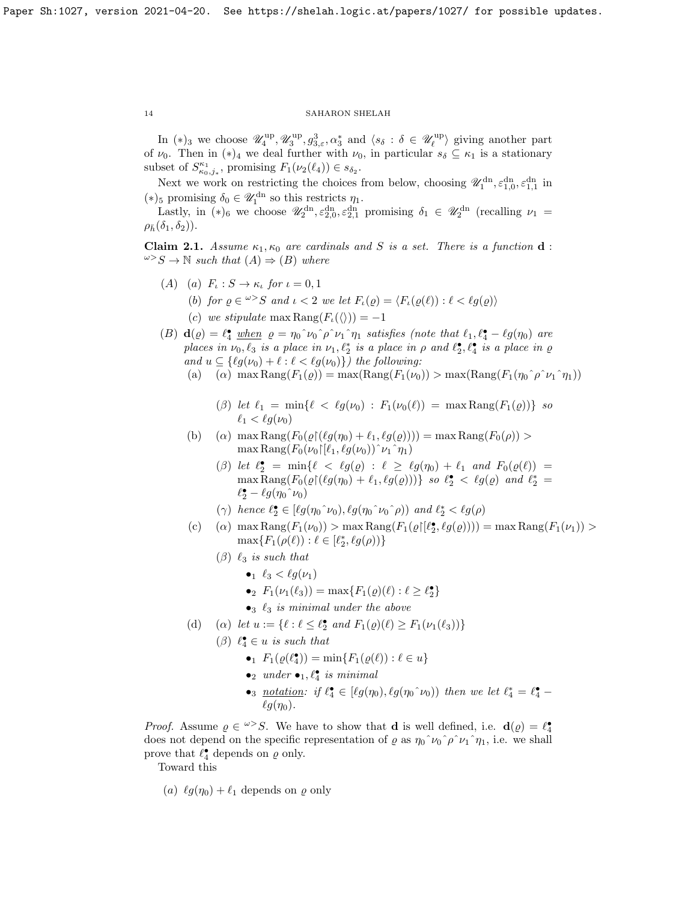In (\*)<sub>3</sub> we choose  $\mathscr{U}_4^{\text{up}}, \mathscr{U}_3^{\text{up}}, g_{3,\varepsilon}^3, \alpha_3^*$  and  $\langle s_\delta : \delta \in \mathscr{U}_\ell^{\text{up}} \rangle$  giving another part of  $\nu_0$ . Then in  $(*)_4$  we deal further with  $\nu_0$ , in particular  $s_\delta \subseteq \kappa_1$  is a stationary subset of  $S_{\kappa_0,j_*}^{\kappa_1}$ , promising  $F_1(\nu_2(\ell_4)) \in s_{\delta_2}$ .

Next we work on restricting the choices from below, choosing  $\mathscr{U}_1^{\text{dn}}, \varepsilon_{1,0}^{\text{dn}}, \varepsilon_{1,1}^{\text{dn}}$  in (\*)<sub>5</sub> promising  $\delta_0 \in \mathscr{U}_1^{\text{dn}}$  so this restricts  $\eta_1$ .

Lastly, in (\*)<sub>6</sub> we choose  $\mathscr{U}_2^{\text{dn}}, \varepsilon_{2,0}^{\text{dn}}, \varepsilon_{2,1}^{\text{dn}}$  promising  $\delta_1 \in \mathscr{U}_2^{\text{dn}}$  (recalling  $\nu_1 =$  $\rho_{\bar{h}}(\delta_1, \delta_2)$ .

<span id="page-13-0"></span>**Claim 2.1.** Assume  $\kappa_1, \kappa_0$  are cardinals and S is a set. There is a function **d** :  $\omega > S \rightarrow \mathbb{N}$  such that  $(A) \Rightarrow (B)$  where

- (A) (a)  $F_{\iota}: S \to \kappa_{\iota}$  for  $\iota = 0, 1$ 
	- (b) for  $\varrho \in \omega > S$  and  $\iota < 2$  we let  $F_{\iota}(\varrho) = \langle F_{\iota}(\varrho(\ell)) : \ell < \ell g(\varrho) \rangle$
	- (c) we stipulate max Rang $(F_{\iota}(\langle \rangle)) = -1$

(B)  $\mathbf{d}(\varrho) = \ell_4^{\bullet}$  when  $\varrho = \eta_0^{\circ} \nu_0^{\circ} \rho^{\circ} \nu_1^{\circ} \eta_1$  satisfies (note that  $\ell_1, \ell_4^{\bullet} - \ell g(\eta_0)$  are places in  $\nu_0, \ell_3$  is a place in  $\nu_1, \ell_2^*$  is a place in  $\rho$  and  $\ell_2^{\bullet}, \ell_4^{\bullet}$  is a place in  $\varrho$ and  $u \subseteq \{\ell g(\nu_0) + \ell : \ell < \ell g(\nu_0)\}\)$  the following:

- (a) (a) max Rang $(F_1(\varrho)) = \max(\text{Rang}(F_1(\nu_0)) > \max(\text{Rang}(F_1(\eta_0 \hat{\rho} \nu_1 \hat{\eta}_1)))$ 
	- (β) let  $\ell_1 = \min\{\ell < \ell g(\nu_0) : F_1(\nu_0(\ell)) = \max \text{Rang}(F_1(\varrho))\}$  so  $\ell_1 < \ell q(\nu_0)$
- (b) (a) max Rang $(F_0(\varrho \restriction (\ell g(\eta_0) + \ell_1, \ell g(\varrho)))) = \max \text{Rang}(F_0(\rho)) >$  $\max \text{Rang}(F_0(\nu_0)[\ell_1, \ell g(\nu_0))^{\hat{\ }}\nu_1^{\hat{\ }}\eta_1)$ 
	- ( $\beta$ ) let  $\ell_2^{\bullet} = \min\{\ell \prec \ell g(\varrho) : \ell \geq \ell g(\eta_0) + \ell_1 \text{ and } F_0(\varrho(\ell)) =$  $\max \text{Rang}(F_0(\varrho \restriction (\ell g(\eta_0) + \ell_1, \ell g(\varrho))))$  so  $\ell_2^{\bullet} < \ell g(\varrho)$  and  $\ell_2^* =$  $\ell_2^{\bullet} - \ell g(\eta_0\hat{~} \nu_0)$
	- ( $\gamma$ ) hence  $\ell_2^{\bullet} \in [\ell g(\eta_0 \gamma_0), \ell g(\eta_0 \gamma_0 \gamma_0))$  and  $\ell_2^* < \ell g(\rho)$
- (c) (a)  $\max \text{Rang}(F_1(\nu_0)) > \max \text{Rang}(F_1(\varrho([\ell_2^{\bullet}, \ell g(\varrho)))) = \max \text{Rang}(F_1(\nu_1)) >$  $\max\{F_1(\rho(\ell)) : \ell \in [\ell_2^*, \ell_2(\rho))\}$ 
	- $(\beta)$   $\ell_3$  is such that
		- $\bullet_1 \ell_3 < \ell q(\nu_1)$
		- $F_1(\nu_1(\ell_3)) = \max\{F_1(\varrho)(\ell) : \ell \geq \ell_2^{\bullet}\}\$
		- $\bullet_3$   $\ell_3$  is minimal under the above
- (d) (a) let  $u := \{ \ell : \ell \leq \ell_2^{\bullet} \text{ and } F_1(\varrho)(\ell) \geq F_1(\nu_1(\ell_3)) \}$ 
	- ( $\beta$ )  $\ell_4^{\bullet} \in u$  is such that
		- $F_1(\varrho(\ell_4^{\bullet})) = \min\{F_1(\varrho(\ell)) : \ell \in u\}$
		- $\bullet_2$  under  $\bullet_1, \ell_4^{\bullet}$  is minimal
		- •<sup>3</sup> notation: if  $\ell_4^* \in [\ell g(\eta_0), \ell g(\eta_0^{\wedge} \nu_0))$  then we let  $\ell_4^* = \ell_4^*$  $\ell g(\eta_0)$ .

*Proof.* Assume  $\varrho \in \omega > S$ . We have to show that **d** is well defined, i.e. **d**( $\varrho$ ) =  $\ell_4^{\bullet}$ does not depend on the specific representation of  $\varrho$  as  $\eta_0^{\hat{}}\gamma_0^{\hat{}}\rho^{\hat{}}\gamma_1^{\hat{}}\gamma_1^{\hat{}}$ , i.e. we shall prove that  $\ell_4^{\bullet}$  depends on  $\varrho$  only.

Toward this

(a)  $\ell q(\eta_0) + \ell_1$  depends on  $\rho$  only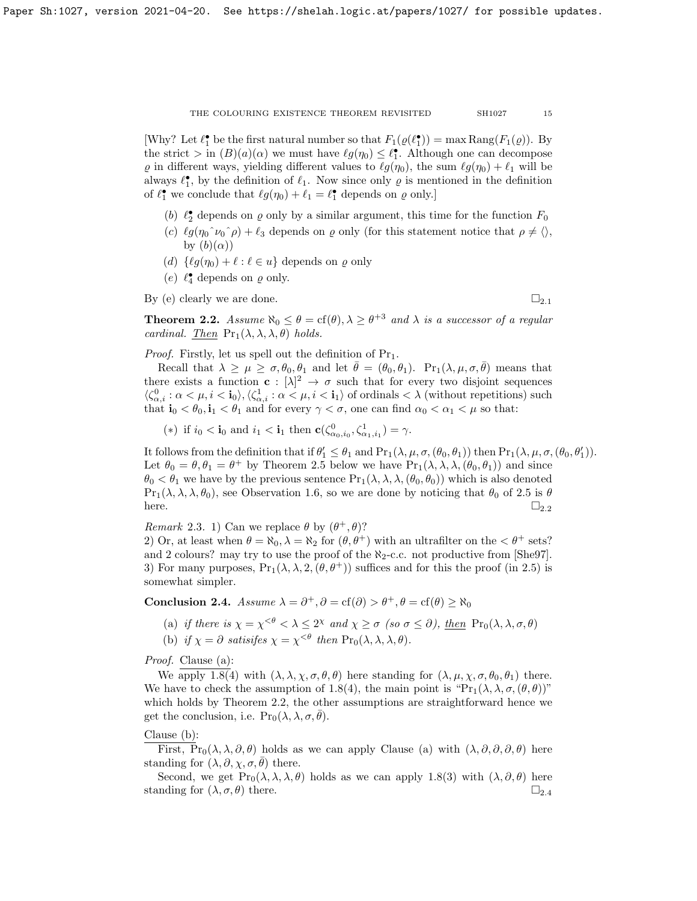[Why? Let  $\ell_1^{\bullet}$  be the first natural number so that  $F_1(\varrho(\ell_1^{\bullet})) = \max \text{Rang}(F_1(\varrho)).$  By the strict  $> \text{in } (B)(a)(\alpha)$  we must have  $\ell g(\eta_0) \leq \ell_1^{\bullet}$ . Although one can decompose  $\varrho$  in different ways, yielding different values to  $\ell g(\eta_0)$ , the sum  $\ell g(\eta_0) + \ell_1$  will be always  $\ell_1^{\bullet}$ , by the definition of  $\ell_1$ . Now since only  $\rho$  is mentioned in the definition of  $\ell_1^{\bullet}$  we conclude that  $\ell g(\eta_0) + \ell_1 = \ell_1^{\bullet}$  depends on  $\varrho$  only.]

- (b)  $\ell_2^{\bullet}$  depends on  $\varrho$  only by a similar argument, this time for the function  $F_0$
- (c)  $\ell g(\eta_0 \gamma \nu_0 \gamma \rho) + \ell_3$  depends on  $\rho$  only (for this statement notice that  $\rho \neq \langle \rangle$ , by  $(b)(\alpha))$
- (d)  $\{\ell g(\eta_0) + \ell : \ell \in u\}$  depends on  $\varrho$  only
- (e)  $\ell_4^{\bullet}$  depends on  $\varrho$  only.

By (e) clearly we are done.  $\Box_{2.1}$  $\Box_{2.1}$  $\Box_{2.1}$ 

<span id="page-14-0"></span>**Theorem 2.2.** Assume  $\aleph_0 \le \theta = \text{cf}(\theta), \lambda \ge \theta^{+3}$  and  $\lambda$  is a successor of a regular cardinal. Then  $Pr_1(\lambda, \lambda, \lambda, \theta)$  holds.

*Proof.* Firstly, let us spell out the definition of  $Pr_1$ .

Recall that  $\lambda \geq \mu \geq \sigma, \theta_0, \theta_1$  and let  $\bar{\theta} = (\theta_0, \theta_1)$ .  $Pr_1(\lambda, \mu, \sigma, \bar{\theta})$  means that there exists a function  $c: [\lambda]^2 \to \sigma$  such that for every two disjoint sequences  $\langle \zeta_{\alpha,i}^0 : \alpha < \mu, i < \mathbf{i}_0 \rangle, \langle \zeta_{\alpha,i}^1 : \alpha < \mu, i < \mathbf{i}_1 \rangle$  of ordinals  $\langle \lambda \rangle$  (without repetitions) such that  $\mathbf{i}_0 < \theta_0, \mathbf{i}_1 < \theta_1$  and for every  $\gamma < \sigma$ , one can find  $\alpha_0 < \alpha_1 < \mu$  so that:

(\*) if  $i_0 < \mathbf{i}_0$  and  $i_1 < \mathbf{i}_1$  then  $\mathbf{c}(\zeta_{\alpha_0,i_0}^0, \zeta_{\alpha_1,i_1}^1) = \gamma$ .

It follows from the definition that if  $\theta'_1 \leq \theta_1$  and  $Pr_1(\lambda, \mu, \sigma, (\theta_0, \theta_1))$  then  $Pr_1(\lambda, \mu, \sigma, (\theta_0, \theta'_1))$ . Let  $\theta_0 = \theta, \theta_1 = \theta^+$  by Theorem [2.5](#page-15-0) below we have  $Pr_1(\lambda, \lambda, \lambda, (\theta_0, \theta_1))$  and since  $\theta_0 < \theta_1$  we have by the previous sentence  $\Pr_1(\lambda, \lambda, \lambda, (\theta_0, \theta_0))$  which is also denoted  $Pr_1(\lambda, \lambda, \lambda, \theta_0)$ , see Observation [1.6,](#page-3-1) so we are done by noticing that  $\theta_0$  of [2.5](#page-15-0) is  $\theta$ here.  $\square_{2,2}$  $\square_{2,2}$  $\square_{2,2}$ 

Remark 2.3. 1) Can we replace  $\theta$  by  $(\theta^+, \theta)$ ?

2) Or, at least when  $\theta = \aleph_0$ ,  $\lambda = \aleph_2$  for  $(\theta, \theta^+)$  with an ultrafilter on the  $\lt \theta^+$  sets? and 2 colours? may try to use the proof of the  $\aleph_2$ -c.c. not productive from [\[She97\]](#page-26-6). 3) For many purposes,  $Pr_1(\lambda, \lambda, 2, (\theta, \theta^+))$  suffices and for this the proof (in [2.5\)](#page-15-0) is somewhat simpler.

<span id="page-14-1"></span>Conclusion 2.4. Assume  $\lambda = \partial^+, \partial = \text{cf}(\partial) > \theta^+, \theta = \text{cf}(\theta) \ge \aleph_0$ 

(a) if there is  $\chi = \chi^{<\theta} < \lambda \leq 2^{\chi}$  and  $\chi \geq \sigma$  (so  $\sigma \leq \partial$ ), then  $\Pr_0(\lambda, \lambda, \sigma, \theta)$ 

(b) if  $\chi = \partial$  satisifes  $\chi = \chi^{<\theta}$  then  $\Pr_0(\lambda, \lambda, \lambda, \theta)$ .

Proof. Clause (a):

We apply [1.8\(](#page-3-0)4) with  $(\lambda, \lambda, \chi, \sigma, \theta, \theta)$  here standing for  $(\lambda, \mu, \chi, \sigma, \theta_0, \theta_1)$  there. We have to check the assumption of [1.8\(](#page-3-0)4), the main point is " $Pr_1(\lambda, \lambda, \sigma, (\theta, \theta))$ " which holds by Theorem [2.2,](#page-14-0) the other assumptions are straightforward hence we get the conclusion, i.e.  $\Pr_0(\lambda, \lambda, \sigma, \theta)$ .

# Clause (b):

First,  $Pr_0(\lambda, \lambda, \partial, \theta)$  holds as we can apply Clause (a) with  $(\lambda, \partial, \partial, \partial, \theta)$  here standing for  $(\lambda, \partial, \chi, \sigma, \theta)$  there.

Second, we get  $\Pr_0(\lambda, \lambda, \lambda, \theta)$  holds as we can apply [1.8\(](#page-3-0)3) with  $(\lambda, \partial, \theta)$  here standing for  $(\lambda, \sigma, \theta)$  there.  $\Box_{2,4}$  $\Box_{2,4}$  $\Box_{2,4}$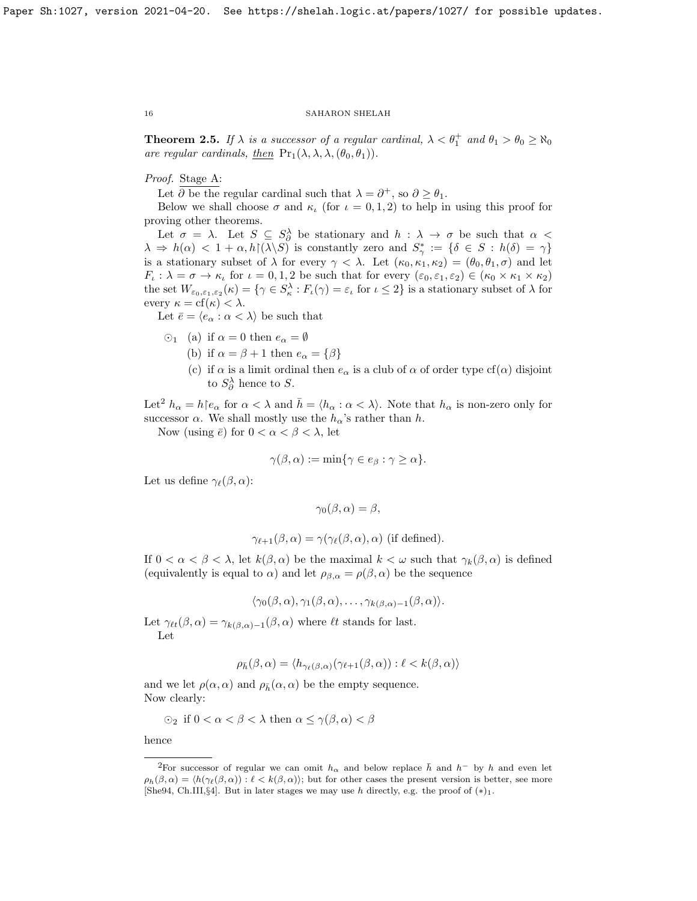<span id="page-15-0"></span>**Theorem 2.5.** If  $\lambda$  is a successor of a regular cardinal,  $\lambda < \theta_1^+$  and  $\theta_1 > \theta_0 \ge \aleph_0$ are regular cardinals, <u>then</u>  $Pr_1(\lambda, \lambda, \lambda, (\theta_0, \theta_1)).$ 

# Proof. Stage A:

Let  $\partial$  be the regular cardinal such that  $\lambda = \partial^+$ , so  $\partial \geq \theta_1$ .

Below we shall choose  $\sigma$  and  $\kappa$ <sub>ι</sub> (for  $\iota = 0, 1, 2$ ) to help in using this proof for proving other theorems.

Let  $\sigma = \lambda$ . Let  $S \subseteq S_\partial^\lambda$  be stationary and  $h : \lambda \to \sigma$  be such that  $\alpha$  $\lambda \Rightarrow h(\alpha) < 1 + \alpha, h(\lambda \setminus S)$  is constantly zero and  $S^*_{\gamma} := \{ \delta \in S : h(\delta) = \gamma \}$ is a stationary subset of  $\lambda$  for every  $\gamma < \lambda$ . Let  $(\kappa_0, \kappa_1, \kappa_2) = (\theta_0, \theta_1, \sigma)$  and let  $F_{\iota} : \lambda = \sigma \to \kappa_{\iota}$  for  $\iota = 0, 1, 2$  be such that for every  $(\varepsilon_0, \varepsilon_1, \varepsilon_2) \in (\kappa_0 \times \kappa_1 \times \kappa_2)$ the set  $W_{\varepsilon_0,\varepsilon_1,\varepsilon_2}(\kappa) = \{ \gamma \in S_\kappa^\lambda : F_\iota(\gamma) = \varepsilon_\iota \text{ for } \iota \leq 2 \}$  is a stationary subset of  $\lambda$  for every  $\kappa = \text{cf}(\kappa) < \lambda$ .

Let  $\bar{e} = \langle e_{\alpha} : \alpha < \lambda \rangle$  be such that

- $\odot$ <sub>1</sub> (a) if  $\alpha = 0$  then  $e_{\alpha} = \emptyset$ 
	- (b) if  $\alpha = \beta + 1$  then  $e_{\alpha} = {\beta}$
	- (c) if  $\alpha$  is a limit ordinal then  $e_{\alpha}$  is a club of  $\alpha$  of order type cf( $\alpha$ ) disjoint to  $S^{\lambda}_{\partial}$  hence to S.

Let<sup>[2](#page-15-1)</sup>  $h_{\alpha} = h \mid e_{\alpha}$  for  $\alpha < \lambda$  and  $h = \langle h_{\alpha} : \alpha < \lambda \rangle$ . Note that  $h_{\alpha}$  is non-zero only for successor  $\alpha$ . We shall mostly use the  $h_{\alpha}$ 's rather than h.

Now (using  $\bar{e}$ ) for  $0 < \alpha < \beta < \lambda$ , let

$$
\gamma(\beta,\alpha) := \min\{\gamma \in e_{\beta} : \gamma \geq \alpha\}.
$$

Let us define  $\gamma_{\ell}(\beta, \alpha)$ :

$$
\gamma_0(\beta, \alpha) = \beta,
$$
  

$$
\gamma_{\ell+1}(\beta, \alpha) = \gamma(\gamma_{\ell}(\beta, \alpha), \alpha) \text{ (if defined)}.
$$

If  $0 < \alpha < \beta < \lambda$ , let  $k(\beta, \alpha)$  be the maximal  $k < \omega$  such that  $\gamma_k(\beta, \alpha)$  is defined (equivalently is equal to  $\alpha$ ) and let  $\rho_{\beta,\alpha} = \rho(\beta,\alpha)$  be the sequence

$$
\langle \gamma_0(\beta,\alpha), \gamma_1(\beta,\alpha), \ldots, \gamma_{k(\beta,\alpha)-1}(\beta,\alpha) \rangle.
$$

Let  $\gamma_{\ell t}(\beta, \alpha) = \gamma_{k(\beta, \alpha)-1}(\beta, \alpha)$  where  $\ell t$  stands for last. Let

$$
\rho_{\bar{h}}(\beta,\alpha) = \langle h_{\gamma_{\ell}(\beta,\alpha)}(\gamma_{\ell+1}(\beta,\alpha)) : \ell < k(\beta,\alpha) \rangle
$$

and we let  $\rho(\alpha, \alpha)$  and  $\rho_{\bar{h}}(\alpha, \alpha)$  be the empty sequence. Now clearly:

$$
\odot_2 \text{ if } 0 < \alpha < \beta < \lambda \text{ then } \alpha \leq \gamma(\beta, \alpha) < \beta
$$

hence

<span id="page-15-1"></span><sup>&</sup>lt;sup>2</sup>For successor of regular we can omit  $h_{\alpha}$  and below replace  $\bar{h}$  and  $h^{-}$  by h and even let  $\rho_h(\beta, \alpha) = \langle h(\gamma_\ell(\beta, \alpha)) : \ell \langle k(\beta, \alpha) \rangle$ ; but for other cases the present version is better, see more [\[She94,](#page-26-2) Ch.III,§4]. But in later stages we may use h directly, e.g. the proof of  $(*)_1$ .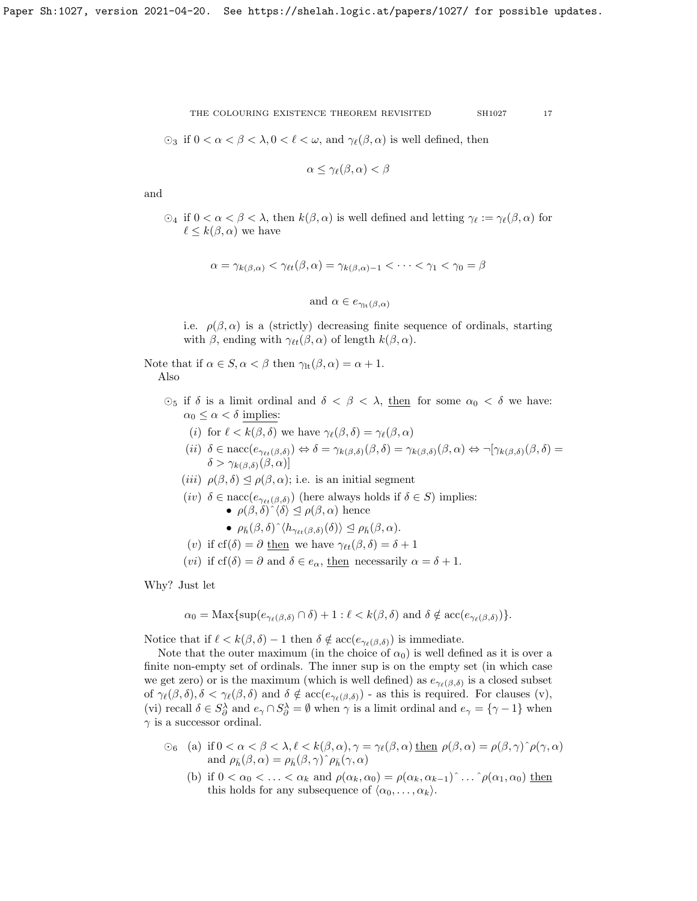$\odot_3$  if  $0 < \alpha < \beta < \lambda, 0 < \ell < \omega$ , and  $\gamma_{\ell}(\beta, \alpha)$  is well defined, then

$$
\alpha \leq \gamma_{\ell}(\beta, \alpha) < \beta
$$

and

 $\odot_4$  if  $0 < \alpha < \beta < \lambda$ , then  $k(\beta, \alpha)$  is well defined and letting  $\gamma_{\ell} := \gamma_{\ell}(\beta, \alpha)$  for  $\ell \leq k(\beta, \alpha)$  we have

$$
\alpha = \gamma_{k(\beta,\alpha)} < \gamma_{\ell t}(\beta,\alpha) = \gamma_{k(\beta,\alpha)-1} < \cdots < \gamma_1 < \gamma_0 = \beta
$$

and 
$$
\alpha \in e_{\gamma_{lt}(\beta,\alpha)}
$$

i.e.  $\rho(\beta,\alpha)$  is a (strictly) decreasing finite sequence of ordinals, starting with  $\beta$ , ending with  $\gamma_{\ell t}(\beta, \alpha)$  of length  $k(\beta, \alpha)$ .

Note that if  $\alpha \in S$ ,  $\alpha < \beta$  then  $\gamma_{\text{lt}}(\beta, \alpha) = \alpha + 1$ . Also

- $\odot_5$  if  $\delta$  is a limit ordinal and  $\delta < \beta < \lambda$ , then for some  $\alpha_0 < \delta$  we have:  $\alpha_0 \leq \alpha < \delta$  implies:
	- (i) for  $\ell < k(\beta, \delta)$  we have  $\gamma_{\ell}(\beta, \delta) = \gamma_{\ell}(\beta, \alpha)$
	- (ii)  $\delta \in \text{nacc}(e_{\gamma_{\ell}(k,\delta)}) \Leftrightarrow \delta = \gamma_{k(\beta,\delta)}(\beta,\delta) = \gamma_{k(\beta,\delta)}(\beta,\alpha) \Leftrightarrow \neg[\gamma_{k(\beta,\delta)}(\beta,\delta)] =$  $\delta > \gamma_{k(\beta,\delta)}(\beta,\alpha)$
	- (iii)  $\rho(\beta, \delta) \leq \rho(\beta, \alpha)$ ; i.e. is an initial segment
	- (iv)  $\delta \in \text{nacc}(e_{\gamma_{\ell t}(\beta,\delta)})$  (here always holds if  $\delta \in S$ ) implies: •  $\rho(\beta, \delta) \hat{ } \langle \delta \rangle \leq \rho(\beta, \alpha)$  hence

• 
$$
\rho_{\bar{h}}(\beta,\delta) \hat{h}_{\gamma_{\ell t}(\beta,\delta)}(\delta) \geq \rho_{\bar{h}}(\beta,\alpha).
$$

- (v) if  $cf(\delta) = \partial$  then we have  $\gamma_{\ell t}(\beta, \delta) = \delta + 1$
- (*vi*) if  $cf(\delta) = \partial$  and  $\delta \in e_\alpha$ , then necessarily  $\alpha = \delta + 1$ .

Why? Just let

$$
\alpha_0 = \operatorname{Max}\{\sup(e_{\gamma_{\ell}(\beta,\delta)} \cap \delta) + 1 : \ell < k(\beta,\delta) \text{ and } \delta \notin \operatorname{acc}(e_{\gamma_{\ell}(\beta,\delta)})\}.
$$

Notice that if  $\ell < k(\beta, \delta) - 1$  then  $\delta \notin \mathrm{acc}(e_{\gamma_{\ell}(\beta, \delta)})$  is immediate.

Note that the outer maximum (in the choice of  $\alpha_0$ ) is well defined as it is over a finite non-empty set of ordinals. The inner sup is on the empty set (in which case we get zero) or is the maximum (which is well defined) as  $e_{\gamma_{\ell}(\beta,\delta)}$  is a closed subset of  $\gamma_{\ell}(\beta, \delta), \delta < \gamma_{\ell}(\beta, \delta)$  and  $\delta \notin \mathrm{acc}(e_{\gamma_{\ell}(\beta, \delta)})$  - as this is required. For clauses (v), (vi) recall  $\delta \in S^{\lambda}_{\partial}$  and  $e_{\gamma} \cap S^{\lambda}_{\partial} = \emptyset$  when  $\gamma$  is a limit ordinal and  $e_{\gamma} = \{ \gamma - 1 \}$  when  $\gamma$  is a successor ordinal.

- $\circledcirc_6$  (a) if  $0 < \alpha < \beta < \lambda, \ell < k(\beta, \alpha), \gamma = \gamma_{\ell}(\beta, \alpha)$  then  $\rho(\beta, \alpha) = \rho(\beta, \gamma) \hat{\rho}(\gamma, \alpha)$ and  $\rho_{\bar{h}}(\beta,\alpha) = \rho_{\bar{h}}(\beta,\gamma) \hat{\rho}_{\bar{h}}(\gamma,\alpha)$ 
	- (b) if  $0 < \alpha_0 < \ldots < \alpha_k$  and  $\rho(\alpha_k, \alpha_0) = \rho(\alpha_k, \alpha_{k-1}) \hat{\ } \ldots \hat{\ } \rho(\alpha_1, \alpha_0)$  then this holds for any subsequence of  $\langle \alpha_0, \ldots, \alpha_k \rangle$ .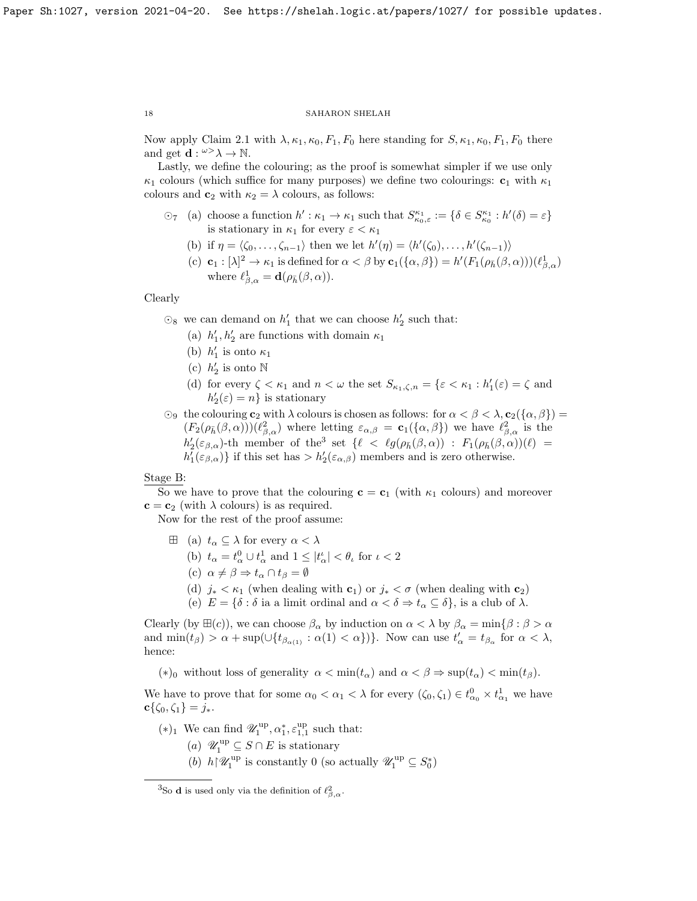Now apply Claim [2.1](#page-13-0) with  $\lambda, \kappa_1, \kappa_0, F_1, F_0$  here standing for  $S, \kappa_1, \kappa_0, F_1, F_0$  there and get  $\mathbf{d} : \omega > \lambda \to \mathbb{N}$ .

Lastly, we define the colouring; as the proof is somewhat simpler if we use only  $\kappa_1$  colours (which suffice for many purposes) we define two colourings:  $\mathbf{c}_1$  with  $\kappa_1$ colours and  $c_2$  with  $\kappa_2 = \lambda$  colours, as follows:

- $\odot_7$  (a) choose a function  $h': \kappa_1 \to \kappa_1$  such that  $S_{\kappa_0, \varepsilon}^{\kappa_1} := \{ \delta \in S_{\kappa_0}^{\kappa_1} : h'(\delta) = \varepsilon \}$ is stationary in  $\kappa_1$  for every  $\varepsilon < \kappa_1$ 
	- (b) if  $\eta = \langle \zeta_0, \ldots, \zeta_{n-1} \rangle$  then we let  $h'(\eta) = \langle h'(\zeta_0), \ldots, h'(\zeta_{n-1}) \rangle$
	- (c)  $\mathbf{c}_1 : [\lambda]^2 \to \kappa_1$  is defined for  $\alpha < \beta$  by  $\mathbf{c}_1(\{\alpha, \beta\}) = h'(F_1(\rho_{\bar{h}}(\beta, \alpha)))(\ell_{\beta, \alpha}^1)$ where  $\ell_{\beta,\alpha}^1 = \mathbf{d}(\rho_{\bar{h}}(\beta,\alpha)).$

# Clearly

 $\odot_8$  we can demand on  $h'_1$  that we can choose  $h'_2$  such that:

- (a)  $h'_1, h'_2$  are functions with domain  $\kappa_1$
- (b)  $h'_1$  is onto  $\kappa_1$
- (c)  $h'_2$  is onto N
- (d) for every  $\zeta < \kappa_1$  and  $n < \omega$  the set  $S_{\kappa_1,\zeta,n} = \{ \varepsilon < \kappa_1 : h'_1(\varepsilon) = \zeta \text{ and } h'_2(\varepsilon) = \zeta \text{ and } h'_1(\varepsilon) = \zeta \text{ and } h'_2(\varepsilon) = \zeta \text{ and } h'_2(\varepsilon) = \zeta \text{ and } h'_2(\varepsilon) = \zeta \text{ and } h'_3(\varepsilon) = \zeta \text{ and } h'_4(\varepsilon) = \zeta \text{ and } h'_5(\varepsilon) = \zeta \$  $h'_2(\varepsilon) = n$  is stationary
- $\odot_9$  the colouring  $c_2$  with  $\lambda$  colours is chosen as follows: for  $\alpha < \beta < \lambda$ ,  $c_2(\{\alpha,\beta\})$  $(F_2(\rho_{\bar{h}}(\beta,\alpha)))(\ell_{\beta,\alpha}^2)$  where letting  $\varepsilon_{\alpha,\beta} = \mathbf{c}_1(\{\alpha,\beta\})$  we have  $\ell_{\beta,\alpha}^2$  is the  $h'_2(\varepsilon_{\beta,\alpha})$ -th member of the<sup>[3](#page-17-0)</sup> set  $\{\ell \prec \ell g(\rho_{\bar{h}}(\beta,\alpha)) : F_1(\rho_{\bar{h}}(\beta,\alpha))(\ell) =$  $h'_1(\varepsilon_{\beta,\alpha})\}$  if this set has  $> h'_2(\varepsilon_{\alpha,\beta})$  members and is zero otherwise.

# Stage B:

So we have to prove that the colouring  $c = c_1$  (with  $\kappa_1$  colours) and moreover  $\mathbf{c} = \mathbf{c}_2$  (with  $\lambda$  colours) is as required.

Now for the rest of the proof assume:

- $\boxplus$  (a)  $t_{\alpha} \subseteq \lambda$  for every  $\alpha < \lambda$ 
	- (b)  $t_{\alpha} = t_{\alpha}^0 \cup t_{\alpha}^1$  and  $1 \leq |t_{\alpha}^{\iota}| < \theta_{\iota}$  for  $\iota < 2$
	- (c)  $\alpha \neq \beta \Rightarrow t_{\alpha} \cap t_{\beta} = \emptyset$
	- (d)  $j_* < \kappa_1$  (when dealing with  $c_1$ ) or  $j_* < \sigma$  (when dealing with  $c_2$ )
	- (e)  $E = \{\delta : \delta \text{ is a limit ordinal and } \alpha < \delta \Rightarrow t_\alpha \subseteq \delta\},\text{ is a club of } \lambda.$

Clearly (by  $\boxplus(c)$ ), we can choose  $\beta_{\alpha}$  by induction on  $\alpha < \lambda$  by  $\beta_{\alpha} = \min\{\beta : \beta > \alpha\}$ and  $\min(t_\beta) > \alpha + \sup(\bigcup\{t_{\beta_{\alpha(1)}} : \alpha(1) < \alpha\})\}\.$  Now can use  $t'_\alpha = t_{\beta_\alpha}$  for  $\alpha < \lambda$ , hence:

(\*)<sub>0</sub> without loss of generality  $\alpha < \min(t_\alpha)$  and  $\alpha < \beta \Rightarrow \sup(t_\alpha) < \min(t_\beta)$ .

We have to prove that for some  $\alpha_0 < \alpha_1 < \lambda$  for every  $(\zeta_0, \zeta_1) \in t^0_{\alpha_0} \times t^1_{\alpha_1}$  we have  $\mathbf{c}\{\zeta_0,\zeta_1\}=j_*.$ 

- (\*)<sub>1</sub> We can find  $\mathscr{U}_1^{\text{up}}, \alpha_1^*, \varepsilon_{1,1}^{\text{up}}$  such that:
	- (a)  $\mathscr{U}_1^{\text{up}} \subseteq S \cap E$  is stationary
	- (b)  $h{\restriction}\mathscr{U}_1^{\mathrm{up}}$  is constantly 0 (so actually  $\mathscr{U}_1^{\mathrm{up}}\subseteq S_0^*$ )

<span id="page-17-0"></span><sup>&</sup>lt;sup>3</sup>So **d** is used only via the definition of  $\ell_{\beta,\alpha}^2$ .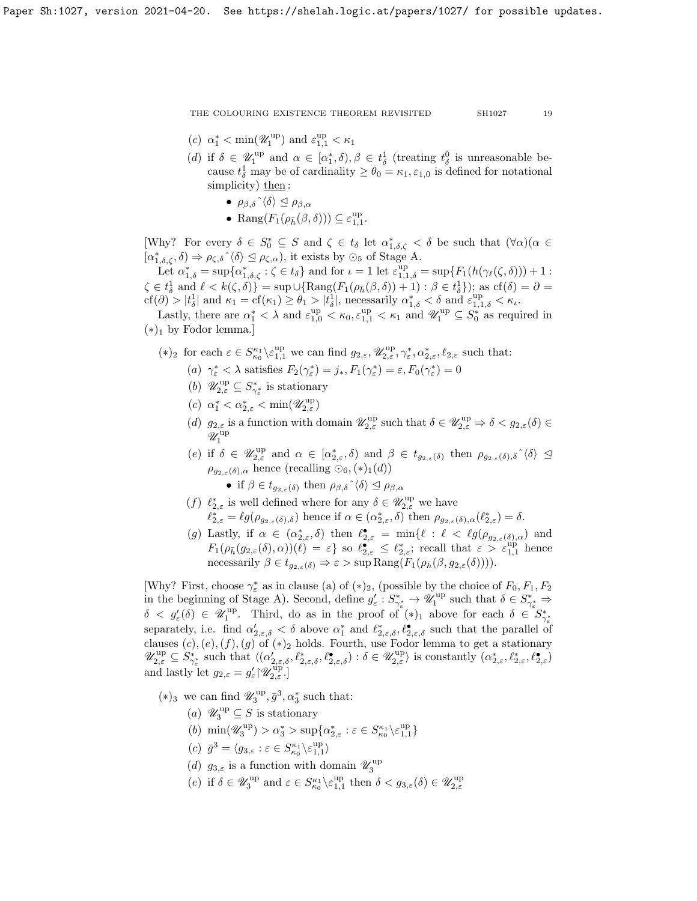- (c)  $\alpha_1^* < \min(\mathscr{U}_1^{\text{up}})$  and  $\varepsilon_{1,1}^{\text{up}} < \kappa_1$
- (d) if  $\delta \in \mathscr{U}_1^{\text{up}}$  and  $\alpha \in [\alpha_1^*, \delta), \beta \in t_{\delta}^1$  (treating  $t_{\delta}^0$  is unreasonable because  $t_{\delta}^1$  may be of cardinality  $\geq \theta_0 = \kappa_1, \varepsilon_{1,0}$  is defined for notational simplicity) then:
	- $\rho_{\beta,\delta} \hat{\;} \langle \delta \rangle \leq \rho_{\beta,\alpha}$
	- Rang $(F_1(\rho_{\bar{h}}(\beta,\delta))) \subseteq \varepsilon_{1,1}^{up}$ .

[Why? For every  $\delta \in S_0^* \subseteq S$  and  $\zeta \in t_\delta$  let  $\alpha_{1,\delta,\zeta}^* < \delta$  be such that  $(\forall \alpha)(\alpha \in S_0^*)$  $[\alpha_{1,\delta,\zeta}^*, \delta] \Rightarrow \rho_{\zeta,\delta} \hat{\;} \langle \delta \rangle \leq \rho_{\zeta,\alpha}$ , it exists by  $\odot_5$  of Stage A.

Let  $\alpha_{1,\delta}^* = \sup \{ \alpha_{1,\delta,\zeta}^* : \zeta \in t_\delta \}$  and for  $\iota = 1$  let  $\varepsilon_{1,1,\delta}^{\text{up}} = \sup \{ F_1(h(\gamma_\ell(\zeta,\delta))) + 1 :$  $\zeta \in t_{\delta}^1$  and  $\ell < k(\zeta, \delta)$  = sup  $\cup$  {Rang( $F_1(\rho_{\bar{h}}(\beta, \delta)) + 1$ ) :  $\beta \in t_{\delta}^1$ }); as cf( $\delta$ ) =  $\partial$  =  $\text{cf}(\partial) > |t_{\delta}^1| \text{ and } \kappa_1 = \text{cf}(\kappa_1) \geq \theta_1 > |t_{\delta}^1|,$  necessarily  $\alpha_{1,\delta}^* < \delta \text{ and } \varepsilon_{1,1,\delta}^{\text{up}} < \kappa_{\iota}.$ 

Lastly, there are  $\alpha_1^* < \lambda$  and  $\varepsilon_{1,0}^{up} < \kappa_0, \varepsilon_{1,1}^{up} < \kappa_1$  and  $\mathscr{U}_1^{up} \subseteq S_0^*$  as required in  $(*)_1$  by Fodor lemma.]

- (\*)<sub>2</sub> for each  $\varepsilon \in S_{\kappa_0}^{\kappa_1} \backslash \varepsilon_{1,1}^{\text{up}}$  we can find  $g_{2,\varepsilon}, \mathscr{U}_{2,\varepsilon}^{\text{up}}, \gamma_{\varepsilon}^*, \alpha_{2,\varepsilon}^*, \ell_{2,\varepsilon}$  such that:
	- (a)  $\gamma_{\varepsilon}^* < \lambda$  satisfies  $F_2(\gamma_{\varepsilon}^*) = j_*, F_1(\gamma_{\varepsilon}^*) = \varepsilon, F_0(\gamma_{\varepsilon}^*) = 0$
	- (b)  $\mathscr{U}^{\text{up}}_{2,\varepsilon} \subseteq S_{\gamma^*_{\varepsilon}}^*$  is stationary
	- (c)  $\alpha_1^* < \alpha_{2,\varepsilon}^* < \min(\mathscr{U}_{2,\varepsilon}^{\text{up}})$
	- (d)  $g_{2,\varepsilon}$  is a function with domain  $\mathscr{U}_{2,\varepsilon}^{\text{up}}$  such that  $\delta \in \mathscr{U}_{2,\varepsilon}^{\text{up}} \Rightarrow \delta < g_{2,\varepsilon}(\delta) \in$  $\mathscr{U}^{\mathrm{up}}_1$
	- (e) if  $\delta \in \mathscr{U}_{2,\varepsilon}^{\text{up}}$  and  $\alpha \in [\alpha_{2,\varepsilon}^*, \delta)$  and  $\beta \in t_{g_{2,\varepsilon}(\delta)}$  then  $\rho_{g_{2,\varepsilon}(\delta),\delta}(\delta) \leq$  $\rho_{g_{2,\varepsilon}(\delta),\alpha}$  hence (recalling  $\odot_6,(*)_1(d)$ )

• if 
$$
\beta \in t_{g_{2,\varepsilon}(\delta)}
$$
 then  $\rho_{\beta,\delta} \hat{\;} \langle \delta \rangle \leq \rho_{\beta,\alpha}$ 

- (f)  $\ell_{2,\varepsilon}^*$  is well defined where for any  $\delta \in \mathscr{U}_{2,\varepsilon}^{\text{up}}$  we have  $\ell_{2,\varepsilon}^* = \ell g(\rho_{g_{2,\varepsilon}(\delta),\delta})$  hence if  $\alpha \in (\alpha_{2,\varepsilon}^*,\delta)$  then  $\rho_{g_{2,\varepsilon}(\delta),\alpha}(\ell_{2,\varepsilon}^*) = \delta$ .
- (g) Lastly, if  $\alpha \in (\alpha_{2,\varepsilon}^*, \delta)$  then  $\ell_{2,\varepsilon}^{\bullet} = \min\{\ell : \ell < \ell g(\rho_{g_{2,\varepsilon}(\delta),\alpha})\}$  and  $F_1(\rho_{\bar{h}}(g_{2,\varepsilon}(\delta),\alpha))(\ell) = \varepsilon$  so  $\ell_{2,\varepsilon}$   $\leq \ell_{2,\varepsilon}^*$ ; recall that  $\varepsilon > \varepsilon_{1,1}^{up}$  hence necessarily  $\beta \in t_{g_{2,\varepsilon}(\delta)} \Rightarrow \varepsilon > \sup \text{Rang}(F_1(\rho_{\bar{h}}(\beta, g_{2,\varepsilon}(\delta))))$ .

[Why? First, choose  $\gamma_{\varepsilon}^*$  as in clause (a) of  $(*)_2$ , (possible by the choice of  $F_0, F_1, F_2$ in the beginning of Stage A). Second, define  $g'_{\varepsilon}: S^*_{\gamma^*_{\varepsilon}} \to \mathscr{U}^{\text{up}}_1$  such that  $\delta \in S^*_{\gamma^*_{\varepsilon}} \Rightarrow$  $\delta \langle g_\varepsilon(\delta) \rangle \in \mathscr{U}_1^{\text{up}}$ . Third, do as in the proof of  $(*)_1$  above for each  $\delta \in S^*_{\gamma_{\varepsilon}}$ separately, i.e. find  $\alpha'_{2,\varepsilon,\delta} < \delta$  above  $\alpha_1^*$  and  $\ell_{2,\varepsilon,\delta}^*, \ell_{2,\varepsilon,\delta}^{\bullet}$  such that the parallel of clauses  $(c),(e),(f),(g)$  of  $(*)_2$  holds. Fourth, use Fodor lemma to get a stationary  $\mathscr{U}_{2,\varepsilon}^{\text{up}} \subseteq S_{\gamma_{\varepsilon}^{*}}^{*}$  such that  $\langle(\alpha_{2,\varepsilon,\delta}', \ell_{2,\varepsilon,\delta}^{*}, \ell_{2,\varepsilon,\delta}^{\bullet}) : \delta \in \mathscr{U}_{2,\varepsilon}^{\text{up}}\rangle$  is constantly  $(\alpha_{2,\varepsilon}^{*}, \ell_{2,\varepsilon}^{*}, \ell_{2,\varepsilon}^{\bullet})$ and lastly let  $g_{2,\varepsilon} = g'_{\varepsilon} \upharpoonright \mathscr{U}_{2,\varepsilon}^{\text{up}}$ .]

(\*)<sub>3</sub> we can find  $\mathscr{U}_3^{\text{up}}, \bar{g}^3, \alpha_3^*$  such that:

- (a)  $\mathscr{U}_3^{\text{up}} \subseteq S$  is stationary
- (b)  $\min(\mathscr{U}_3^{\mathrm{up}}) > \alpha_3^* > \sup\{\alpha_{2,\varepsilon}^* : \varepsilon \in S_{\kappa_0}^{\kappa_1} \backslash \varepsilon_{1,1}^{\mathrm{up}}\}$
- (c)  $\bar{g}^3 = \langle g_{3,\varepsilon} : \varepsilon \in S_{\kappa_0}^{\kappa_1} \backslash \varepsilon_{1,1}^{\text{up}} \rangle$
- (d)  $g_{3,\varepsilon}$  is a function with domain  $\mathscr{U}_3^{\text{up}}$
- (e) if  $\delta \in \mathscr{U}_3^{\text{up}}$  and  $\varepsilon \in S^{\kappa_1}_{\kappa_0} \backslash \varepsilon_{1,1}^{\text{up}}$  then  $\delta < g_{3,\varepsilon}(\delta) \in \mathscr{U}_{2,\varepsilon}^{\text{up}}$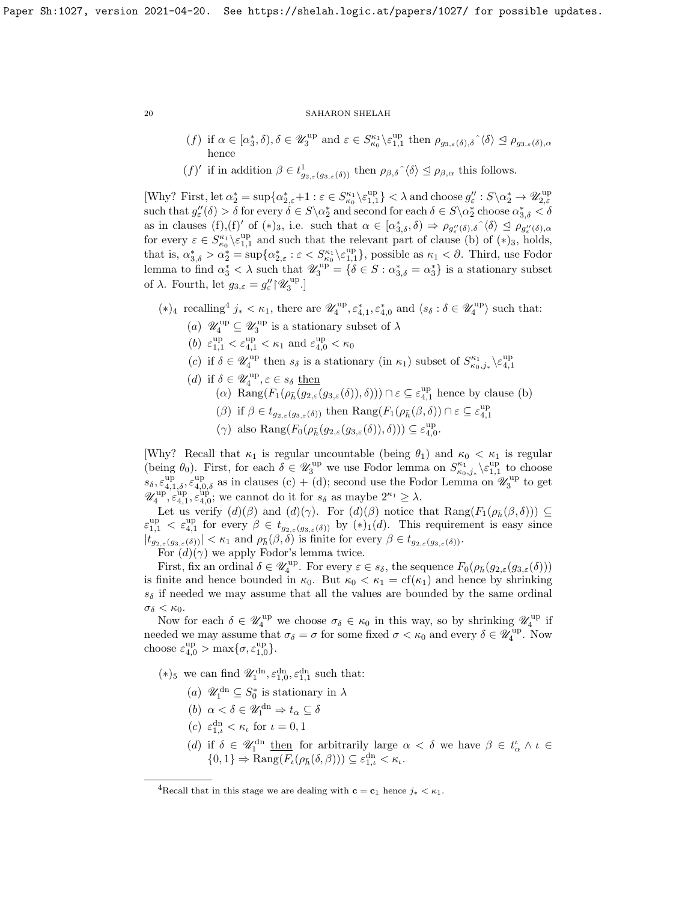- (f) if  $\alpha \in [\alpha_3^*, \delta), \delta \in \mathscr{U}_3^{\text{up}}$  and  $\varepsilon \in S_{\kappa_0}^{\kappa_1} \backslash \varepsilon_{1,1}^{\text{up}}$  then  $\rho_{g_{3,\varepsilon}(\delta), \delta} \widehat{\;} \langle \delta \rangle \leq \rho_{g_{3,\varepsilon}(\delta), \alpha}$ hence
- $(f)'$  if in addition  $\beta \in t^1_{g_{2,\varepsilon}(g_{3,\varepsilon}(\delta))}$  then  $\rho_{\beta,\delta} \hat{\,} \langle \delta \rangle \leq \rho_{\beta,\alpha}$  this follows.

[Why? First, let  $\alpha_2^* = \sup \{ \alpha_{2,\varepsilon}^* + 1 : \varepsilon \in S_{\kappa_0}^{\kappa_1} \setminus \varepsilon_{1,1}^{\text{up}} \} < \lambda \text{ and choose } g_{\varepsilon}'' : S \setminus \alpha_2^* \to \mathscr{U}_{2,\varepsilon}^{\text{up}}$  $\text{such that } g''_{\varepsilon}(\delta) > \delta \text{ for every } \delta \in S \setminus \alpha_2^* \text{ and second for each } \delta \in S \setminus \alpha_2^* \text{ choose } \alpha_{3,\delta}^* < \delta$ as in clauses (f),(f)' of (\*)<sub>3</sub>, i.e. such that  $\alpha \in [\alpha_{3,\delta}^*, \delta) \Rightarrow \rho_{g''_{\epsilon}(\delta), \delta} \hat{\;} \langle \delta \rangle \subseteq \rho_{g''_{\epsilon}(\delta), \alpha}$ for every  $\varepsilon \in S_{\kappa_0}^{\kappa_1} \setminus \varepsilon_{1,1}^{\text{up}}$  and such that the relevant part of clause (b) of  $(*)_3$ , holds, that is,  $\alpha_{3,\delta}^* > \alpha_2^* = \sup \{ \alpha_{2,\varepsilon}^* : \varepsilon < S_{\kappa_0}^{\kappa_1} \setminus \varepsilon_{1,1}^{\text{up}} \}$ , possible as  $\kappa_1 < \partial$ . Third, use Fodor lemma to find  $\alpha_3^* < \lambda$  such that  $\mathscr{U}_3^{\text{up}} = {\delta \in S : \alpha_{3,\delta}^* = \alpha_3^*}$  is a stationary subset of  $\lambda$ . Fourth, let  $g_{3,\varepsilon} = g_{\varepsilon}^{\prime\prime} {\upharpoonright} \mathscr{U}_3^{\text{up}}.$ 

- $(*)_4$  $(*)_4$  recalling<sup>4</sup>  $j_* < \kappa_1$ , there are  $\mathscr{U}_4^{\text{up}}, \varepsilon_{4,1}^*, \varepsilon_{4,0}^*$  and  $\langle s_\delta : \delta \in \mathscr{U}_4^{\text{up}} \rangle$  such that:
	- (a)  $\mathscr{U}_4^{\text{up}} \subseteq \mathscr{U}_3^{\text{up}}$  is a stationary subset of  $\lambda$
	- (b)  $\varepsilon_{1,1}^{up} < \varepsilon_{4,1}^{up} < \kappa_1$  and  $\varepsilon_{4,0}^{up} < \kappa_0$
	- (c) if  $\delta \in \mathscr{U}_4^{\text{up}}$  then  $s_{\delta}$  is a stationary (in  $\kappa_1$ ) subset of  $S_{\kappa_0,j_*}^{\kappa_1} \backslash \varepsilon_{4,1}^{\text{up}}$
	- (*d*) if  $\delta \in \mathscr{U}_4^{\text{up}}, \varepsilon \in s_\delta$  then
		- (a)  $\text{Rang}(F_1(\rho_{\bar{h}}(g_{2,\varepsilon}(g_{3,\varepsilon}(\delta)),\delta))) \cap \varepsilon \subseteq \varepsilon_{4,1}^{\text{up}}$  hence by clause (b)
		- ( $\beta$ ) if  $\beta \in t_{g_{2,\varepsilon}(g_{3,\varepsilon}(\delta))}$  then  $\text{Rang}(F_1(\rho_{\bar{h}}(\beta,\delta)) \cap \varepsilon \subseteq \varepsilon_{4,1}^{\text{up}}$
		- ( $\gamma$ ) also Rang $(F_0(\rho_{\bar{h}}(g_{2,\varepsilon}(g_{3,\varepsilon}(\delta)),\delta))) \subseteq \varepsilon_{4,0}^{\text{up}}$ .

[Why? Recall that  $\kappa_1$  is regular uncountable (being  $\theta_1$ ) and  $\kappa_0 < \kappa_1$  is regular (being  $\theta_0$ ). First, for each  $\delta \in \mathscr{U}_3^{\text{up}}$  we use Fodor lemma on  $S_{\kappa_0,j_*}^{\kappa_1}\backslash \varepsilon_{1,1}^{\text{up}}$  to choose  $s_{\delta}, \varepsilon_{4,1,\delta}^{\text{up}}, \varepsilon_{4,0,\delta}^{\text{up}}$  as in clauses (c) + (d); second use the Fodor Lemma on  $\mathscr{U}_3^{\text{up}}$  to get  $\mathscr{U}_4^{\text{up}\text{--}\text{up}\text{-}\text{up}}$ ,  $\varepsilon_{4,0}^{\text{up}\text{--}\text{up}}$ ; we cannot do it for  $s_\delta$  as maybe  $2^{\kappa_1} \geq \lambda$ .

Let us verify  $(d)(\beta)$  and  $(d)(\gamma)$ . For  $(d)(\beta)$  notice that  $\text{Rang}(F_1(\rho_{\bar{h}}(\beta,\delta))) \subseteq$  $\varepsilon_{1,1}^{\text{up}} < \varepsilon_{4,1}^{\text{up}}$  for every  $\beta \in t_{g_{2,\varepsilon}(g_{3,\varepsilon}(\delta))}$  by  $(*)_1(d)$ . This requirement is easy since  $|t_{g_{2,\varepsilon}(g_{3,\varepsilon}(\delta))}| < \kappa_1$  and  $\rho_{\bar{h}}(\beta,\delta)$  is finite for every  $\beta \in t_{g_{2,\varepsilon}(g_{3,\varepsilon}(\delta))}$ .

For  $(d)(\gamma)$  we apply Fodor's lemma twice.

First, fix an ordinal  $\delta \in \mathscr{U}_4^{\text{up}}$ . For every  $\varepsilon \in s_\delta$ , the sequence  $F_0(\rho_{\bar{h}}(g_{2,\varepsilon}(g_{3,\varepsilon}(\delta)))$ is finite and hence bounded in  $\kappa_0$ . But  $\kappa_0 < \kappa_1 = \text{cf}(\kappa_1)$  and hence by shrinking  $s_{\delta}$  if needed we may assume that all the values are bounded by the same ordinal  $\sigma_{\delta} < \kappa_0$ .

Now for each  $\delta \in \mathscr{U}_4^{\text{up}}$  we choose  $\sigma_{\delta} \in \kappa_0$  in this way, so by shrinking  $\mathscr{U}_4^{\text{up}}$  if needed we may assume that  $\sigma_{\delta} = \sigma$  for some fixed  $\sigma < \kappa_0$  and every  $\delta \in \mathscr{U}_4^{\text{up}}$ . Now choose  $\varepsilon_{4,0}^{up} > \max\{\sigma, \varepsilon_{1,0}^{up}\}.$ 

(\*)<sub>5</sub> we can find  $\mathscr{U}_1^{\text{dn}}, \varepsilon_{1,0}^{\text{dn}}, \varepsilon_{1,1}^{\text{dn}}$  such that:

- (a)  $\mathscr{U}_1^{\text{dn}} \subseteq S_0^*$  is stationary in  $\lambda$
- (b)  $\alpha < \delta \in \mathscr{U}_1^{\mathrm{dn}} \Rightarrow t_\alpha \subseteq \delta$
- (c)  $\varepsilon_{1,\iota}^{\mathrm{dn}} < \kappa_{\iota}$  for  $\iota = 0, 1$
- (d) if  $\delta \in \mathscr{U}_1^{\text{dn}}$  then for arbitrarily large  $\alpha < \delta$  we have  $\beta \in t^{\iota}_{\alpha} \wedge \iota \in$  $\{0,1\} \Rightarrow \text{Rang}(F_{\iota}(\rho_{\bar{h}}(\delta,\beta))) \subseteq \varepsilon_{1,\iota}^{\text{dn}} < \kappa_{\iota}.$

<span id="page-19-0"></span><sup>&</sup>lt;sup>4</sup>Recall that in this stage we are dealing with  $c = c_1$  hence  $i_* < \kappa_1$ .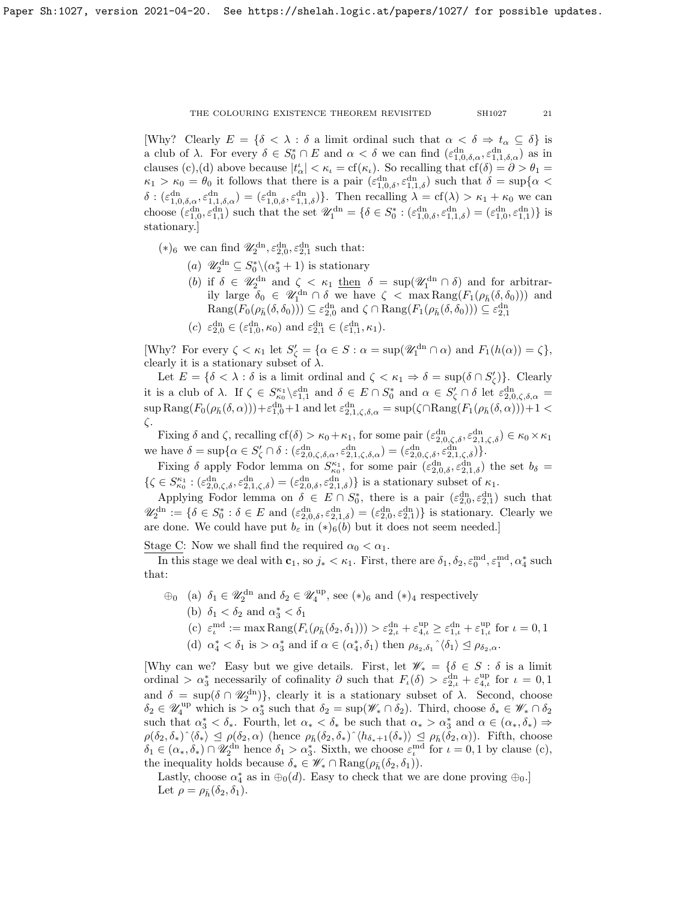[Why? Clearly  $E = \{\delta \leq \lambda : \delta \text{ a limit ordinal such that } \alpha \leq \delta \Rightarrow t_{\alpha} \subseteq \delta \}$  is a club of  $\lambda$ . For every  $\delta \in S_0^* \cap E$  and  $\alpha < \delta$  we can find  $(\varepsilon_{1,0,\delta,\alpha}^{dn}, \varepsilon_{1,1,\delta,\alpha}^{dn})$  as in clauses (c),(d) above because  $|t'_{\alpha}| < \kappa_{\iota} = cf(\kappa_{\iota})$ . So recalling that  $cf(\delta) = \partial > \theta_1 =$  $\kappa_1 > \kappa_0 = \theta_0$  it follows that there is a pair  $(\varepsilon_{1,0,\delta}^{\text{dn}}, \varepsilon_{1,1,\delta}^{\text{dn}})$  such that  $\delta = \sup\{\alpha \leq \delta \leq \delta \}$  $\delta: (\varepsilon_{1,0,\delta,\alpha}^{\dagger} , \varepsilon_{1,1,\delta,\alpha}^{\dagger n}) = (\varepsilon_{1,0,\delta}^{\dagger} , \varepsilon_{1,1,\delta}^{\dagger n})\}.$  Then recalling  $\lambda = cf(\lambda) > \kappa_1 + \kappa_0$  we can choose  $(\varepsilon_{1,0}^{dn}, \varepsilon_{1,1}^{dn})$  such that the set  $\mathscr{U}_1^{dn} = \{ \delta \in S_0^* : (\varepsilon_{1,0,\delta}^{dn}, \varepsilon_{1,1,\delta}^{dn}) = (\varepsilon_{1,0}^{dn}, \varepsilon_{1,1}^{dn}) \}$  is stationary.]

(\*)<sub>6</sub> we can find  $\mathscr{U}_2^{\text{dn}}, \varepsilon_{2,0}^{\text{dn}}, \varepsilon_{2,1}^{\text{dn}}$  such that:

- (a)  $\mathscr{U}_2^{\text{dn}} \subseteq S_0^* \setminus (\alpha_3^* + 1)$  is stationary
- (b) if  $\delta \in \mathscr{U}_2^{\text{dn}}$  and  $\zeta < \kappa_1$  then  $\delta = \sup(\mathscr{U}_1^{\text{dn}} \cap \delta)$  and for arbitrarily large  $\delta_0 \in \mathscr{U}_1^{\text{dn}} \cap \delta$  we have  $\zeta < \max \text{Rang}(F_1(\rho_{\bar{h}}(\delta, \delta_0)))$  and  $\text{Rang}(F_0(\rho_{\bar{h}}(\delta, \delta_0))) \subseteq \varepsilon_{2,0}^{\text{dn}} \text{ and } \zeta \cap \text{Rang}(F_1(\rho_{\bar{h}}(\delta, \delta_0))) \subseteq \varepsilon_{2,1}^{\text{dn}}$
- (c)  $\varepsilon_{2,0}^{\text{dn}} \in (\varepsilon_{1,0}^{\text{dn}}, \kappa_0)$  and  $\varepsilon_{2,1}^{\text{dn}} \in (\varepsilon_{1,1}^{\text{dn}}, \kappa_1)$ .

[Why? For every  $\zeta < \kappa_1$  let  $S'_\zeta = {\alpha \in S : \alpha = \sup(\mathscr{U}_1^{\text{dn}} \cap \alpha)$  and  $F_1(h(\alpha)) = \zeta},$ clearly it is a stationary subset of  $\lambda$ .

Let  $E = \{\delta < \lambda : \delta \text{ is a limit ordinal and } \zeta < \kappa_1 \Rightarrow \delta = \sup(\delta \cap S'_\zeta)\}.$  Clearly it is a club of  $\lambda$ . If  $\zeta \in S_{\kappa_0}^{\kappa_1} \setminus \varepsilon_{1,1}^{\text{dn}}$  and  $\delta \in E \cap S_0^*$  and  $\alpha \in S_{\zeta}' \cap \delta$  let  $\varepsilon_{2,0,\zeta,\delta,\alpha}^{\text{dn}} =$  $\sup \text{Rang}(F_0(\rho_{\bar{h}}(\delta, \alpha))) + \varepsilon_{1,0}^{\text{dn}} + 1$  and let  $\varepsilon_{2,1,\zeta,\delta,\alpha}^{\text{dn}} = \sup(\zeta \cap \text{Rang}(F_1(\rho_{\bar{h}}(\delta, \alpha))) + 1$ ζ.

Fixing  $\delta$  and  $\zeta$ , recalling  $cf(\delta) > \kappa_0 + \kappa_1$ , for some pair  $(\varepsilon_{2,0,\zeta,\delta}^{dn}, \varepsilon_{2,1,\zeta,\delta}^{dn}) \in \kappa_0 \times \kappa_1$ we have  $\delta = \sup \{ \alpha \in S'_{\zeta} \cap \delta : (\varepsilon_{2,0,\zeta,\delta,\alpha}^{\rm dn}, \varepsilon_{2,1,\zeta,\delta,\alpha}^{\rm dn}) = (\varepsilon_{2,0,\zeta,\delta}^{\rm dn}, \varepsilon_{2,1,\zeta,\delta}^{\rm dn}) \}.$ 

Fixing  $\delta$  apply Fodor lemma on  $S_{\kappa_0}^{\kappa_1}$ , for some pair  $(\varepsilon_{2,0,\delta}^{dn}, \varepsilon_{2,1,\delta}^{dn})$  the set  $b_\delta =$  $\{\zeta \in S_{\kappa_0}^{\kappa_1} : (\varepsilon_{2,0,\zeta,\delta}^{\rm dn}, \varepsilon_{2,1,\zeta,\delta}^{\rm dn}) = (\varepsilon_{2,0,\delta}^{\rm dn}, \varepsilon_{2,1,\delta}^{\rm dn})\}$  is a stationary subset of  $\kappa_1$ .

Applying Fodor lemma on  $\delta \in E \cap S_0^*$ , there is a pair  $(\varepsilon_{2,0}^{\text{dn}}, \varepsilon_{2,1}^{\text{dn}})$  such that  $\mathscr{U}_2^{\text{dn}} := \{ \delta \in S_0^* : \delta \in E \text{ and } (\varepsilon_{2,0,\delta}^{\text{dn}}, \varepsilon_{2,1,\delta}^{\text{dn}}) = (\varepsilon_{2,0}^{\text{dn}}, \varepsilon_{2,1}^{\text{dn}}) \}$  is stationary. Clearly we are done. We could have put  $b_{\varepsilon}$  in  $(*)_6(b)$  but it does not seem needed.]

Stage C: Now we shall find the required  $\alpha_0 < \alpha_1$ .

In this stage we deal with  $\mathbf{c}_1$ , so  $j_* < \kappa_1$ . First, there are  $\delta_1, \delta_2, \varepsilon_0^{\text{md}}, \varepsilon_1^{\text{md}}, \alpha_4^*$  such that:

- $\oplus_0$  (a)  $\delta_1 \in \mathscr{U}_2^{\text{dn}}$  and  $\delta_2 \in \mathscr{U}_4^{\text{up}}$ , see  $(*)_6$  and  $(*)_4$  respectively
	- (b)  $\delta_1 < \delta_2$  and  $\alpha_3^* < \delta_1$
	- (c)  $\varepsilon_{\iota}^{\text{md}} := \max \text{Rang}(F_{\iota}(\rho_{\bar{h}}(\delta_2, \delta_1))) > \varepsilon_{2,\iota}^{\text{dn}} + \varepsilon_{4,\iota}^{\text{up}} \geq \varepsilon_{1,\iota}^{\text{dn}} + \varepsilon_{1,\iota}^{\text{up}} \text{ for } \iota = 0, 1$
	- (d)  $\alpha_4^* < \delta_1$  is  $> \alpha_3^*$  and if  $\alpha \in (\alpha_4^*, \delta_1)$  then  $\rho_{\delta_2, \delta_1} \hat{\ } \langle \delta_1 \rangle \leq \rho_{\delta_2, \alpha}$ .

[Why can we? Easy but we give details. First, let  $\mathscr{W}_* = \{\delta \in S : \delta \text{ is a limit}$ ordinal >  $\alpha_3^*$  necessarily of cofinality  $\partial$  such that  $F_{\iota}(\delta) > \varepsilon_{2,\iota}^{\rm dn} + \varepsilon_{4,\iota}^{\rm up}$  for  $\iota = 0,1$ and  $\delta = \sup(\delta \cap \mathscr{U}_2^{\text{dn}})\},\$  clearly it is a stationary subset of  $\lambda$ . Second, choose  $\delta_2 \in \mathscr{U}_4^{\text{up}}$  which is  $> \alpha_3^*$  such that  $\delta_2 = \sup(\mathscr{W}_* \cap \delta_2)$ . Third, choose  $\delta_* \in \mathscr{W}_* \cap \delta_2$ such that  $\alpha_3^* < \delta_*$ . Fourth, let  $\alpha_* < \delta_*$  be such that  $\alpha_* > \alpha_3^*$  and  $\alpha \in (\alpha_*, \delta_*) \Rightarrow$  $\rho(\delta_2, \delta_*)^{\hat{ }} \langle \delta_* \rangle \leq \rho(\delta_2, \alpha)$  (hence  $\rho_{\bar{h}}(\delta_2, \delta_*)^{\hat{ }} \langle h_{\delta_*+1}(\delta_*) \rangle \leq \rho_{\bar{h}}(\delta_2, \alpha)$ ). Fifth, choose  $\delta_1 \in (\alpha_*, \delta_*) \cap \mathscr{U}_2^{\text{dn}}$  hence  $\delta_1 > \alpha_3^*$ . Sixth, we choose  $\varepsilon_i^{\text{md}}$  for  $\iota = 0, 1$  by clause (c), the inequality holds because  $\delta_* \in \mathscr{W}_* \cap \text{Rang}(\rho_{\bar{h}}(\delta_2, \delta_1)).$ 

Lastly, choose  $\alpha_4^*$  as in  $\oplus_0(d)$ . Easy to check that we are done proving  $\oplus_0$ . Let  $\rho = \rho_{\bar{h}}(\delta_2, \delta_1)$ .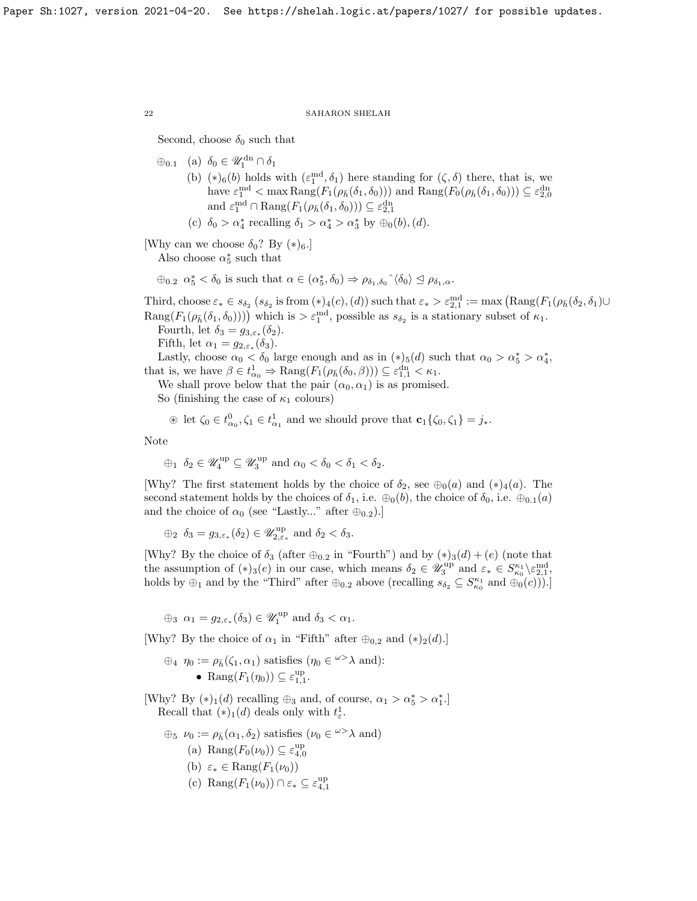Second, choose  $\delta_0$  such that

 $\oplus_{0.1}$  (a)  $\delta_0 \in \mathscr{U}_1^{\text{dn}} \cap \delta_1$ 

(b)  $(*)_6(b)$  holds with  $(\varepsilon_1^{\text{md}}, \delta_1)$  here standing for  $(\zeta, \delta)$  there, that is, we have  $\varepsilon_1^{\text{md}} < \max \text{Rang}(F_1(\rho_{\bar{h}}(\delta_1, \delta_0)))$  and  $\text{Rang}(F_0(\rho_{\bar{h}}(\delta_1, \delta_0))) \subseteq \varepsilon_{2,0}^{\text{dn}}$ and  $\varepsilon_1^{\text{md}} \cap \text{Rang}(F_1(\rho_{\bar{h}}(\delta_1, \delta_0))) \subseteq \varepsilon_{2,1}^{\text{dn}}$ 

(c) 
$$
\delta_0 > \alpha_4^*
$$
 recalling  $\delta_1 > \alpha_4^* > \alpha_3^*$  by  $\bigoplus_0(b)$ , (d).

[Why can we choose  $\delta_0$ ? By  $(*)_6$ .]

Also choose  $\alpha_5^*$  such that

 $\oplus_{0,2} \ \alpha_5^* < \delta_0$  is such that  $\alpha \in (\alpha_5^*, \delta_0) \Rightarrow \rho_{\delta_1, \delta_0} \hat{\;} \langle \delta_0 \rangle \leq \rho_{\delta_1, \alpha}$ .

Third, choose  $\varepsilon_* \in s_{\delta_2}$  ( $s_{\delta_2}$  is from  $(*)_4(c)$ ,  $(d)$ ) such that  $\varepsilon_* > \varepsilon_{2,1}^{\text{md}} := \max (\text{Rang}(F_1(\rho_{\bar{h}}(\delta_2, \delta_1) \cup$  $\text{Rang}(F_1(\rho_{\bar{h}}(\delta_1,\delta_0))))$  which is  $>\varepsilon_1^{\text{md}}$ , possible as  $s_{\delta_2}$  is a stationary subset of  $\kappa_1$ . Fourth, let  $\delta_3 = g_{3,\varepsilon_*}(\delta_2)$ .

Fifth, let  $\alpha_1 = g_{2,\varepsilon_*}(\delta_3)$ .

Lastly, choose  $\alpha_0 < \delta_0$  large enough and as in  $(*)_5(d)$  such that  $\alpha_0 > \alpha_5^* > \alpha_4^*$ , that is, we have  $\beta \in t^1_{\alpha_0} \Rightarrow \text{Rang}(F_1(\rho_{\bar{h}}(\delta_0, \beta))) \subseteq \varepsilon_{1,1}^{\text{dn}} < \kappa_1$ .

We shall prove below that the pair  $(\alpha_0, \alpha_1)$  is as promised.

So (finishing the case of  $\kappa_1$  colours)

 $\circledast$  let  $\zeta_0 \in t^0_{\alpha_0}, \zeta_1 \in t^1_{\alpha_1}$  and we should prove that  $\mathbf{c}_1\{\zeta_0, \zeta_1\} = j_*$ .

Note

$$
\oplus_1 \ \delta_2 \in \mathscr{U}_4^{\mathrm{up}} \subseteq \mathscr{U}_3^{\mathrm{up}}
$$
 and  $\alpha_0 < \delta_0 < \delta_1 < \delta_2$ .

[Why? The first statement holds by the choice of  $\delta_2$ , see  $\bigoplus_0(a)$  and  $(*)_4(a)$ . The second statement holds by the choices of  $\delta_1$ , i.e.  $\oplus_0(b)$ , the choice of  $\delta_0$ , i.e.  $\oplus_{0.1}(a)$ and the choice of  $\alpha_0$  (see "Lastly..." after  $\oplus_{0.2}$ ).]

 $\oplus_2$   $\delta_3 = g_{3,\varepsilon_*}(\delta_2) \in \mathscr{U}_{2,\varepsilon_*}^{\text{up}}$  and  $\delta_2 < \delta_3$ .

[Why? By the choice of  $\delta_3$  (after  $\oplus_{0,2}$  in "Fourth") and by  $(*)_3(d) + (e)$  (note that the assumption of  $(*)_3(e)$  in our case, which means  $\delta_2 \in \mathscr{U}_3^{\text{up}}$  and  $\varepsilon_* \in S_{\kappa_0}^{\kappa_1} \setminus \varepsilon_{2,1}^{\text{md}}$ , holds by  $\oplus_1$  and by the "Third" after  $\oplus_{0,2}$  above (recalling  $s_{\delta_2} \subseteq S^{\kappa_1}_{\kappa_0}$  and  $\oplus_0(c))$ ).

 $\oplus_3 \ \alpha_1 = g_{2,\varepsilon_*}(\delta_3) \in \mathscr{U}_1^{\text{up}} \text{ and } \delta_3 < \alpha_1.$ 

[Why? By the choice of  $\alpha_1$  in "Fifth" after  $\oplus_{0,2}$  and  $(*)_2(d)$ .]

$$
\oplus_4 \eta_0 := \rho_{\bar{h}}(\zeta_1, \alpha_1) \text{ satisfies } (\eta_0 \in \omega^> \lambda \text{ and}):
$$
  
•  $\text{Rang}(F_1(\eta_0)) \subseteq \varepsilon_{1,1}^{\text{up}}.$ 

[Why? By  $(*)_1(d)$  recalling  $\oplus_3$  and, of course,  $\alpha_1 > \alpha_5^* > \alpha_1^*$ .] Recall that  $(*)_1(d)$  deals only with  $t^1_\varepsilon$ .

 $\oplus_5 \nu_0 := \rho_{\bar{h}}(\alpha_1, \delta_2)$  satisfies  $(\nu_0 \in \mathbb{R}^3 \lambda$  and) (a) Rang $(F_0(\nu_0)) \subseteq \varepsilon_{4,0}^{\text{up}}$ (b)  $\varepsilon_* \in \text{Rang}(F_1(\nu_0))$ (c) Rang $(F_1(\nu_0)) \cap \varepsilon_* \subseteq \varepsilon_{4,1}^{\text{up}}$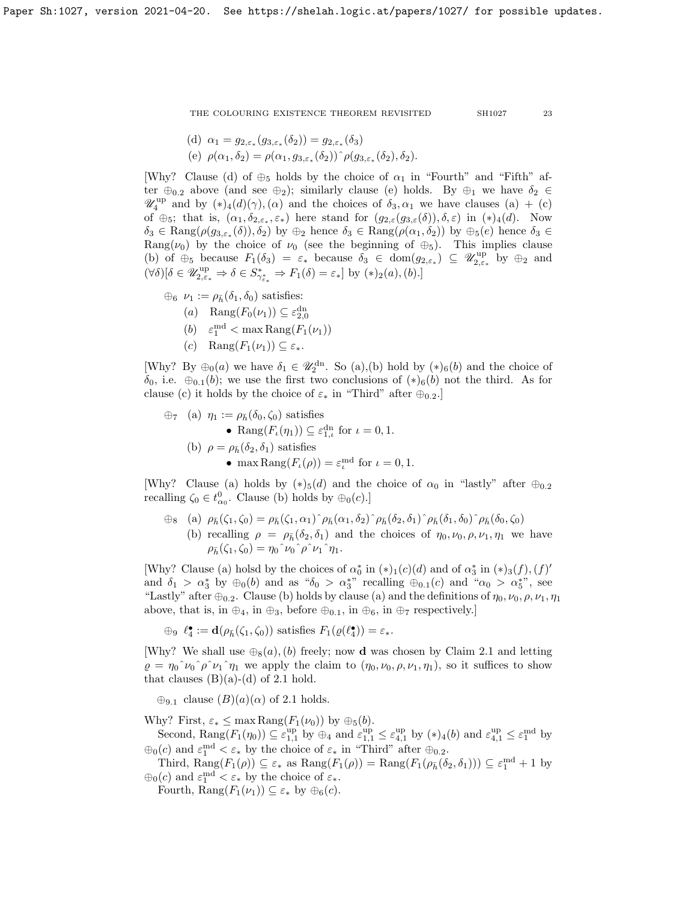(d) 
$$
\alpha_1 = g_{2,\varepsilon_*}(g_{3,\varepsilon_*}(\delta_2)) = g_{2,\varepsilon_*}(\delta_3)
$$
  
(e)  $\rho(\alpha_1, \delta_2) = \rho(\alpha_1, g_{3,\varepsilon_*}(\delta_2)) \hat{\rho}(g_{3,\varepsilon_*}(\delta_2), \delta_2).$ 

[Why? Clause (d) of  $\oplus_5$  holds by the choice of  $\alpha_1$  in "Fourth" and "Fifth" after  $\oplus_{0.2}$  above (and see  $\oplus_2$ ); similarly clause (e) holds. By  $\oplus_1$  we have  $\delta_2 \in$  $\mathscr{U}_4^{\text{up}}$  and by  $(*)_4(d)(\gamma), (\alpha)$  and the choices of  $\delta_3, \alpha_1$  we have clauses  $(a) + (c)$ of  $\oplus_5$ ; that is,  $(\alpha_1, \delta_{2,\epsilon_*}, \epsilon_*)$  here stand for  $(g_{2,\epsilon}(g_{3,\epsilon}(\delta)), \delta, \epsilon)$  in  $(*)_4(d)$ . Now  $\delta_3 \in \text{Rang}(\rho(g_{3,\varepsilon_*}(\delta)), \delta_2)$  by  $\oplus_2$  hence  $\delta_3 \in \text{Rang}(\rho(\alpha_1, \delta_2))$  by  $\oplus_5(e)$  hence  $\delta_3 \in$ Rang( $\nu_0$ ) by the choice of  $\nu_0$  (see the beginning of  $\oplus_5$ ). This implies clause (b) of  $\oplus_5$  because  $F_1(\delta_3) = \varepsilon_*$  because  $\delta_3 \in \text{dom}(g_{2,\varepsilon_*}) \subseteq \mathscr{U}_{2,\varepsilon_*}^{\text{up}}$  by  $\oplus_2$  and  $(\forall \delta)[\delta \in \mathscr{U}^{\text{up}}_{2,\varepsilon_*} \Rightarrow \delta \in S^*_{\gamma_{\varepsilon_*}^*} \Rightarrow F_1(\delta) = \varepsilon_*] \text{ by } (*)_2(a),(b).]$ 

- $\oplus_6 \nu_1 := \rho_{\bar{b}}(\delta_1, \delta_0)$  satisfies: (a) Rang $(F_0(\nu_1)) \subseteq \varepsilon_{2,0}^{\text{dn}}$ (b)  $\varepsilon_1^{\text{md}} < \max \text{Rang}(F_1(\nu_1))$ 
	- (c) Rang $(F_1(\nu_1)) \subset \varepsilon_*$ .

[Why? By  $\oplus_0(a)$  we have  $\delta_1 \in \mathscr{U}_2^{\text{dn}}$ . So (a),(b) hold by  $(*)_6(b)$  and the choice of  $\delta_0$ , i.e.  $\oplus_{0.1}(b)$ ; we use the first two conclusions of  $(*)_6(b)$  not the third. As for clause (c) it holds by the choice of  $\varepsilon_*$  in "Third" after  $\oplus_{0.2}$ .]

\n- $$
\oplus_7
$$
 (a)  $\eta_1 := \rho_{\bar{h}}(\delta_0, \zeta_0)$  satisfies
\n- $\bullet$   $\text{Rang}(F_{\iota}(\eta_1)) \subseteq \varepsilon_{1,\iota}^{\text{dn}}$  for  $\iota = 0, 1$ .
\n- (b)  $\rho = \rho_{\bar{h}}(\delta_2, \delta_1)$  satisfies
\n- $\bullet$  max  $\text{Rang}(F_{\iota}(\rho)) = \varepsilon_{\iota}^{\text{md}}$  for  $\iota = 0, 1$ .
\n

[Why? Clause (a) holds by  $(*)$ <sub>5</sub>(d) and the choice of  $\alpha_0$  in "lastly" after  $\oplus_{0.2}$ recalling  $\zeta_0 \in t^0_{\alpha_0}$ . Clause (b) holds by  $\oplus_0(c)$ .

 $\hat{\theta}_{8}$  (a)  $\rho_{\bar{h}}(\zeta_1, \zeta_0) = \rho_{\bar{h}}(\zeta_1, \alpha_1) \hat{\rho}_{\bar{h}}(\alpha_1, \delta_2) \hat{\rho}_{\bar{h}}(\delta_2, \delta_1) \hat{\rho}_{\bar{h}}(\delta_1, \delta_0) \hat{\rho}_{\bar{h}}(\delta_0, \zeta_0)$ (b) recalling  $\rho = \rho_{\bar{h}}(\delta_2, \delta_1)$  and the choices of  $\eta_0, \nu_0, \rho, \nu_1, \eta_1$  we have  $\rho_{\bar{h}}(\zeta_1, \zeta_0) = \eta_0^{\hat{}} \nu_0^{\hat{}} \rho^{\hat{}} \nu_1^{\hat{}} \eta_1.$ 

[Why? Clause (a) holsd by the choices of  $\alpha_0^*$  in  $(*)_1(c)(d)$  and of  $\alpha_3^*$  in  $(*)_3(f), (f)'$ and  $\delta_1 > \alpha_3^*$  by  $\oplus_0(b)$  and as " $\delta_0 > \alpha_3^{**}$ " recalling  $\oplus_{0.1}(c)$  and " $\alpha_0 > \alpha_5^{**}$ ", see "Lastly" after  $\oplus_{0,2}$ . Clause (b) holds by clause (a) and the definitions of  $\eta_0, \nu_0, \rho, \nu_1, \eta_1$ above, that is, in  $\oplus_4$ , in  $\oplus_3$ , before  $\oplus_{0,1}$ , in  $\oplus_6$ , in  $\oplus_7$  respectively.]

$$
\oplus_9 \ell_4^{\bullet} := \mathbf{d}(\rho_{\bar{h}}(\zeta_1, \zeta_0)) \text{ satisfies } F_1(\varrho(\ell_4^{\bullet})) = \varepsilon_*.
$$

[Why? We shall use  $\bigoplus_{8}(a), (b)$  freely; now **d** was chosen by Claim [2.1](#page-13-0) and letting  $\rho = \eta_0^{\hat{\ }}\nu_0^{\hat{\ }}\rho^{\hat{\ }}\nu_1^{\hat{\ }}\eta_1$  we apply the claim to  $(\eta_0, \nu_0, \rho, \nu_1, \eta_1)$ , so it suffices to show that clauses  $(B)(a)-(d)$  of [2.1](#page-13-0) hold.

 $\bigoplus_{9,1}$  clause  $(B)(a)(\alpha)$  of [2.1](#page-13-0) holds.

Why? First,  $\varepsilon_* \leq \max \text{Rang}(F_1(\nu_0))$  by  $\oplus_5(b)$ .

Second,  $\text{Rang}(F_1(\eta_0)) \subseteq \varepsilon_{1,1}^{\text{up}}$  by  $\oplus_4$  and  $\varepsilon_{1,1}^{\text{up}} \leq \varepsilon_{4,1}^{\text{up}}$  by  $(*)_4(b)$  and  $\varepsilon_{4,1}^{\text{up}} \leq \varepsilon_1^{\text{md}}$  by  $\bigoplus_0(c)$  and  $\varepsilon_1^{\text{md}} < \varepsilon_*$  by the choice of  $\varepsilon_*$  in "Third" after  $\bigoplus_{0,2}$ .

Third,  $\text{Rang}(F_1(\rho)) \subseteq \varepsilon_*$  as  $\text{Rang}(F_1(\rho)) = \text{Rang}(F_1(\rho_{\bar{h}}(\delta_2, \delta_1))) \subseteq \varepsilon_1^{\text{md}} + 1$  by  $\bigoplus_0(c)$  and  $\varepsilon_1^{\text{md}} < \varepsilon_*$  by the choice of  $\varepsilon_*$ .

Fourth,  $\text{Rang}(F_1(\nu_1)) \subseteq \varepsilon_*$  by  $\oplus_6(c)$ .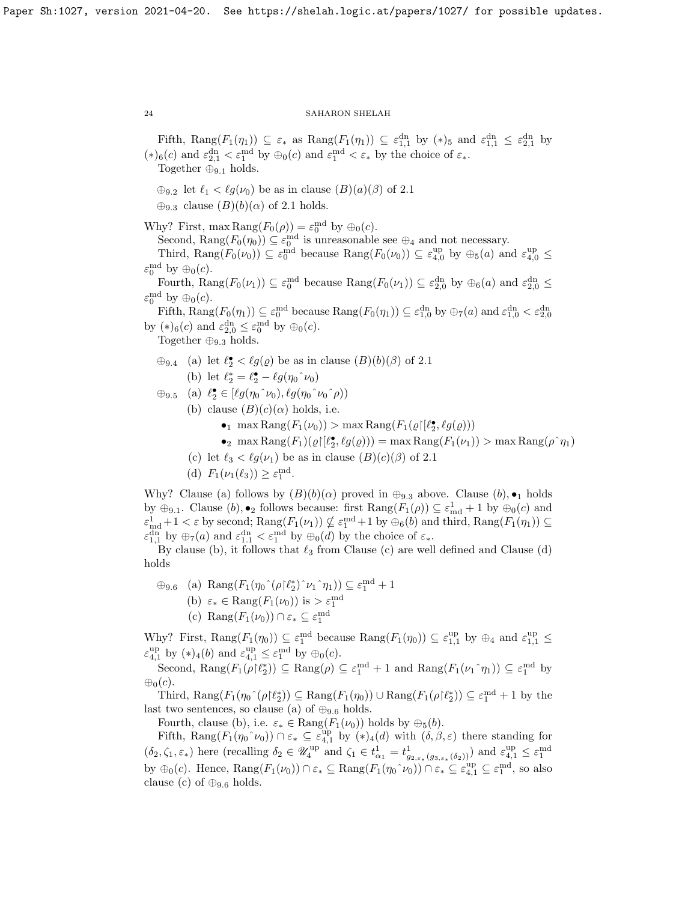Fifth, Rang $(F_1(\eta_1)) \subseteq \varepsilon_*$  as  $\text{Rang}(F_1(\eta_1)) \subseteq \varepsilon_{1,1}^{\text{dn}}$  by  $(*)_5$  and  $\varepsilon_{1,1}^{\text{dn}} \leq \varepsilon_{2,1}^{\text{dn}}$  by  $(*)_6(c)$  and  $\varepsilon_{2,1}^{\text{dn}} < \varepsilon_1^{\text{md}}$  by  $\oplus_0(c)$  and  $\varepsilon_1^{\text{md}} < \varepsilon_*$  by the choice of  $\varepsilon_*$ . Together  $\oplus_{9.1}$  holds.

 $\bigoplus_{9,2}$  let  $\ell_1 < \ell g(\nu_0)$  be as in clause  $(B)(a)(\beta)$  of [2.1](#page-13-0)

 $\oplus_{9,3}$  clause  $(B)(b)(\alpha)$  of [2.1](#page-13-0) holds.

Why? First, max  $\text{Rang}(F_0(\rho)) = \varepsilon_0^{\text{md}}$  by  $\oplus_0(c)$ .

Second,  $\text{Rang}(F_0(\eta_0)) \subseteq \varepsilon_0^{\text{md}}$  is unreasonable see  $\oplus_4$  and not necessary. Third,  $\text{Rang}(F_0(\nu_0)) \subseteq \varepsilon_0^{\text{md}}$  because  $\text{Rang}(F_0(\nu_0)) \subseteq \varepsilon_{4,0}^{\text{up}}$  by  $\oplus_5(a)$  and  $\varepsilon_{4,0}^{\text{up}} \le$ 

 $\varepsilon_0^{\text{md}}$  by  $\oplus_0(c)$ .

Fourth,  $\text{Rang}(F_0(\nu_1)) \subseteq \varepsilon_0^{\text{md}}$  because  $\text{Rang}(F_0(\nu_1)) \subseteq \varepsilon_{2,0}^{\text{dn}}$  by  $\oplus_6(a)$  and  $\varepsilon_{2,0}^{\text{dn}} \leq$  $\varepsilon_0^{\text{md}}$  by  $\oplus_0(c)$ .

Fifth,  $\text{Rang}(F_0(\eta_1)) \subseteq \varepsilon_0^{\text{md}}$  because  $\text{Rang}(F_0(\eta_1)) \subseteq \varepsilon_{1,0}^{\text{dn}}$  by  $\bigoplus_7(a)$  and  $\varepsilon_{1,0}^{\text{dn}} < \varepsilon_{2,0}^{\text{dn}}$ by  $(*)_6(c)$  and  $\varepsilon_{2,0}^{dn} \leq \varepsilon_0^{md}$  by  $\oplus_0(c)$ .

Together  $\oplus_{9.3}$  holds.

 $\oplus_{9.4}$  (a) let  $\ell_2^{\bullet} < \ell_3(\varrho)$  be as in clause  $(B)(b)(\beta)$  of [2.1](#page-13-0) (b) let  $\ell_2^* = \ell_2^{\bullet} - \ell g (\eta_0\hat{~}\nu_0)$ 

$$
\oplus_{9.5} \quad \text{(a)} \ \ell_2^{\bullet} \in [\ell g(\eta_0 \hat{\nu}_0), \ell g(\eta_0 \hat{\nu}_0 \hat{\rho}))
$$
\n
$$
\text{(b)} \ \text{clause} \ (B)(c)(\alpha) \ \text{holds, i.e.}
$$

- - max Rang $(F_1(\nu_0)) > \max \text{Rang}(F_1(\varrho \restriction [\ell_2^{\bullet}, \ell g(\varrho)))$
- $\log \max \text{Rang}(F_1)(\varrho\lceil(\ell_2^{\bullet}, \ell_2(\varrho))) = \max \text{Rang}(F_1(\nu_1)) > \max \text{Rang}(\rho^{\wedge} \eta_1)$
- (c) let  $\ell_3 < \ell g(\nu_1)$  be as in clause  $(B)(c)(\beta)$  of [2.1](#page-13-0)
- (d)  $F_1(\nu_1(\ell_3)) \geq \varepsilon_1^{\text{md}}.$

Why? Clause (a) follows by  $(B)(b)(\alpha)$  proved in  $\oplus_{9,3}$  above. Clause  $(b), \bullet_1$  holds by  $\oplus_{9,1}$ . Clause  $(b)$ ,  $\bullet_2$  follows because: first  $\text{Rang}(F_1(\rho)) \subseteq \varepsilon_{\text{md}}^1 + 1$  by  $\oplus_0(c)$  and  $\varepsilon_{\text{md}}^1+1 < \varepsilon$  by second;  $\text{Rang}(F_1(\nu_1)) \nsubseteq \varepsilon_1^{\text{md}}+1$  by  $\oplus_6(b)$  and third,  $\text{Rang}(F_1(\eta_1)) \subseteq$  $\varepsilon_{1,1}^{\text{dn}}$  by  $\oplus_7(a)$  and  $\varepsilon_{1,1}^{\text{dn}} < \varepsilon_1^{\text{md}}$  by  $\oplus_0(d)$  by the choice of  $\varepsilon_*$ .

By clause (b), it follows that  $\ell_3$  from Clause (c) are well defined and Clause (d) holds

 $\oplus_{9.6}$  (a)  $\text{Rang}(F_1(\eta_0 \hat{\;} (\rho \upharpoonright \ell_2^*) \hat{\;} \nu_1 \hat{\;} \eta_1)) \subseteq \varepsilon_1^{\text{md}} + 1$ (b)  $\varepsilon_* \in \text{Rang}(F_1(\nu_0))$  is  $> \varepsilon_1^{\text{md}}$ (c)  $\text{Rang}(F_1(\nu_0)) \cap \varepsilon_* \subseteq \varepsilon_1^{\text{md}}$ 

Why? First,  $\text{Rang}(F_1(\eta_0)) \subseteq \varepsilon_1^{\text{md}}$  because  $\text{Rang}(F_1(\eta_0)) \subseteq \varepsilon_{1,1}^{\text{up}}$  by  $\oplus_4$  and  $\varepsilon_{1,1}^{\text{up}} \leq$  $\varepsilon_{4,1}^{\text{up}}$  by  $(*)_4(b)$  and  $\varepsilon_{4,1}^{\text{up}} \leq \varepsilon_1^{\text{md}}$  by  $\oplus_0(c)$ .

Second,  $\text{Rang}(F_1(\rho | \ell_2^*)) \subseteq \text{Rang}(\rho) \subseteq \varepsilon_1^{\text{md}} + 1$  and  $\text{Rang}(F_1(\nu_1 \cap \eta_1)) \subseteq \varepsilon_1^{\text{md}}$  by  $\oplus_0(c)$ .

Third,  $\text{Rang}(F_1(\eta_0 \hat{\;} (\rho | \ell_2^*)) \subseteq \text{Rang}(F_1(\eta_0)) \cup \text{Rang}(F_1(\rho | \ell_2^*)) \subseteq \varepsilon_1^{\text{md}} + 1$  by the last two sentences, so clause (a) of  $\oplus_{9.6}$  holds.

Fourth, clause (b), i.e.  $\varepsilon_* \in \text{Rang}(F_1(\nu_0))$  holds by  $\oplus_5(b)$ .

Fifth,  $\text{Rang}(F_1(\eta_0^{\wedge}\nu_0)) \cap \varepsilon_* \subseteq \varepsilon_{4,1}^{\text{up}}$  by  $(*)_4(d)$  with  $(\delta, \beta, \varepsilon)$  there standing for  $(\delta_2, \zeta_1, \varepsilon_*)$  here (recalling  $\delta_2 \in \mathscr{U}_4^{\text{up}}$  and  $\zeta_1 \in t^1_{\alpha_1} = t^1_{g_{2,\varepsilon_*(g_{3,\varepsilon_*(\delta_2))}})$  and  $\varepsilon_{4,1}^{\text{up}} \leq \varepsilon_1^{\text{md}}$ by  $\oplus_0(c)$ . Hence,  $\text{Rang}(F_1(\nu_0)) \cap \varepsilon_* \subseteq \text{Rang}(F_1(\eta_0 \sim \nu_0)) \cap \varepsilon_* \subseteq \varepsilon_{4,1}^{\text{up}} \subseteq \varepsilon_1^{\text{md}}$ , so also clause (c) of  $\oplus_{9.6}$  holds.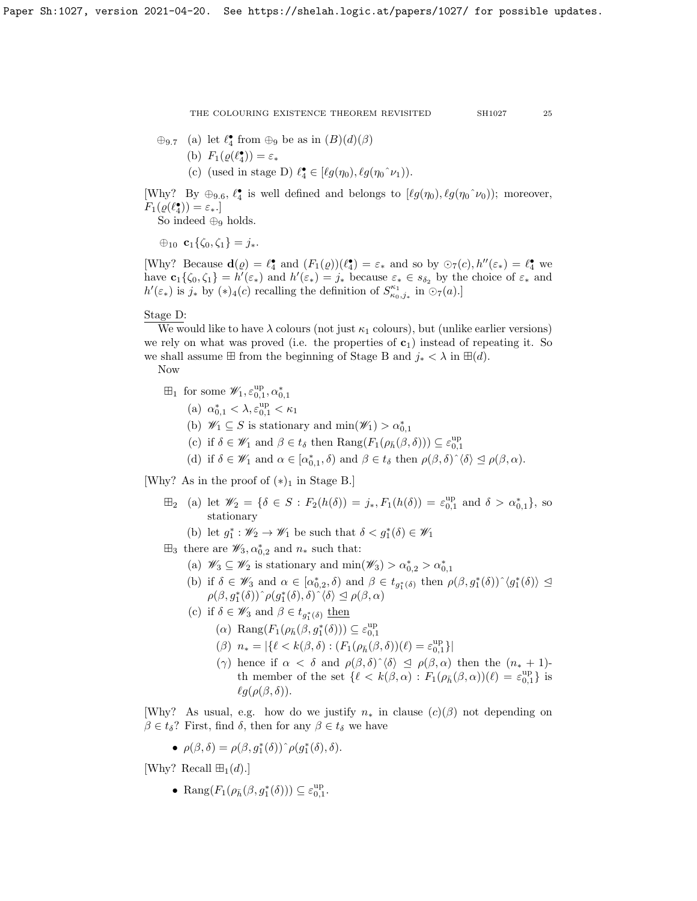- $\oplus$ <sub>9.7</sub> (a) let  $\ell_4^{\bullet}$  from  $\oplus$ <sub>9</sub> be as in  $(B)(d)(\beta)$ 
	- (b)  $F_1(\varrho(\ell_4^{\bullet})) = \varepsilon_*$
	- (c) (used in stage D)  $\ell_4^{\bullet} \in [\ell g(\eta_0), \ell g(\eta_0^{\frown} \nu_1)).$

[Why? By  $\oplus_{9.6}$ ,  $\ell_4^{\bullet}$  is well defined and belongs to  $[\ell g(\eta_0), \ell g(\eta_0^{\frown} \nu_0)]$ ; moreover,  $F_1(\varrho(\ell_4^{\bullet})) = \varepsilon_*$ .

So indeed  $\oplus_9$  holds.

 $\bigoplus_{10} \mathbf{c}_1 \{ \zeta_0, \zeta_1 \} = j_*$ .

[Why? Because  $\mathbf{d}(\varrho) = \ell_4^{\bullet}$  and  $(F_1(\varrho))(\ell_4^{\bullet}) = \varepsilon_*$  and so by  $\odot_7(c)$ ,  $h''(\varepsilon_*) = \ell_4^{\bullet}$  we have  $\mathbf{c}_1\{\zeta_0,\zeta_1\} = h'(\varepsilon_*)$  and  $h'(\varepsilon_*) = j_*$  because  $\varepsilon_* \in s_{\delta_2}$  by the choice of  $\varepsilon_*$  and  $h'(\varepsilon_*)$  is  $j_*$  by  $(*)_4(c)$  recalling the definition of  $S_{\kappa_0,j_*}^{\kappa_1}$  in  $\odot_7(a)$ .

# Stage D:

We would like to have  $\lambda$  colours (not just  $\kappa_1$  colours), but (unlike earlier versions) we rely on what was proved (i.e. the properties of  $c_1$ ) instead of repeating it. So we shall assume  $\boxplus$  from the beginning of Stage B and  $j_* < \lambda$  in  $\boxplus (d)$ .

Now

- $\boxplus_1$  for some  $\mathscr{W}_1, \varepsilon_{0,1}^{\text{up}}, \alpha_{0,1}^*$ 
	- (a)  $\alpha_{0,1}^* < \lambda, \varepsilon_{0,1}^{up} < \kappa_1$
	- (b)  $\mathscr{W}_1 \subseteq S$  is stationary and  $\min(\mathscr{W}_1) > \alpha_{0,1}^*$
	- (c) if  $\delta \in \mathscr{W}_1$  and  $\beta \in t_{\delta}$  then  $\text{Rang}(F_1(\rho_{\bar{h}}(\beta,\delta))) \subseteq \varepsilon_{0,1}^{\text{up}}$
	- (d) if  $\delta \in \mathscr{W}_1$  and  $\alpha \in [\alpha^*_{0,1}, \delta)$  and  $\beta \in t_{\delta}$  then  $\rho(\beta, \delta) \hat{\ } \langle \delta \rangle \leq \rho(\beta, \alpha)$ .

[Why? As in the proof of  $(*)_1$  in Stage B.]

- $\boxplus_2$  (a) let  $\mathscr{W}_2 = \{\delta \in S : F_2(h(\delta)) = j_*, F_1(h(\delta)) = \varepsilon_{0,1}^{\text{up}} \text{ and } \delta > \alpha_{0,1}^*\},\text{ so}$ stationary
	- (b) let  $g_1^* : \mathscr{W}_2 \to \mathscr{W}_1$  be such that  $\delta < g_1^*(\delta) \in \mathscr{W}_1$
- $\boxplus_3$  there are  $\mathscr{W}_3, \alpha_{0,2}^*$  and  $n_*$  such that:
	- (a)  $\mathscr{W}_3 \subseteq \mathscr{W}_2$  is stationary and  $\min(\mathscr{W}_3) > \alpha_{0,2}^* > \alpha_{0,1}^*$
	- (b) if  $\delta \in \mathscr{W}_3$  and  $\alpha \in [\alpha^*_{0,2}, \delta)$  and  $\beta \in t_{g_1^*(\delta)}$  then  $\rho(\beta, g_1^*(\delta))^{\hat{ }} \langle g_1^*(\delta) \rangle \subseteq$  $\rho(\beta,g_1^*(\delta))\hat{\;} \rho(g_1^*(\delta),\delta)\hat{\;} \langle \delta \rangle \trianglelefteq \rho(\beta,\alpha)$
	- (c) if  $\delta \in \mathscr{W}_3$  and  $\beta \in t_{g_1^*(\delta)}$  then
		- (a) Rang $(F_1(\rho_{\bar{h}}(\beta, g_1^*(\delta))) \subseteq \varepsilon_{0,1}^{\text{up}}$
		- ( $\beta$ )  $n_* = |\{\ell \leq k(\beta, \delta) : (F_1(\rho_{\bar{h}}(\beta, \delta))(\ell) = \varepsilon_{0,1}^{up}\}|$
		- (γ) hence if  $\alpha < \delta$  and  $\rho(\beta, \delta) \hat{\ } \langle \delta \rangle \leq \rho(\beta, \alpha)$  then the  $(n_* + 1)$ th member of the set  $\{\ell < k(\beta,\alpha) : F_1(\rho_{\bar{h}}(\beta,\alpha))(\ell) = \varepsilon_{0,1}^{\text{up}}\}$  is  $\ell g(\rho(\beta, \delta)).$

[Why? As usual, e.g. how do we justify  $n_*$  in clause  $(c)(\beta)$  not depending on  $\beta \in t_{\delta}$ ? First, find  $\delta$ , then for any  $\beta \in t_{\delta}$  we have

•  $\rho(\beta, \delta) = \rho(\beta, g_1^*(\delta))^\widehat{\rho}(g_1^*(\delta), \delta).$ 

[Why? Recall  $\mathbb{H}_1(d)$ .]

• Rang $(F_1(\rho_{\bar{h}}(\beta, g_1^*(\delta))) \subseteq \varepsilon_{0,1}^{\text{up}}$ .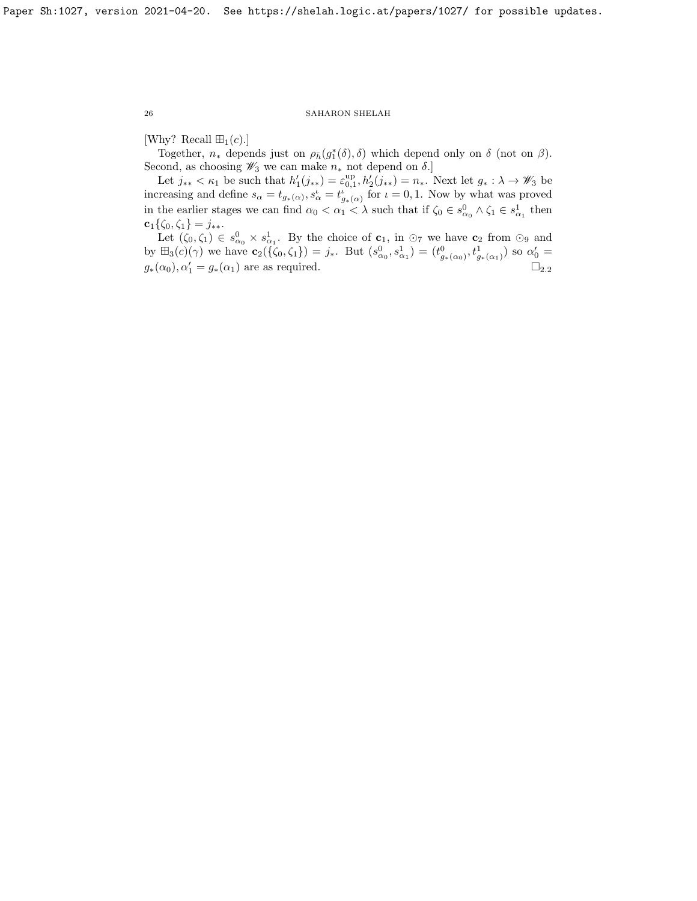[Why? Recall  $\boxplus_1(c)$ .]

Together,  $n_*$  depends just on  $\rho_{\bar{h}}(g_1^*(\delta), \delta)$  which depend only on  $\delta$  (not on  $\beta$ ). Second, as choosing  $\mathscr{W}_3$  we can make  $n_*$  not depend on  $\delta$ .]

Let  $j_{**} < \kappa_1$  be such that  $h'_1(j_{**}) = \varepsilon_{0,1}^{\text{up}}, h'_2(j_{**}) = n_*$ . Next let  $g_* : \lambda \to \mathscr{W}_3$  be increasing and define  $s_{\alpha} = t_{g_*(\alpha)}, s_{\alpha}' = t_{g_*(\alpha)}^i$  for  $\iota = 0, 1$ . Now by what was proved in the earlier stages we can find  $\alpha_0 < \alpha_1 < \lambda$  such that if  $\zeta_0 \in s_{\alpha_0}^0 \wedge \zeta_1 \in s_{\alpha_1}^1$  then  $\mathbf{c}_1\{\zeta_0,\zeta_1\} = j_{**}.$ 

Let  $(\zeta_0, \zeta_1) \in s_{\alpha_0}^0 \times s_{\alpha_1}^1$ . By the choice of  $\mathbf{c}_1$ , in  $\odot_7$  we have  $\mathbf{c}_2$  from  $\odot_9$  and by  $\boxplus_3(c)(\gamma)$  we have  $\mathbf{c}_2(\{\zeta_0,\zeta_1\}) = j_*$ . But  $(s_{\alpha_0}^0,s_{\alpha_1}^1) = (t_{g_*(\alpha_0)}^0,t_{g_*(\alpha_1)}^1)$  so  $\alpha'_0 =$  $g_*(\alpha_0), \alpha'_1 = g_*(\alpha_1)$  are as required.  $\square_{2,2}$  $\square_{2,2}$  $\square_{2,2}$